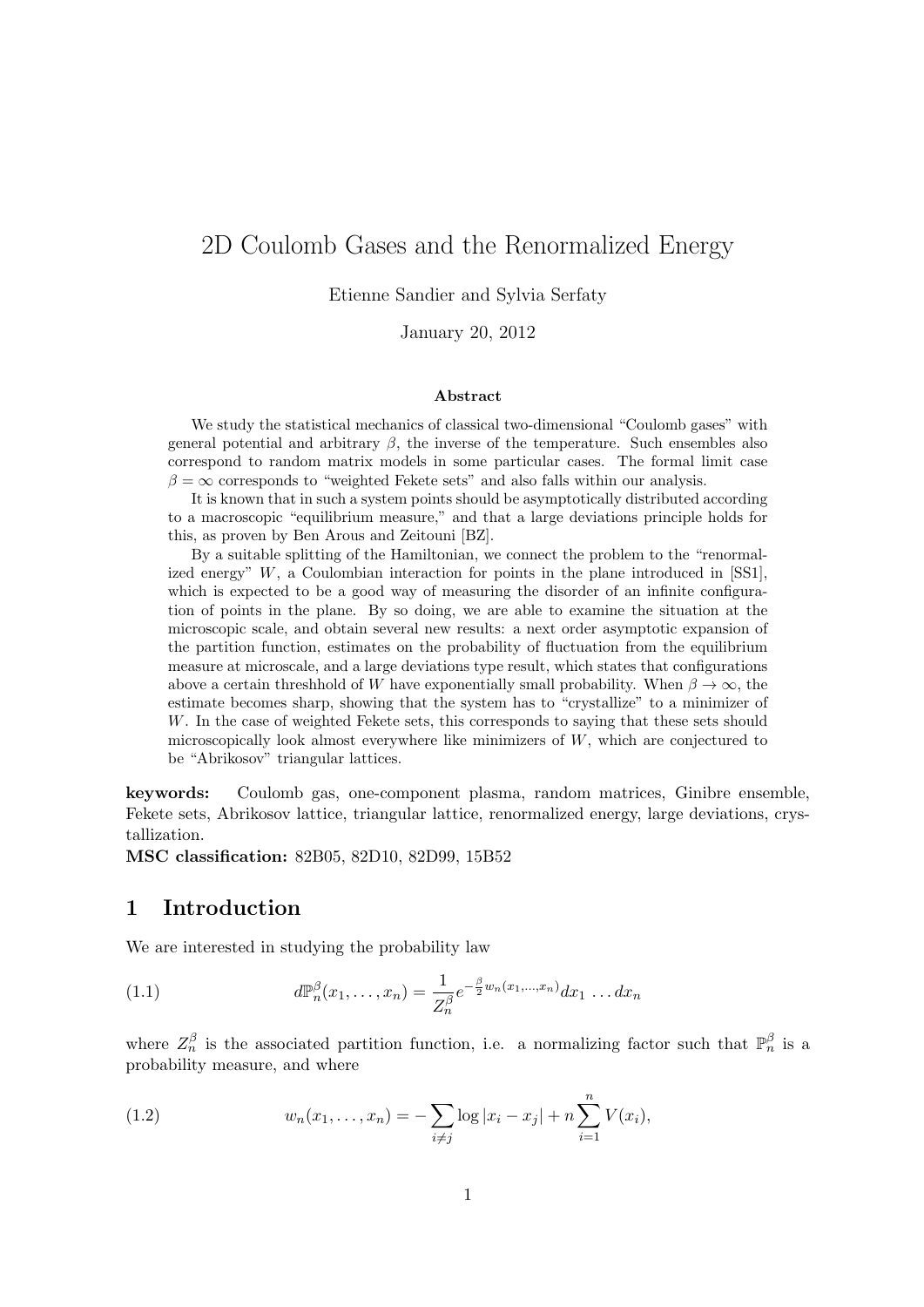# 2D Coulomb Gases and the Renormalized Energy

Etienne Sandier and Sylvia Serfaty

January 20, 2012

#### Abstract

We study the statistical mechanics of classical two-dimensional "Coulomb gases" with general potential and arbitrary  $\beta$ , the inverse of the temperature. Such ensembles also correspond to random matrix models in some particular cases. The formal limit case  $\beta = \infty$  corresponds to "weighted Fekete sets" and also falls within our analysis.

It is known that in such a system points should be asymptotically distributed according to a macroscopic "equilibrium measure," and that a large deviations principle holds for this, as proven by Ben Arous and Zeitouni [BZ].

By a suitable splitting of the Hamiltonian, we connect the problem to the "renormalized energy" W, a Coulombian interaction for points in the plane introduced in [SS1], which is expected to be a good way of measuring the disorder of an infinite configuration of points in the plane. By so doing, we are able to examine the situation at the microscopic scale, and obtain several new results: a next order asymptotic expansion of the partition function, estimates on the probability of fluctuation from the equilibrium measure at microscale, and a large deviations type result, which states that configurations above a certain threshhold of W have exponentially small probability. When  $\beta \to \infty$ , the estimate becomes sharp, showing that the system has to "crystallize" to a minimizer of W. In the case of weighted Fekete sets, this corresponds to saying that these sets should microscopically look almost everywhere like minimizers of  $W$ , which are conjectured to be "Abrikosov" triangular lattices.

keywords: Coulomb gas, one-component plasma, random matrices, Ginibre ensemble, Fekete sets, Abrikosov lattice, triangular lattice, renormalized energy, large deviations, crystallization.

MSC classification: 82B05, 82D10, 82D99, 15B52

## 1 Introduction

We are interested in studying the probability law

(1.1) 
$$
d\mathbb{P}_n^{\beta}(x_1,\ldots,x_n) = \frac{1}{Z_n^{\beta}}e^{-\frac{\beta}{2}w_n(x_1,\ldots,x_n)}dx_1\ldots dx_n
$$

where  $Z_n^{\beta}$  is the associated partition function, i.e. a normalizing factor such that  $\mathbb{P}_n^{\beta}$  is a probability measure, and where

(1.2) 
$$
w_n(x_1,...,x_n) = -\sum_{i \neq j} \log |x_i - x_j| + n \sum_{i=1}^n V(x_i),
$$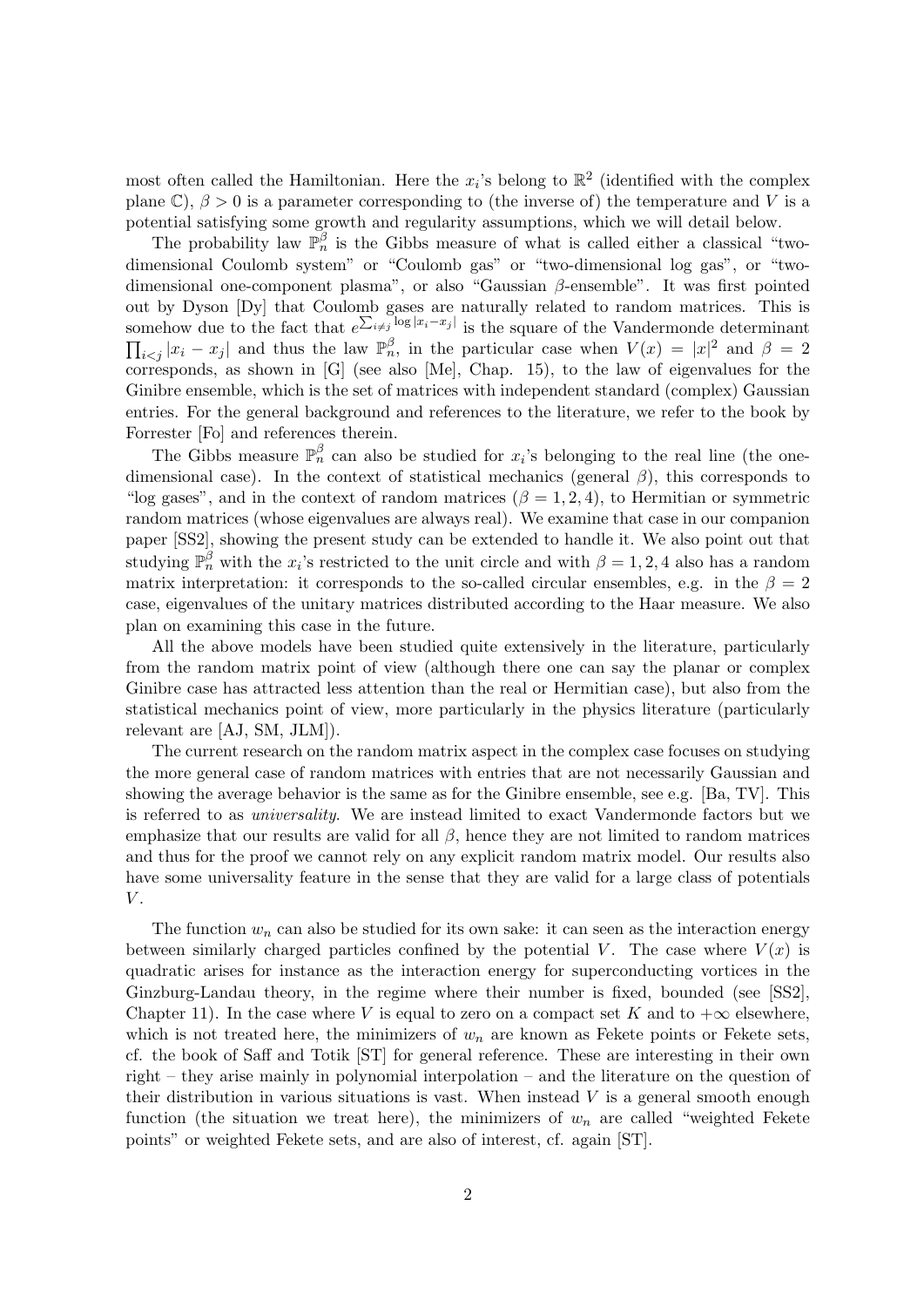most often called the Hamiltonian. Here the  $x_i$ 's belong to  $\mathbb{R}^2$  (identified with the complex plane C),  $\beta > 0$  is a parameter corresponding to (the inverse of) the temperature and V is a potential satisfying some growth and regularity assumptions, which we will detail below.

The probability law  $\mathbb{P}_n^{\beta}$  is the Gibbs measure of what is called either a classical "twodimensional Coulomb system" or "Coulomb gas" or "two-dimensional log gas", or "twodimensional one-component plasma", or also "Gaussian β-ensemble". It was first pointed out by Dyson [Dy] that Coulomb gases are naturally related to random matrices. This is somehow due to the fact that  $e^{\sum_{i\neq j} \log |x_i-x_j|}$  is the square of the Vandermonde determinant  $\prod_{i < j} |x_i - x_j|$  and thus the law  $\mathbb{P}_n^{\beta}$ , in the particular case when  $V(x) = |x|^2$  and  $\beta = 2$ corresponds, as shown in  $[G]$  (see also  $[Me]$ , Chap. 15), to the law of eigenvalues for the Ginibre ensemble, which is the set of matrices with independent standard (complex) Gaussian entries. For the general background and references to the literature, we refer to the book by Forrester [Fo] and references therein.

The Gibbs measure  $\mathbb{P}_n^{\beta}$  can also be studied for  $x_i$ 's belonging to the real line (the onedimensional case). In the context of statistical mechanics (general  $\beta$ ), this corresponds to "log gases", and in the context of random matrices  $(\beta = 1, 2, 4)$ , to Hermitian or symmetric random matrices (whose eigenvalues are always real). We examine that case in our companion paper [SS2], showing the present study can be extended to handle it. We also point out that studying  $\mathbb{P}_n^{\beta}$  with the  $x_i$ 's restricted to the unit circle and with  $\beta = 1, 2, 4$  also has a random matrix interpretation: it corresponds to the so-called circular ensembles, e.g. in the  $\beta = 2$ case, eigenvalues of the unitary matrices distributed according to the Haar measure. We also plan on examining this case in the future.

All the above models have been studied quite extensively in the literature, particularly from the random matrix point of view (although there one can say the planar or complex Ginibre case has attracted less attention than the real or Hermitian case), but also from the statistical mechanics point of view, more particularly in the physics literature (particularly relevant are [AJ, SM, JLM]).

The current research on the random matrix aspect in the complex case focuses on studying the more general case of random matrices with entries that are not necessarily Gaussian and showing the average behavior is the same as for the Ginibre ensemble, see e.g. [Ba, TV]. This is referred to as universality. We are instead limited to exact Vandermonde factors but we emphasize that our results are valid for all  $\beta$ , hence they are not limited to random matrices and thus for the proof we cannot rely on any explicit random matrix model. Our results also have some universality feature in the sense that they are valid for a large class of potentials  $V$ .

The function  $w_n$  can also be studied for its own sake: it can seen as the interaction energy between similarly charged particles confined by the potential V. The case where  $V(x)$  is quadratic arises for instance as the interaction energy for superconducting vortices in the Ginzburg-Landau theory, in the regime where their number is fixed, bounded (see [SS2], Chapter 11). In the case where V is equal to zero on a compact set K and to  $+\infty$  elsewhere, which is not treated here, the minimizers of  $w_n$  are known as Fekete points or Fekete sets, cf. the book of Saff and Totik [ST] for general reference. These are interesting in their own right – they arise mainly in polynomial interpolation – and the literature on the question of their distribution in various situations is vast. When instead  $V$  is a general smooth enough function (the situation we treat here), the minimizers of  $w_n$  are called "weighted Fekete points" or weighted Fekete sets, and are also of interest, cf. again [ST].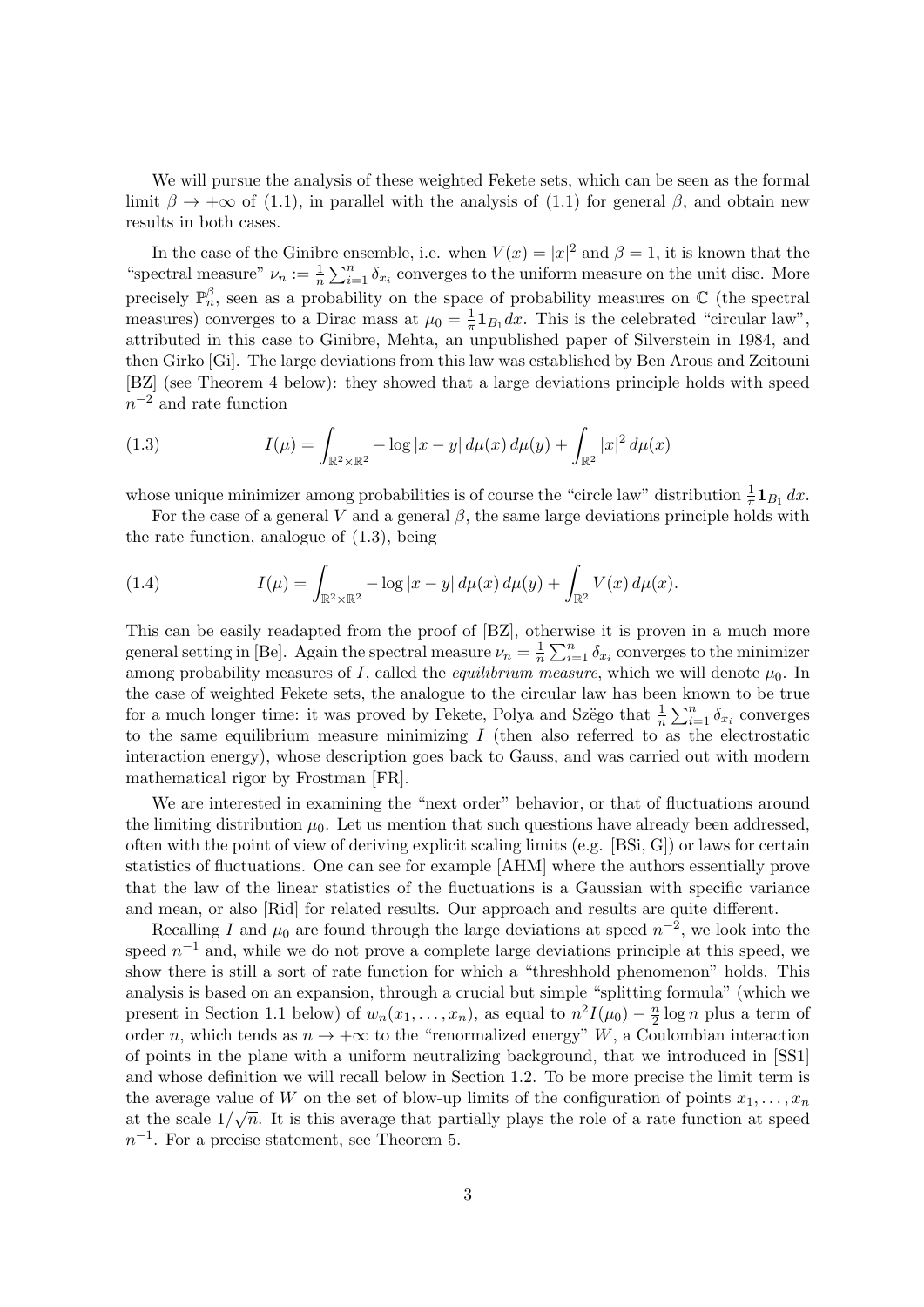We will pursue the analysis of these weighted Fekete sets, which can be seen as the formal limit  $\beta \to +\infty$  of (1.1), in parallel with the analysis of (1.1) for general  $\beta$ , and obtain new results in both cases.

In the case of the Ginibre ensemble, i.e. when  $V(x) = |x|^2$  and  $\beta = 1$ , it is known that the "spectral measure"  $\nu_n := \frac{1}{n} \sum_{i=1}^n \delta_{x_i}$  converges to the uniform measure on the unit disc. More precisely  $\mathbb{P}_n^{\beta}$ , seen as a probability on the space of probability measures on  $\mathbb{C}$  (the spectral measures) converges to a Dirac mass at  $\mu_0 = \frac{1}{\pi}$  $\frac{1}{\pi} \mathbf{1}_{B_1} dx$ . This is the celebrated "circular law", attributed in this case to Ginibre, Mehta, an unpublished paper of Silverstein in 1984, and then Girko [Gi]. The large deviations from this law was established by Ben Arous and Zeitouni [BZ] (see Theorem 4 below): they showed that a large deviations principle holds with speed  $n^{-2}$  and rate function

(1.3) 
$$
I(\mu) = \int_{\mathbb{R}^2 \times \mathbb{R}^2} -\log|x - y| \, d\mu(x) \, d\mu(y) + \int_{\mathbb{R}^2} |x|^2 \, d\mu(x)
$$

whose unique minimizer among probabilities is of course the "circle law" distribution  $\frac{1}{\pi} \mathbf{1}_{B_1} dx$ .

For the case of a general V and a general  $\beta$ , the same large deviations principle holds with the rate function, analogue of (1.3), being

(1.4) 
$$
I(\mu) = \int_{\mathbb{R}^2 \times \mathbb{R}^2} -\log |x - y| \, d\mu(x) \, d\mu(y) + \int_{\mathbb{R}^2} V(x) \, d\mu(x).
$$

This can be easily readapted from the proof of [BZ], otherwise it is proven in a much more general setting in [Be]. Again the spectral measure  $\nu_n = \frac{1}{n}$  $\frac{1}{n} \sum_{i=1}^{n} \delta_{x_i}$  converges to the minimizer among probability measures of I, called the *equilibrium measure*, which we will denote  $\mu_0$ . In the case of weighted Fekete sets, the analogue to the circular law has been known to be true for a much longer time: it was proved by Fekete, Polya and Szëgo that  $\frac{1}{n} \sum_{i=1}^{n} \delta_{x_i}$  converges to the same equilibrium measure minimizing  $I$  (then also referred to as the electrostatic interaction energy), whose description goes back to Gauss, and was carried out with modern mathematical rigor by Frostman [FR].

We are interested in examining the "next order" behavior, or that of fluctuations around the limiting distribution  $\mu_0$ . Let us mention that such questions have already been addressed, often with the point of view of deriving explicit scaling limits (e.g. [BSi, G]) or laws for certain statistics of fluctuations. One can see for example [AHM] where the authors essentially prove that the law of the linear statistics of the fluctuations is a Gaussian with specific variance and mean, or also [Rid] for related results. Our approach and results are quite different.

Recalling I and  $\mu_0$  are found through the large deviations at speed  $n^{-2}$ , we look into the speed  $n^{-1}$  and, while we do not prove a complete large deviations principle at this speed, we show there is still a sort of rate function for which a "threshhold phenomenon" holds. This analysis is based on an expansion, through a crucial but simple "splitting formula" (which we present in Section 1.1 below) of  $w_n(x_1,...,x_n)$ , as equal to  $n^2 I(\mu_0) - \frac{n}{2}$  $\frac{n}{2}$  log *n* plus a term of order n, which tends as  $n \to +\infty$  to the "renormalized energy" W, a Coulombian interaction of points in the plane with a uniform neutralizing background, that we introduced in [SS1] and whose definition we will recall below in Section 1.2. To be more precise the limit term is the average value of W on the set of blow-up limits of the configuration of points  $x_1, \ldots, x_n$ at the scale  $1/\sqrt{n}$ . It is this average that partially plays the role of a rate function at speed  $n^{-1}$ . For a precise statement, see Theorem 5.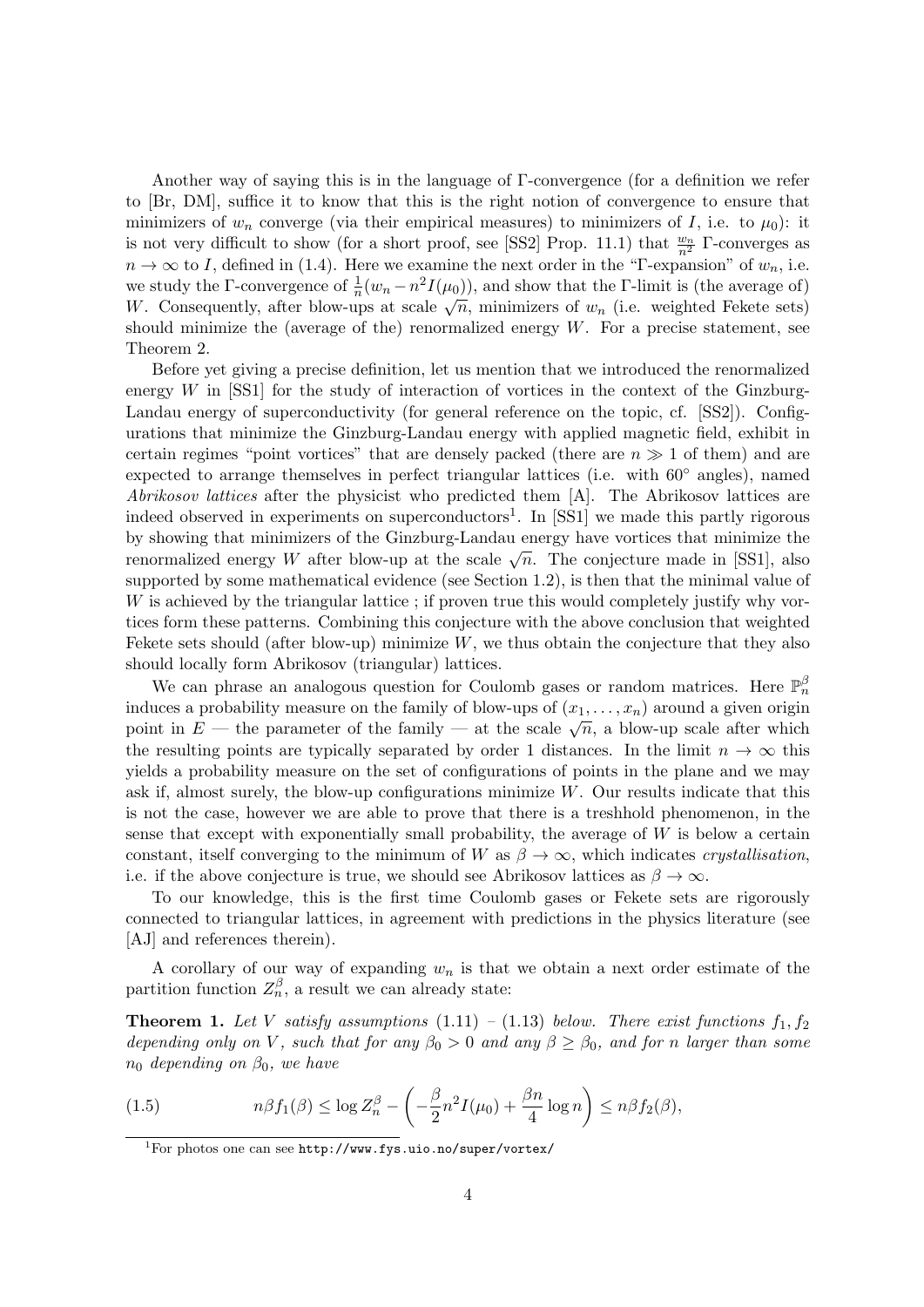Another way of saying this is in the language of Γ-convergence (for a definition we refer to [Br, DM], suffice it to know that this is the right notion of convergence to ensure that minimizers of  $w_n$  converge (via their empirical measures) to minimizers of I, i.e. to  $\mu_0$ ): it is not very difficult to show (for a short proof, see [SS2] Prop. 11.1) that  $\frac{w_n}{n^2}$   $\Gamma$ -converges as  $n \to \infty$  to I, defined in (1.4). Here we examine the next order in the "Γ-expansion" of  $w_n$ , i.e. we study the Γ-convergence of  $\frac{1}{n}(w_n - n^2 I(\mu_0))$ , and show that the Γ-limit is (the average of) We study the 1-convergence of  $\frac{1}{n}(w_n - h I(\mu_0))$ , and show that the 1-mint is (the average of)<br>W. Consequently, after blow-ups at scale  $\sqrt{n}$ , minimizers of  $w_n$  (i.e. weighted Fekete sets) should minimize the (average of the) renormalized energy  $W$ . For a precise statement, see Theorem 2.

Before yet giving a precise definition, let us mention that we introduced the renormalized energy  $W$  in  $[SS1]$  for the study of interaction of vortices in the context of the Ginzburg-Landau energy of superconductivity (for general reference on the topic, cf. [SS2]). Configurations that minimize the Ginzburg-Landau energy with applied magnetic field, exhibit in certain regimes "point vortices" that are densely packed (there are  $n \gg 1$  of them) and are expected to arrange themselves in perfect triangular lattices (i.e. with 60◦ angles), named Abrikosov lattices after the physicist who predicted them [A]. The Abrikosov lattices are indeed observed in experiments on superconductors<sup>1</sup>. In [SS1] we made this partly rigorous by showing that minimizers of the Ginzburg-Landau energy have vortices that minimize the by showing that imminizers of the Ginzburg-Landau energy have vortices that imminize the renormalized energy W after blow-up at the scale  $\sqrt{n}$ . The conjecture made in [SS1], also supported by some mathematical evidence (see Section 1.2), is then that the minimal value of W is achieved by the triangular lattice ; if proven true this would completely justify why vortices form these patterns. Combining this conjecture with the above conclusion that weighted Fekete sets should (after blow-up) minimize  $W$ , we thus obtain the conjecture that they also should locally form Abrikosov (triangular) lattices.

We can phrase an analogous question for Coulomb gases or random matrices. Here  $\mathbb{P}_n^{\beta}$ induces a probability measure on the family of blow-ups of  $(x_1, \ldots, x_n)$  around a given origin point in E — the parameter of the family — at the scale  $\sqrt{n}$ , a blow-up scale after which the resulting points are typically separated by order 1 distances. In the limit  $n \to \infty$  this yields a probability measure on the set of configurations of points in the plane and we may ask if, almost surely, the blow-up configurations minimize W. Our results indicate that this is not the case, however we are able to prove that there is a treshhold phenomenon, in the sense that except with exponentially small probability, the average of  $W$  is below a certain constant, itself converging to the minimum of W as  $\beta \to \infty$ , which indicates crystallisation, i.e. if the above conjecture is true, we should see Abrikosov lattices as  $\beta \to \infty$ .

To our knowledge, this is the first time Coulomb gases or Fekete sets are rigorously connected to triangular lattices, in agreement with predictions in the physics literature (see [AJ] and references therein).

A corollary of our way of expanding  $w_n$  is that we obtain a next order estimate of the partition function  $Z_n^{\beta}$ , a result we can already state:

**Theorem 1.** Let V satisfy assumptions  $(1.11) - (1.13)$  below. There exist functions  $f_1, f_2$ depending only on V, such that for any  $\beta_0 > 0$  and any  $\beta \geq \beta_0$ , and for n larger than some  $n_0$  depending on  $\beta_0$ , we have

(1.5) 
$$
n\beta f_1(\beta) \le \log Z_n^{\beta} - \left(-\frac{\beta}{2}n^2 I(\mu_0) + \frac{\beta n}{4} \log n\right) \le n\beta f_2(\beta),
$$

 $1$ For photos one can see http://www.fys.uio.no/super/vortex/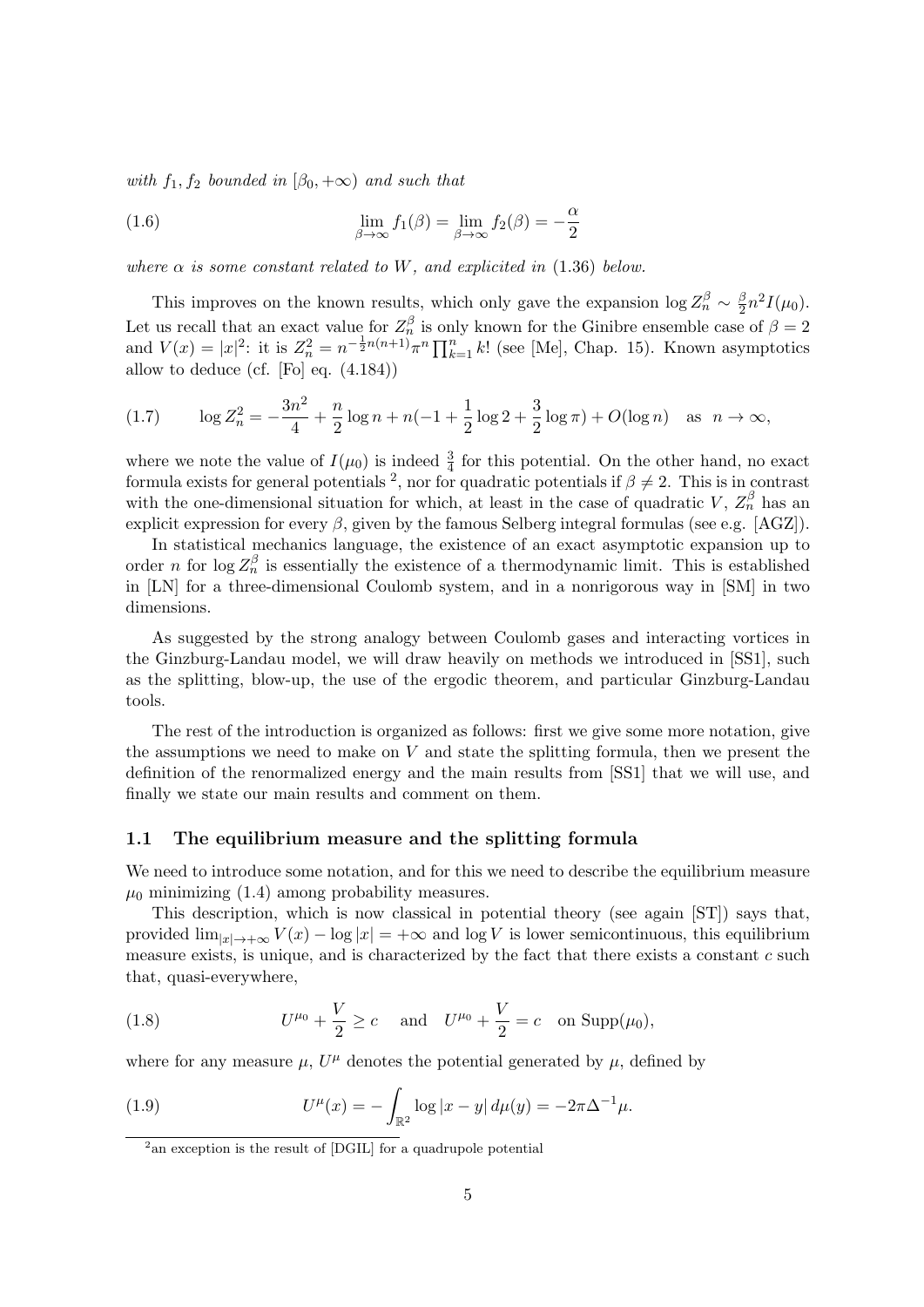with  $f_1, f_2$  bounded in  $(\beta_0, +\infty)$  and such that

(1.6) 
$$
\lim_{\beta \to \infty} f_1(\beta) = \lim_{\beta \to \infty} f_2(\beta) = -\frac{\alpha}{2}
$$

where  $\alpha$  is some constant related to W, and explicited in (1.36) below.

This improves on the known results, which only gave the expansion  $\log Z_n^{\beta} \sim \frac{\beta}{2}$  $\frac{\beta}{2}n^2I(\mu_0).$ Let us recall that an exact value for  $Z_n^{\beta}$  is only known for the Ginibre ensemble case of  $\beta = 2$ and  $V(x) = |x|^2$ : it is  $Z_n^2 = n^{-\frac{1}{2}n(n+1)}\pi^n \prod_{k=1}^n k!$  (see [Me], Chap. 15). Known asymptotics allow to deduce (cf. [Fo] eq. (4.184))

(1.7) 
$$
\log Z_n^2 = -\frac{3n^2}{4} + \frac{n}{2}\log n + n(-1+\frac{1}{2}\log 2+\frac{3}{2}\log \pi) + O(\log n) \text{ as } n \to \infty,
$$

where we note the value of  $I(\mu_0)$  is indeed  $\frac{3}{4}$  for this potential. On the other hand, no exact formula exists for general potentials <sup>2</sup>, nor for quadratic potentials if  $\beta \neq 2$ . This is in contrast with the one-dimensional situation for which, at least in the case of quadratic V,  $Z_n^{\beta}$  has an explicit expression for every  $\beta$ , given by the famous Selberg integral formulas (see e.g. [AGZ]).

In statistical mechanics language, the existence of an exact asymptotic expansion up to order *n* for log  $Z_n^{\beta}$  is essentially the existence of a thermodynamic limit. This is established in [LN] for a three-dimensional Coulomb system, and in a nonrigorous way in [SM] in two dimensions.

As suggested by the strong analogy between Coulomb gases and interacting vortices in the Ginzburg-Landau model, we will draw heavily on methods we introduced in [SS1], such as the splitting, blow-up, the use of the ergodic theorem, and particular Ginzburg-Landau tools.

The rest of the introduction is organized as follows: first we give some more notation, give the assumptions we need to make on  $V$  and state the splitting formula, then we present the definition of the renormalized energy and the main results from [SS1] that we will use, and finally we state our main results and comment on them.

#### 1.1 The equilibrium measure and the splitting formula

We need to introduce some notation, and for this we need to describe the equilibrium measure  $\mu_0$  minimizing (1.4) among probability measures.

This description, which is now classical in potential theory (see again [ST]) says that, provided  $\lim_{|x|\to+\infty} V(x) - \log |x| = +\infty$  and  $\log V$  is lower semicontinuous, this equilibrium measure exists, is unique, and is characterized by the fact that there exists a constant  $c$  such that, quasi-everywhere,

(1.8) 
$$
U^{\mu_0} + \frac{V}{2} \ge c
$$
 and  $U^{\mu_0} + \frac{V}{2} = c$  on Supp( $\mu_0$ ),

where for any measure  $\mu$ ,  $U^{\mu}$  denotes the potential generated by  $\mu$ , defined by

(1.9) 
$$
U^{\mu}(x) = -\int_{\mathbb{R}^2} \log |x - y| \, d\mu(y) = -2\pi \Delta^{-1} \mu.
$$

<sup>&</sup>lt;sup>2</sup> an exception is the result of [DGIL] for a quadrupole potential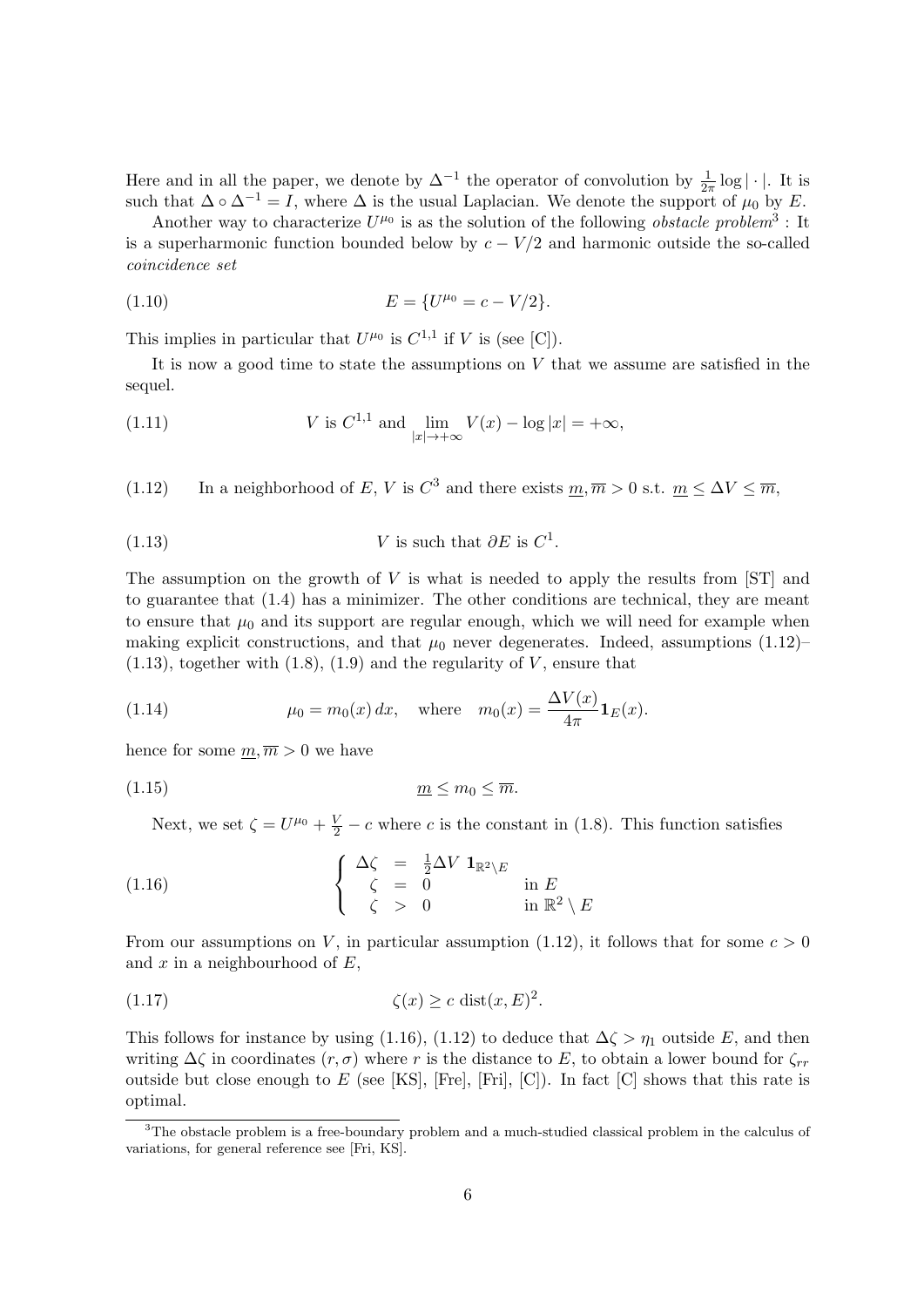Here and in all the paper, we denote by  $\Delta^{-1}$  the operator of convolution by  $\frac{1}{2\pi} \log |\cdot|$ . It is such that  $\Delta \circ \Delta^{-1} = I$ , where  $\Delta$  is the usual Laplacian. We denote the support of  $\mu_0$  by E.

Another way to characterize  $U^{\mu_0}$  is as the solution of the following *obstacle problem*<sup>3</sup>: It is a superharmonic function bounded below by  $c - V/2$  and harmonic outside the so-called coincidence set

(1.10) 
$$
E = \{U^{\mu_0} = c - V/2\}.
$$

This implies in particular that  $U^{\mu_0}$  is  $C^{1,1}$  if V is (see [C]).

It is now a good time to state the assumptions on  $V$  that we assume are satisfied in the sequel.

(1.11) 
$$
V \text{ is } C^{1,1} \text{ and } \lim_{|x| \to +\infty} V(x) - \log |x| = +\infty,
$$

(1.12) In a neighborhood of E, V is  $C^3$  and there exists  $m, \overline{m} > 0$  s.t.  $m \leq \Delta V \leq \overline{m}$ ,

(1.13) 
$$
V \text{ is such that } \partial E \text{ is } C^1.
$$

The assumption on the growth of  $V$  is what is needed to apply the results from  $ST$  and to guarantee that (1.4) has a minimizer. The other conditions are technical, they are meant to ensure that  $\mu_0$  and its support are regular enough, which we will need for example when making explicit constructions, and that  $\mu_0$  never degenerates. Indeed, assumptions (1.12)–  $(1.13)$ , together with  $(1.8)$ ,  $(1.9)$  and the regularity of V, ensure that

(1.14) 
$$
\mu_0 = m_0(x) dx
$$
, where  $m_0(x) = \frac{\Delta V(x)}{4\pi} \mathbf{1}_E(x)$ .

hence for some  $m, \overline{m} > 0$  we have

(1.15) m ≤ m<sup>0</sup> ≤ m.

Next, we set  $\zeta = U^{\mu_0} + \frac{V}{2} - c$  where c is the constant in (1.8). This function satisfies

(1.16) 
$$
\begin{cases} \Delta \zeta = \frac{1}{2} \Delta V \mathbf{1}_{\mathbb{R}^2 \setminus E} \\ \zeta = 0 \\ \zeta > 0 \end{cases} \text{ in } E \\ \text{in } \mathbb{R}^2 \setminus E
$$

From our assumptions on V, in particular assumption (1.12), it follows that for some  $c > 0$ and  $x$  in a neighbourhood of  $E$ .

$$
(1.17) \t\t \zeta(x) \ge c \operatorname{dist}(x, E)^2.
$$

This follows for instance by using (1.16), (1.12) to deduce that  $\Delta \zeta > \eta_1$  outside E, and then writing  $\Delta\zeta$  in coordinates  $(r, \sigma)$  where r is the distance to E, to obtain a lower bound for  $\zeta_{rr}$ outside but close enough to E (see [KS], [Fre], [Fri], [C]). In fact [C] shows that this rate is optimal.

<sup>&</sup>lt;sup>3</sup>The obstacle problem is a free-boundary problem and a much-studied classical problem in the calculus of variations, for general reference see [Fri, KS].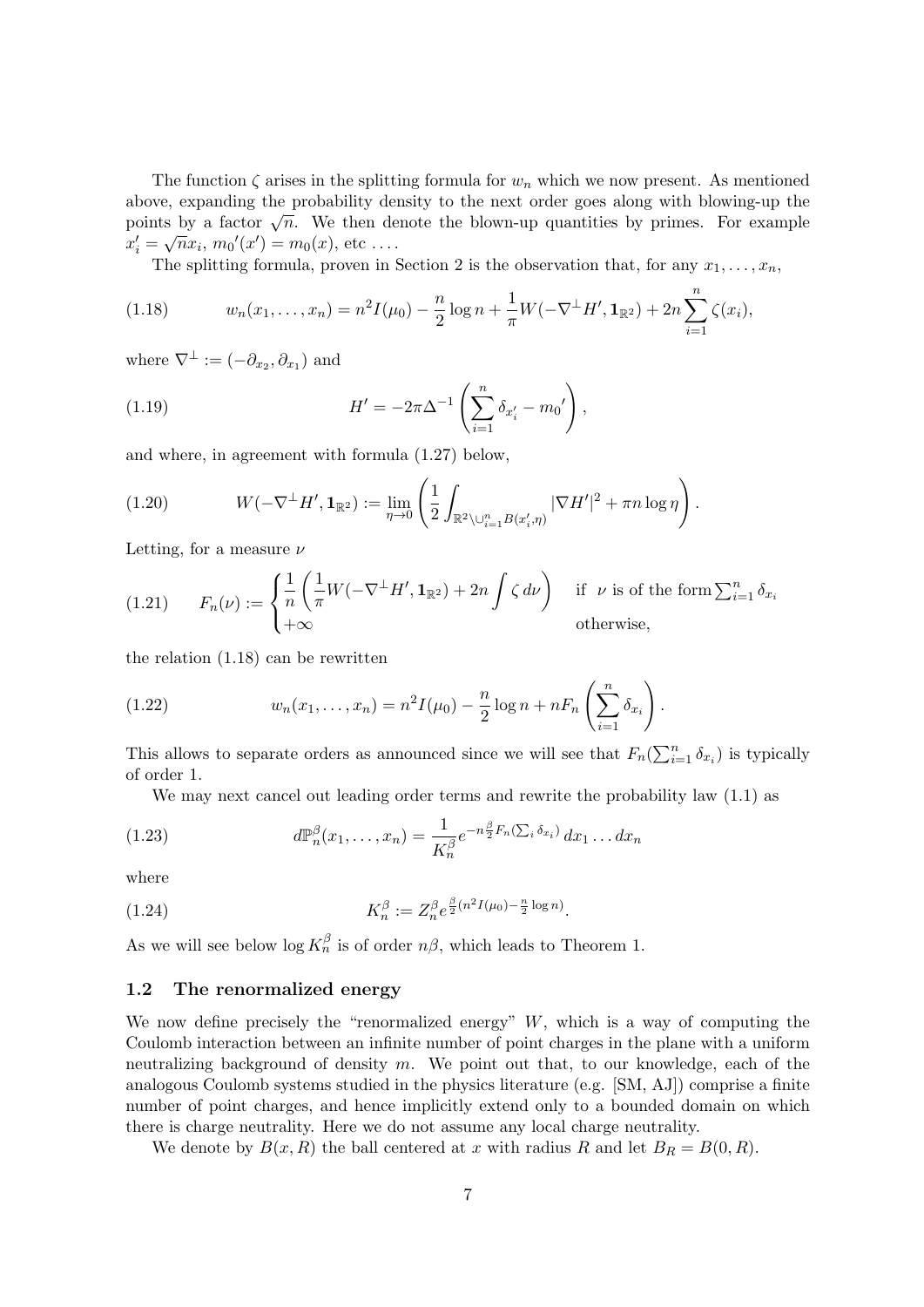The function  $\zeta$  arises in the splitting formula for  $w_n$  which we now present. As mentioned above, expanding the probability density to the next order goes along with blowing-up the above, expanding the probability density to the hext order goes along with blowing-up the<br>points by a factor  $\sqrt{n}$ . We then denote the blown-up quantities by primes. For example  $x'_i = \sqrt{n}x_i, m_0'(x') = m_0(x),$  etc ....

The splitting formula, proven in Section 2 is the observation that, for any  $x_1, \ldots, x_n$ ,

(1.18) 
$$
w_n(x_1,...,x_n) = n^2 I(\mu_0) - \frac{n}{2} \log n + \frac{1}{\pi} W(-\nabla^{\perp} H', \mathbf{1}_{\mathbb{R}^2}) + 2n \sum_{i=1}^n \zeta(x_i),
$$

where  $\nabla^{\perp} := (-\partial_{x_2}, \partial_{x_1})$  and

(1.19) 
$$
H' = -2\pi \Delta^{-1} \left( \sum_{i=1}^{n} \delta_{x'_i} - m_0' \right),
$$

and where, in agreement with formula (1.27) below,

(1.20) 
$$
W(-\nabla^{\perp} H', \mathbf{1}_{\mathbb{R}^2}) := \lim_{\eta \to 0} \left( \frac{1}{2} \int_{\mathbb{R}^2 \setminus \cup_{i=1}^n B(x'_i, \eta)} |\nabla H'|^2 + \pi n \log \eta \right).
$$

Letting, for a measure  $\nu$ 

(1.21) 
$$
F_n(\nu) := \begin{cases} \frac{1}{n} \left( \frac{1}{\pi} W(-\nabla^{\perp} H', \mathbf{1}_{\mathbb{R}^2}) + 2n \int \zeta \, d\nu \right) & \text{if } \nu \text{ is of the form } \sum_{i=1}^n \delta_{x_i} \\ +\infty & \text{otherwise,} \end{cases}
$$

the relation (1.18) can be rewritten

(1.22) 
$$
w_n(x_1,...,x_n) = n^2 I(\mu_0) - \frac{n}{2} \log n + nF_n\left(\sum_{i=1}^n \delta_{x_i}\right).
$$

This allows to separate orders as announced since we will see that  $F_n(\sum_{i=1}^n \delta_{x_i})$  is typically of order 1.

We may next cancel out leading order terms and rewrite the probability law  $(1.1)$  as

(1.23) 
$$
d\mathbb{P}_n^{\beta}(x_1,\ldots,x_n) = \frac{1}{K_n^{\beta}}e^{-n\frac{\beta}{2}F_n(\sum_i \delta_{x_i})}dx_1\ldots dx_n
$$

where

(1.24) 
$$
K_n^{\beta} := Z_n^{\beta} e^{\frac{\beta}{2}(n^2 I(\mu_0) - \frac{n}{2} \log n)}.
$$

As we will see below  $\log K_n^{\beta}$  is of order  $n\beta$ , which leads to Theorem 1.

#### 1.2 The renormalized energy

We now define precisely the "renormalized energy"  $W$ , which is a way of computing the Coulomb interaction between an infinite number of point charges in the plane with a uniform neutralizing background of density  $m$ . We point out that, to our knowledge, each of the analogous Coulomb systems studied in the physics literature (e.g. [SM, AJ]) comprise a finite number of point charges, and hence implicitly extend only to a bounded domain on which there is charge neutrality. Here we do not assume any local charge neutrality.

We denote by  $B(x, R)$  the ball centered at x with radius R and let  $B_R = B(0, R)$ .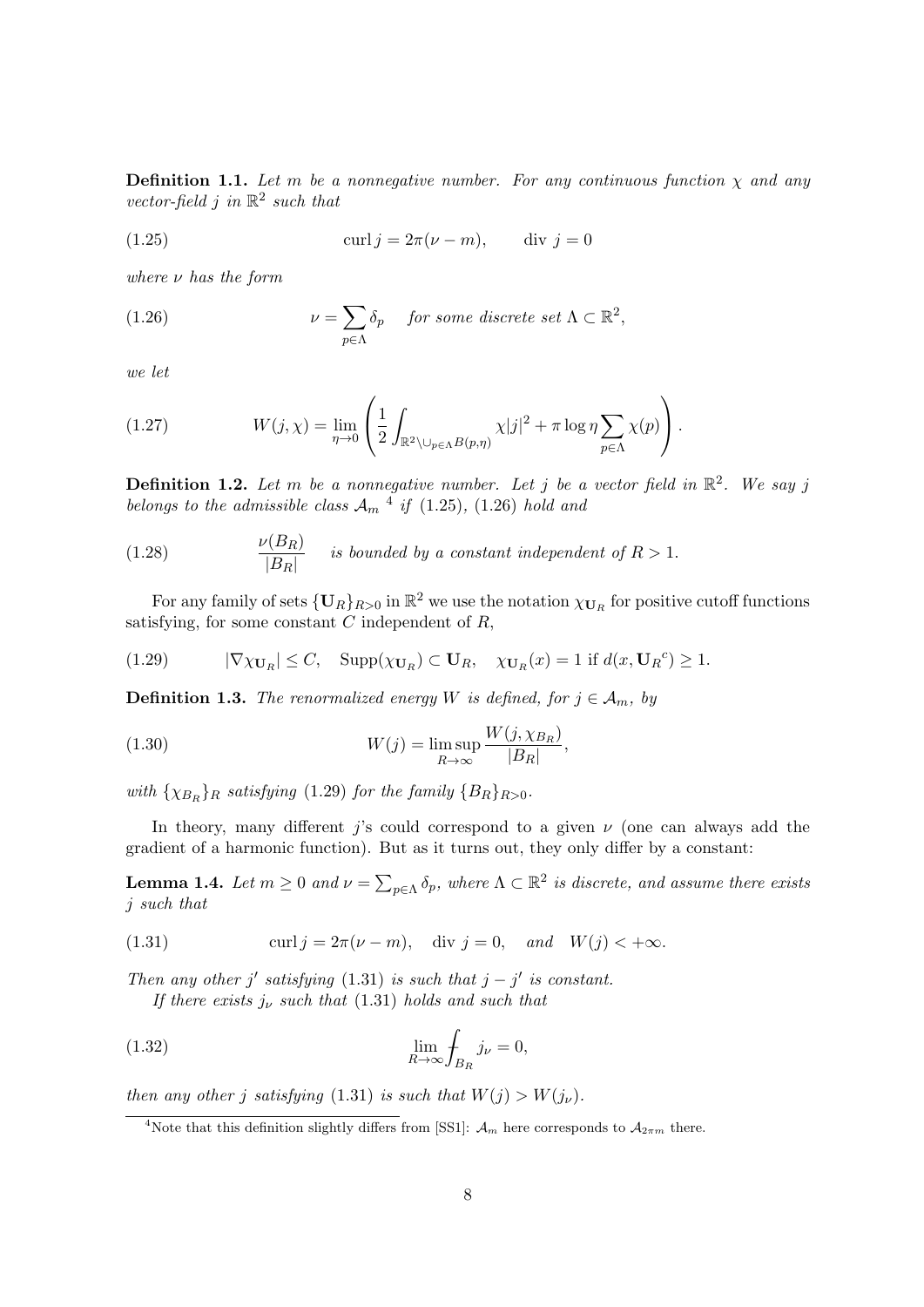**Definition 1.1.** Let m be a nonnegative number. For any continuous function  $\chi$  and any vector-field j in  $\mathbb{R}^2$  such that

(1.25) 
$$
\operatorname{curl} j = 2\pi(\nu - m), \qquad \operatorname{div} j = 0
$$

where  $\nu$  has the form

(1.26) 
$$
\nu = \sum_{p \in \Lambda} \delta_p \quad \text{for some discrete set } \Lambda \subset \mathbb{R}^2,
$$

we let

(1.27) 
$$
W(j,\chi) = \lim_{\eta \to 0} \left( \frac{1}{2} \int_{\mathbb{R}^2 \setminus \bigcup_{p \in \Lambda} B(p,\eta)} \chi |j|^2 + \pi \log \eta \sum_{p \in \Lambda} \chi(p) \right).
$$

**Definition 1.2.** Let m be a nonnegative number. Let j be a vector field in  $\mathbb{R}^2$ . We say j belongs to the admissible class  $A_m$ <sup>4</sup> if (1.25), (1.26) hold and

(1.28) 
$$
\frac{\nu(B_R)}{|B_R|} \quad \text{is bounded by a constant independent of } R > 1.
$$

For any family of sets  $\{U_R\}_{R>0}$  in  $\mathbb{R}^2$  we use the notation  $\chi_{U_R}$  for positive cutoff functions satisfying, for some constant  $C$  independent of  $R$ ,

(1.29) 
$$
|\nabla \chi_{\mathbf{U}_R}| \leq C, \quad \text{Supp}(\chi_{\mathbf{U}_R}) \subset \mathbf{U}_R, \quad \chi_{\mathbf{U}_R}(x) = 1 \text{ if } d(x, \mathbf{U}_R^c) \geq 1.
$$

**Definition 1.3.** The renormalized energy W is defined, for  $j \in A_m$ , by

(1.30) 
$$
W(j) = \limsup_{R \to \infty} \frac{W(j, \chi_{B_R})}{|B_R|},
$$

with  $\{\chi_{B_R}\}_R$  satisfying (1.29) for the family  $\{B_R\}_{R>0}$ .

In theory, many different j's could correspond to a given  $\nu$  (one can always add the gradient of a harmonic function). But as it turns out, they only differ by a constant:

**Lemma 1.4.** Let  $m \geq 0$  and  $\nu = \sum_{p \in \Lambda} \delta_p$ , where  $\Lambda \subset \mathbb{R}^2$  is discrete, and assume there exists j such that

(1.31) 
$$
\operatorname{curl} j = 2\pi(\nu - m), \quad \operatorname{div} j = 0, \quad \text{and} \quad W(j) < +\infty.
$$

Then any other j' satisfying (1.31) is such that  $j - j'$  is constant.

If there exists  $j_{\nu}$  such that (1.31) holds and such that

(1.32) 
$$
\lim_{R \to \infty} \int_{B_R} j_{\nu} = 0,
$$

then any other j satisfying (1.31) is such that  $W(j) > W(j_{\nu})$ .

<sup>&</sup>lt;sup>4</sup>Note that this definition slightly differs from [SS1]:  $\mathcal{A}_m$  here corresponds to  $\mathcal{A}_{2\pi m}$  there.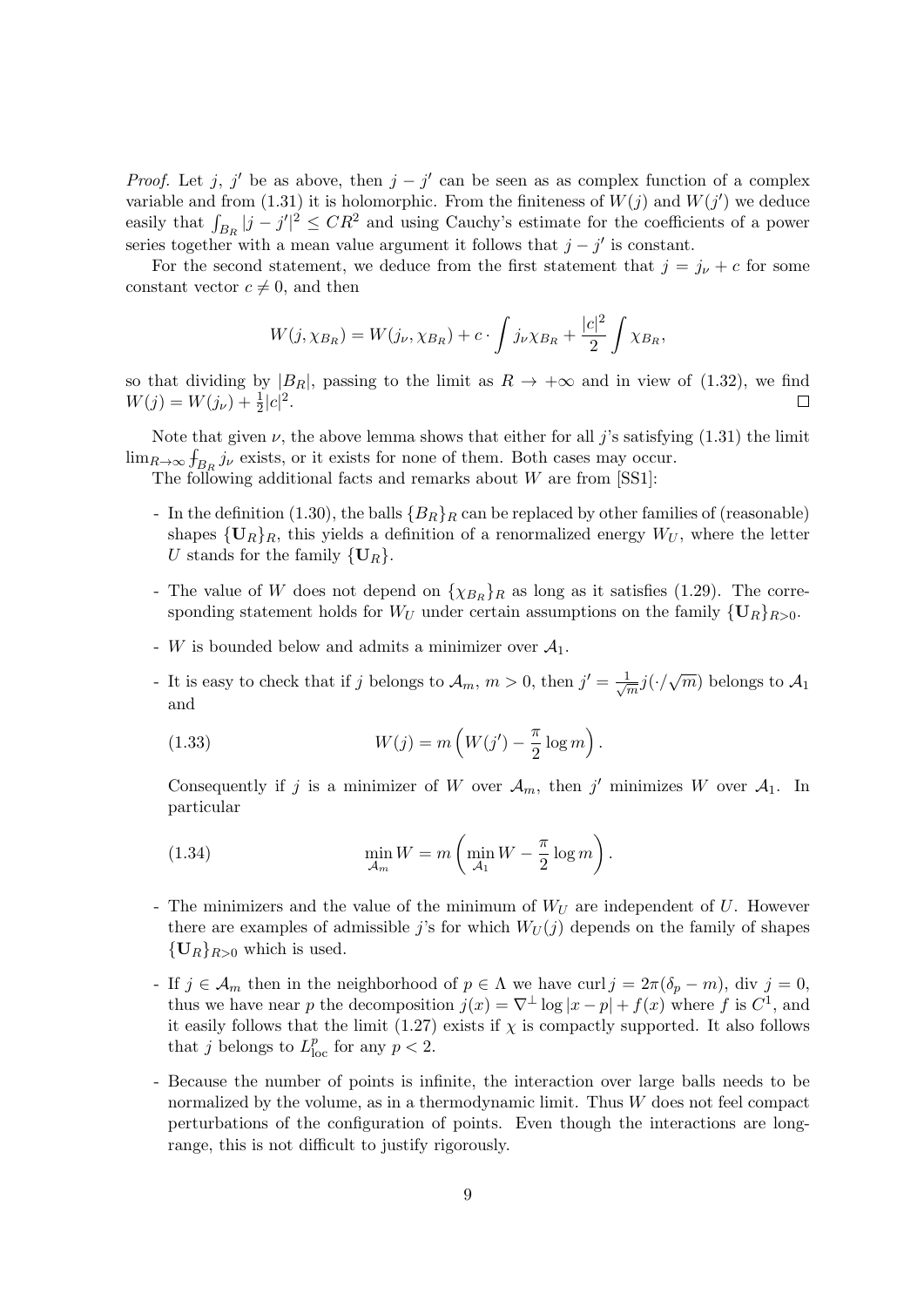*Proof.* Let j, j' be as above, then  $j - j'$  can be seen as as complex function of a complex variable and from (1.31) it is holomorphic. From the finiteness of  $W(j)$  and  $W(j')$  we deduce easily that  $\int_{B_R} |j - j'|^2 \leq CR^2$  and using Cauchy's estimate for the coefficients of a power series together with a mean value argument it follows that  $j - j'$  is constant.

For the second statement, we deduce from the first statement that  $j = j_{\nu} + c$  for some constant vector  $c \neq 0$ , and then

$$
W(j, \chi_{B_R}) = W(j_{\nu}, \chi_{B_R}) + c \cdot \int j_{\nu} \chi_{B_R} + \frac{|c|^2}{2} \int \chi_{B_R},
$$

so that dividing by  $|B_R|$ , passing to the limit as  $R \to +\infty$  and in view of (1.32), we find  $W(j) = W(j_{\nu}) + \frac{1}{2}|c|^2.$  $\Box$ 

Note that given  $\nu$ , the above lemma shows that either for all j's satisfying (1.31) the limit  $\lim_{R\to\infty} f_{B_R} j_{\nu}$  exists, or it exists for none of them. Both cases may occur.

The following additional facts and remarks about  $W$  are from  $[SS1]$ :

- In the definition (1.30), the balls  ${B_R}_R$  can be replaced by other families of (reasonable) shapes  ${\{\mathbf U}_R\}_R$ , this yields a definition of a renormalized energy  $W_U$ , where the letter U stands for the family  $\{U_R\}.$
- The value of W does not depend on  $\{\chi_{B_R}\}_R$  as long as it satisfies (1.29). The corresponding statement holds for  $W_U$  under certain assumptions on the family  $\{U_R\}_{R>0}$ .
- W is bounded below and admits a minimizer over  $\mathcal{A}_1$ .
- It is easy to check that if j belongs to  $\mathcal{A}_m$ ,  $m > 0$ , then  $j' = \frac{1}{\sqrt{2}}$  $\frac{1}{m}j(\cdot/\sqrt{m})$  belongs to  $\mathcal{A}_1$ and

(1.33) 
$$
W(j) = m\left(W(j') - \frac{\pi}{2}\log m\right).
$$

Consequently if j is a minimizer of W over  $\mathcal{A}_m$ , then j' minimizes W over  $\mathcal{A}_1$ . In particular

(1.34) 
$$
\min_{\mathcal{A}_m} W = m \left( \min_{\mathcal{A}_1} W - \frac{\pi}{2} \log m \right).
$$

- The minimizers and the value of the minimum of  $W_U$  are independent of U. However there are examples of admissible j's for which  $W_U(j)$  depends on the family of shapes  ${U_R}_{R>0}$  which is used.
- If  $j \in \mathcal{A}_m$  then in the neighborhood of  $p \in \Lambda$  we have curl  $j = 2\pi(\delta_p m)$ , div  $j = 0$ , thus we have near p the decomposition  $j(x) = \nabla^{\perp} \log |x - p| + f(x)$  where f is  $C^1$ , and it easily follows that the limit (1.27) exists if  $\chi$  is compactly supported. It also follows that j belongs to  $L_{\text{loc}}^p$  for any  $p < 2$ .
- Because the number of points is infinite, the interaction over large balls needs to be normalized by the volume, as in a thermodynamic limit. Thus  $W$  does not feel compact perturbations of the configuration of points. Even though the interactions are longrange, this is not difficult to justify rigorously.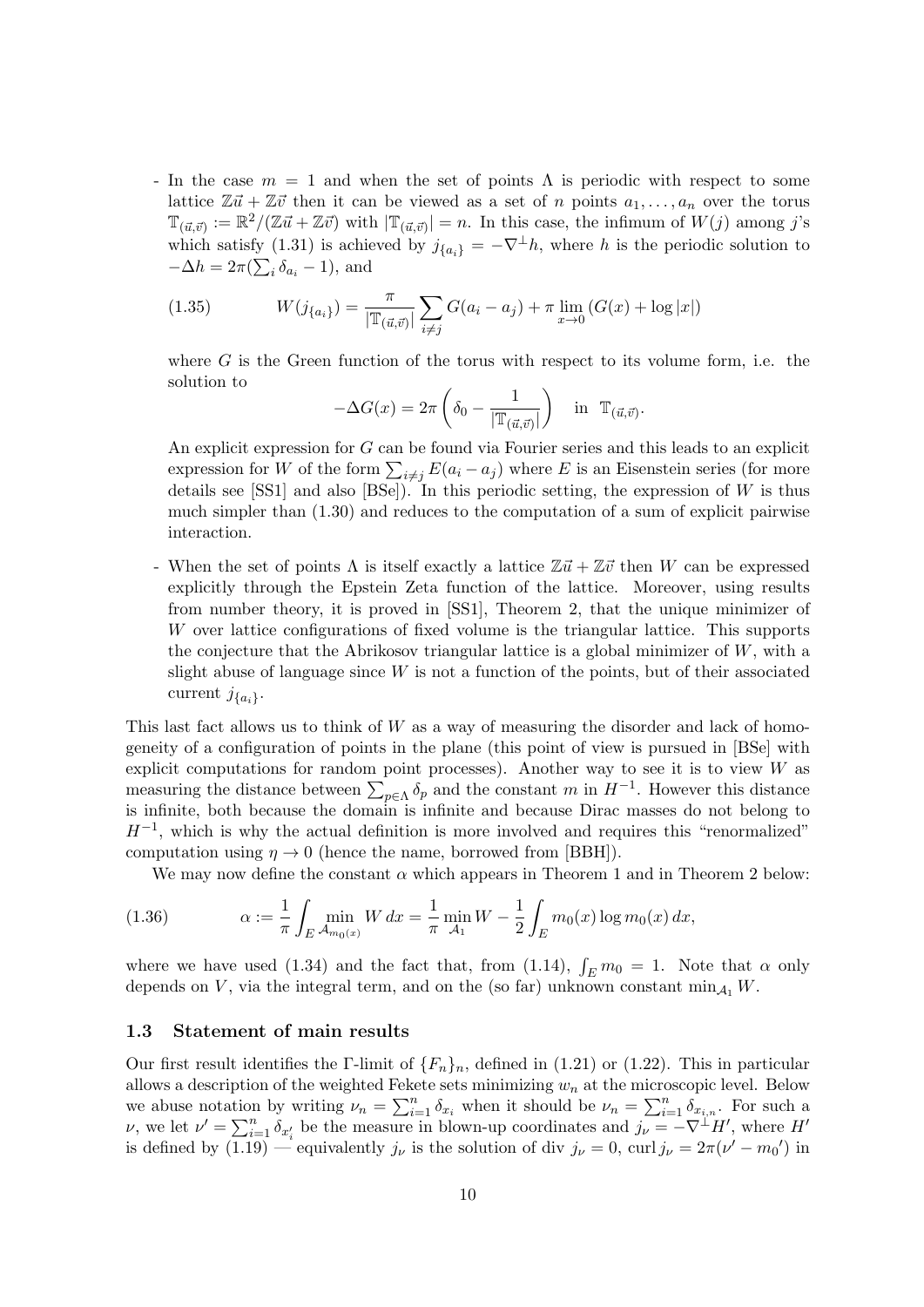- In the case  $m = 1$  and when the set of points  $\Lambda$  is periodic with respect to some lattice  $\mathbb{Z} \vec{u} + \mathbb{Z} \vec{v}$  then it can be viewed as a set of n points  $a_1, \ldots, a_n$  over the torus  $\mathbb{T}_{(\vec{u},\vec{v})} := \mathbb{R}^2/(\mathbb{Z}\vec{u} + \mathbb{Z}\vec{v})$  with  $|\mathbb{T}_{(\vec{u},\vec{v})}| = n$ . In this case, the infimum of  $W(j)$  among j's which satisfy (1.31) is achieved by  $j_{\{a_i\}} = -\nabla^{\perp}h$ , where h is the periodic solution to  $-\Delta h = 2\pi (\sum_i \delta_{a_i} - 1)$ , and

(1.35) 
$$
W(j_{\{a_i\}}) = \frac{\pi}{|\mathbb{T}_{(\vec{a},\vec{v})}|} \sum_{i \neq j} G(a_i - a_j) + \pi \lim_{x \to 0} (G(x) + \log |x|)
$$

where  $G$  is the Green function of the torus with respect to its volume form, i.e. the solution to

$$
-\Delta G(x) = 2\pi \left( \delta_0 - \frac{1}{|\mathbb{T}_{(\vec{u},\vec{v})}|} \right) \text{ in } \mathbb{T}_{(\vec{u},\vec{v})}.
$$

An explicit expression for G can be found via Fourier series and this leads to an explicit expression for W of the form  $\sum_{i \neq j} E(a_i - a_j)$  where E is an Eisenstein series (for more details see [SS1] and also [BSe]). In this periodic setting, the expression of  $W$  is thus much simpler than (1.30) and reduces to the computation of a sum of explicit pairwise interaction.

- When the set of points  $\Lambda$  is itself exactly a lattice  $\mathbb{Z}t + \mathbb{Z}t$  then W can be expressed explicitly through the Epstein Zeta function of the lattice. Moreover, using results from number theory, it is proved in [SS1], Theorem 2, that the unique minimizer of W over lattice configurations of fixed volume is the triangular lattice. This supports the conjecture that the Abrikosov triangular lattice is a global minimizer of W, with a slight abuse of language since  $W$  is not a function of the points, but of their associated current  $j_{\{a_i\}}$ .

This last fact allows us to think of W as a way of measuring the disorder and lack of homogeneity of a configuration of points in the plane (this point of view is pursued in [BSe] with explicit computations for random point processes). Another way to see it is to view  $W$  as measuring the distance between  $\sum_{p\in\Lambda} \delta_p$  and the constant m in  $H^{-1}$ . However this distance is infinite, both because the domain is infinite and because Dirac masses do not belong to  $H^{-1}$ , which is why the actual definition is more involved and requires this "renormalized" computation using  $\eta \to 0$  (hence the name, borrowed from [BBH]).

We may now define the constant  $\alpha$  which appears in Theorem 1 and in Theorem 2 below:

(1.36) 
$$
\alpha := \frac{1}{\pi} \int_{E} \min_{\mathcal{A}_{m_0(x)}} W \, dx = \frac{1}{\pi} \min_{\mathcal{A}_1} W - \frac{1}{2} \int_{E} m_0(x) \log m_0(x) \, dx,
$$

where we have used (1.34) and the fact that, from (1.14),  $\int_E m_0 = 1$ . Note that  $\alpha$  only depends on V, via the integral term, and on the (so far) unknown constant  $\min_{A_1} W$ .

#### 1.3 Statement of main results

Our first result identifies the Γ-limit of  $\{F_n\}_n$ , defined in (1.21) or (1.22). This in particular allows a description of the weighted Fekete sets minimizing  $w_n$  at the microscopic level. Below we abuse notation by writing  $\nu_n = \sum_{i=1}^n \delta_{x_i}$  when it should be  $\nu_n = \sum_{i=1}^n \delta_{x_{i,n}}$ . For such a v, we let  $\nu' = \sum_{i=1}^n \delta_{x'_i}$  be the measure in blown-up coordinates and  $j_{\nu} = -\nabla^{\perp} H'$ , where H is defined by  $(1.19)$  — equivalently  $j_{\nu}$  is the solution of div  $j_{\nu} = 0$ , curl  $j_{\nu} = 2\pi(\nu' - m_0')$  in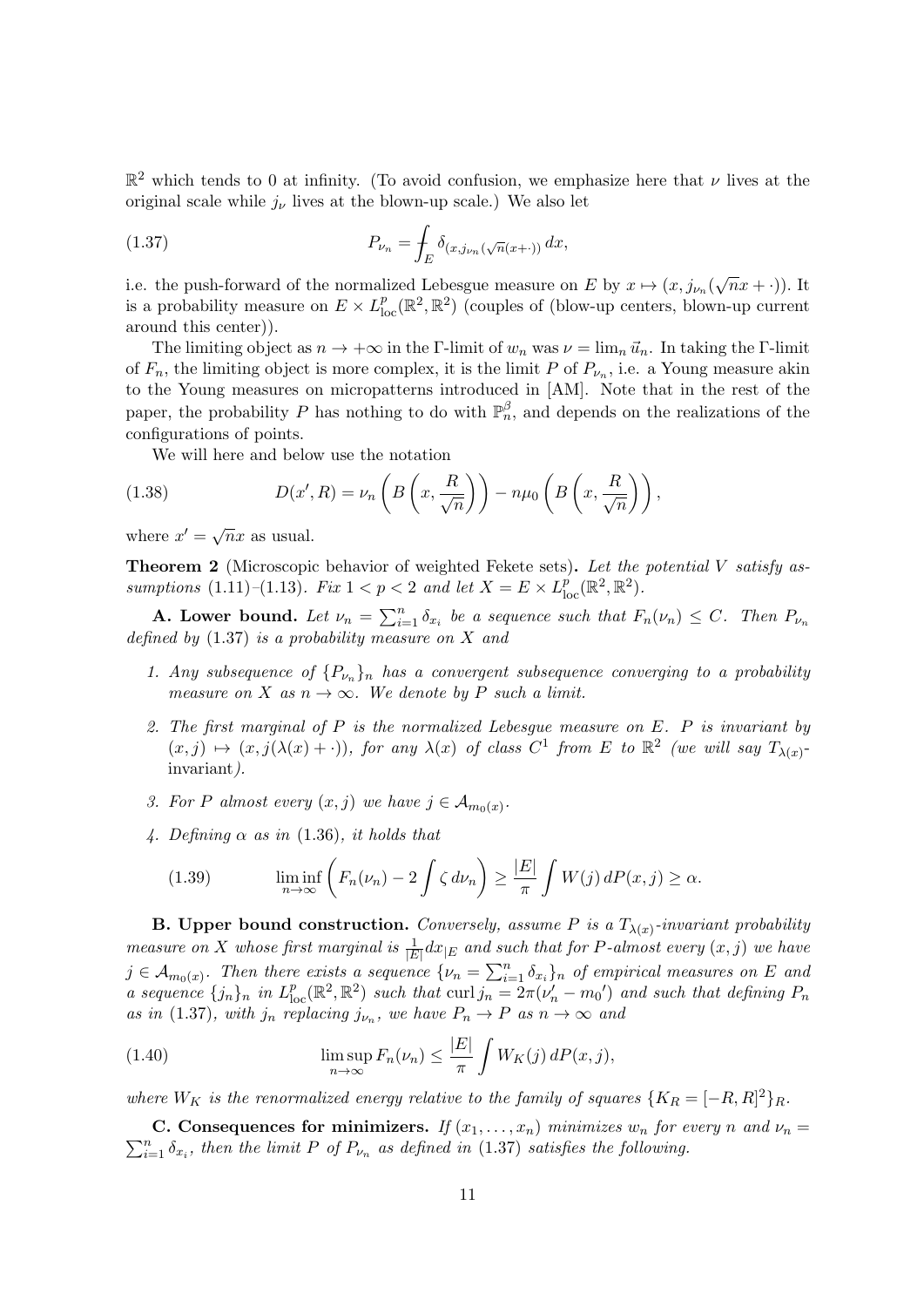$\mathbb{R}^2$  which tends to 0 at infinity. (To avoid confusion, we emphasize here that  $\nu$  lives at the original scale while  $j_{\nu}$  lives at the blown-up scale.) We also let

(1.37) 
$$
P_{\nu_n} = \int_E \delta_{(x, j_{\nu_n}(\sqrt{n}(x+ \cdot))} dx,
$$

i.e. the push-forward of the normalized Lebesgue measure on E by  $x \mapsto (x, j_{\nu_n}(\sqrt{n}x + \cdot))$ . It is a probability measure on  $E \times L^p_{loc}(\mathbb{R}^2, \mathbb{R}^2)$  (couples of (blow-up centers, blown-up current around this center)).

The limiting object as  $n \to +\infty$  in the Γ-limit of  $w_n$  was  $\nu = \lim_n \vec{u}_n$ . In taking the Γ-limit of  $F_n$ , the limiting object is more complex, it is the limit P of  $P_{\nu_n}$ , i.e. a Young measure akin to the Young measures on micropatterns introduced in [AM]. Note that in the rest of the paper, the probability P has nothing to do with  $\mathbb{P}_n^{\beta}$ , and depends on the realizations of the configurations of points.

We will here and below use the notation

(1.38) 
$$
D(x',R) = \nu_n\left(B\left(x,\frac{R}{\sqrt{n}}\right)\right) - n\mu_0\left(B\left(x,\frac{R}{\sqrt{n}}\right)\right),
$$

where  $x' = \sqrt{n}x$  as usual.

**Theorem 2** (Microscopic behavior of weighted Fekete sets). Let the potential V satisfy assumptions (1.11)–(1.13). Fix  $1 < p < 2$  and let  $X = E \times L_{\text{loc}}^p(\mathbb{R}^2, \mathbb{R}^2)$ .

**A. Lower bound.** Let  $\nu_n = \sum_{i=1}^n \delta_{x_i}$  be a sequence such that  $F_n(\nu_n) \leq C$ . Then  $P_{\nu_n}$ defined by  $(1.37)$  is a probability measure on X and

- 1. Any subsequence of  ${P_{\nu_n}}_n$  has a convergent subsequence converging to a probability measure on X as  $n \to \infty$ . We denote by P such a limit.
- 2. The first marginal of  $P$  is the normalized Lebesgue measure on  $E$ .  $P$  is invariant by  $(x, j) \mapsto (x, j(\lambda(x) + \cdot)),$  for any  $\lambda(x)$  of class  $C^1$  from E to  $\mathbb{R}^2$  (we will say  $T_{\lambda(x)}$ invariant).
- 3. For P almost every  $(x, j)$  we have  $j \in A_{m_0(x)}$ .
- 4. Defining  $\alpha$  as in (1.36), it holds that

(1.39) 
$$
\liminf_{n \to \infty} \left( F_n(\nu_n) - 2 \int \zeta \, d\nu_n \right) \ge \frac{|E|}{\pi} \int W(j) \, dP(x, j) \ge \alpha.
$$

**B.** Upper bound construction. Conversely, assume P is a  $T_{\lambda(x)}$ -invariant probability measure on X whose first marginal is  $\frac{1}{|E|}dx_{|E}$  and such that for P-almost every  $(x, j)$  we have  $j \in \mathcal{A}_{m_0(x)}$ . Then there exists a sequence  $\{\nu_n = \sum_{i=1}^n \delta_{x_i}\}_n$  of empirical measures on E and a sequence  $\{j_n\}_n$  in  $L_{loc}^p(\mathbb{R}^2, \mathbb{R}^2)$  such that curl  $j_n = 2\pi(\nu'_n - m_0)$  and such that defining  $P_n$ as in (1.37), with  $j_n$  replacing  $j_{\nu_n}$ , we have  $P_n \to P$  as  $n \to \infty$  and

(1.40) 
$$
\limsup_{n \to \infty} F_n(\nu_n) \leq \frac{|E|}{\pi} \int W_K(j) dP(x, j),
$$

where  $W_K$  is the renormalized energy relative to the family of squares  $\{K_R = [-R, R]^2\}_R$ .

 $\sum_{i=1}^{n} \delta_{x_i}$ , then the limit P of  $P_{\nu_n}$  as defined in (1.37) satisfies the following. C. Consequences for minimizers. If  $(x_1, \ldots, x_n)$  minimizes  $w_n$  for every n and  $\nu_n =$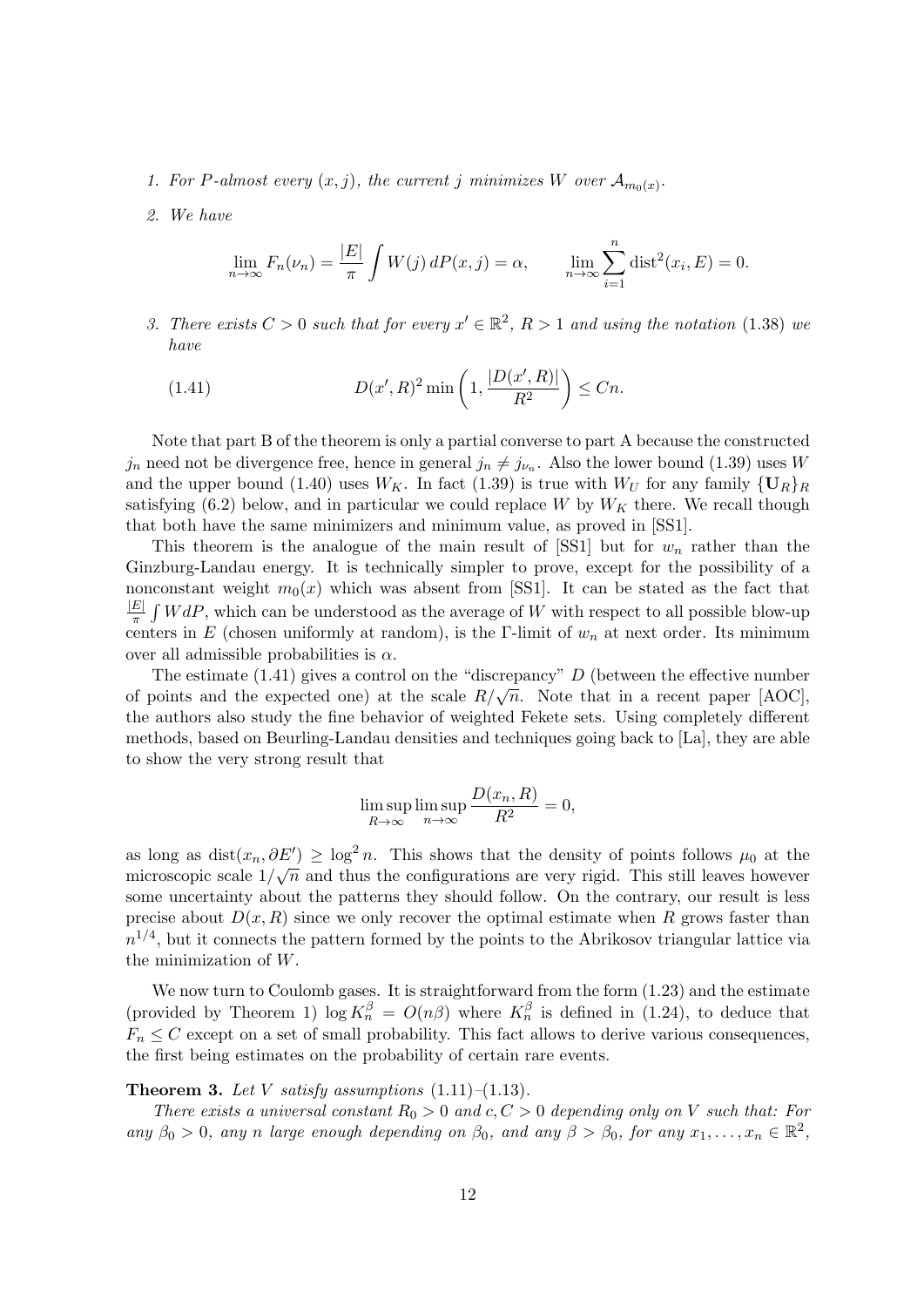- 1. For P-almost every  $(x, j)$ , the current j minimizes W over  $\mathcal{A}_{m_0(x)}$ .
- 2. We have

$$
\lim_{n \to \infty} F_n(\nu_n) = \frac{|E|}{\pi} \int W(j) dP(x, j) = \alpha, \qquad \lim_{n \to \infty} \sum_{i=1}^n \text{dist}^2(x_i, E) = 0.
$$

3. There exists  $C > 0$  such that for every  $x' \in \mathbb{R}^2$ ,  $R > 1$  and using the notation (1.38) we have

(1.41) 
$$
D(x', R)^2 \min\left(1, \frac{|D(x', R)|}{R^2}\right) \leq Cn.
$$

Note that part B of the theorem is only a partial converse to part A because the constructed  $j_n$  need not be divergence free, hence in general  $j_n \neq j_{\nu_n}$ . Also the lower bound (1.39) uses W and the upper bound (1.40) uses  $W_K$ . In fact (1.39) is true with  $W_U$  for any family  $\{U_R\}_R$ satisfying (6.2) below, and in particular we could replace W by  $W_K$  there. We recall though that both have the same minimizers and minimum value, as proved in [SS1].

This theorem is the analogue of the main result of  $[SS1]$  but for  $w_n$  rather than the Ginzburg-Landau energy. It is technically simpler to prove, except for the possibility of a nonconstant weight  $m_0(x)$  which was absent from [SS1]. It can be stated as the fact that  $\left|E\right|$  $\frac{E}{\pi} \int W dP$ , which can be understood as the average of W with respect to all possible blow-up centers in E (chosen uniformly at random), is the Γ-limit of  $w_n$  at next order. Its minimum over all admissible probabilities is  $\alpha$ .

The estimate  $(1.41)$  gives a control on the "discrepancy" D (between the effective number The estimate (1.41) gives a control on the discrepancy  $D$  (between the enective number<br>of points and the expected one) at the scale  $R/\sqrt{n}$ . Note that in a recent paper [AOC], the authors also study the fine behavior of weighted Fekete sets. Using completely different methods, based on Beurling-Landau densities and techniques going back to [La], they are able to show the very strong result that

$$
\limsup_{R \to \infty} \limsup_{n \to \infty} \frac{D(x_n, R)}{R^2} = 0,
$$

as long as dist $(x_n, \partial E') \geq \log^2 n$ . This shows that the density of points follows  $\mu_0$  at the microscopic scale  $1/\sqrt{n}$  and thus the configurations are very rigid. This still leaves however some uncertainty about the patterns they should follow. On the contrary, our result is less precise about  $D(x, R)$  since we only recover the optimal estimate when R grows faster than  $n^{1/4}$ , but it connects the pattern formed by the points to the Abrikosov triangular lattice via the minimization of W.

We now turn to Coulomb gases. It is straightforward from the form  $(1.23)$  and the estimate (provided by Theorem 1)  $\log K_n^{\beta} = O(n\beta)$  where  $K_n^{\beta}$  is defined in (1.24), to deduce that  $F_n \leq C$  except on a set of small probability. This fact allows to derive various consequences, the first being estimates on the probability of certain rare events.

#### **Theorem 3.** Let V satisfy assumptions  $(1.11)$ – $(1.13)$ .

There exists a universal constant  $R_0 > 0$  and  $c, C > 0$  depending only on V such that: For any  $\beta_0 > 0$ , any n large enough depending on  $\beta_0$ , and any  $\beta > \beta_0$ , for any  $x_1, \ldots, x_n \in \mathbb{R}^2$ ,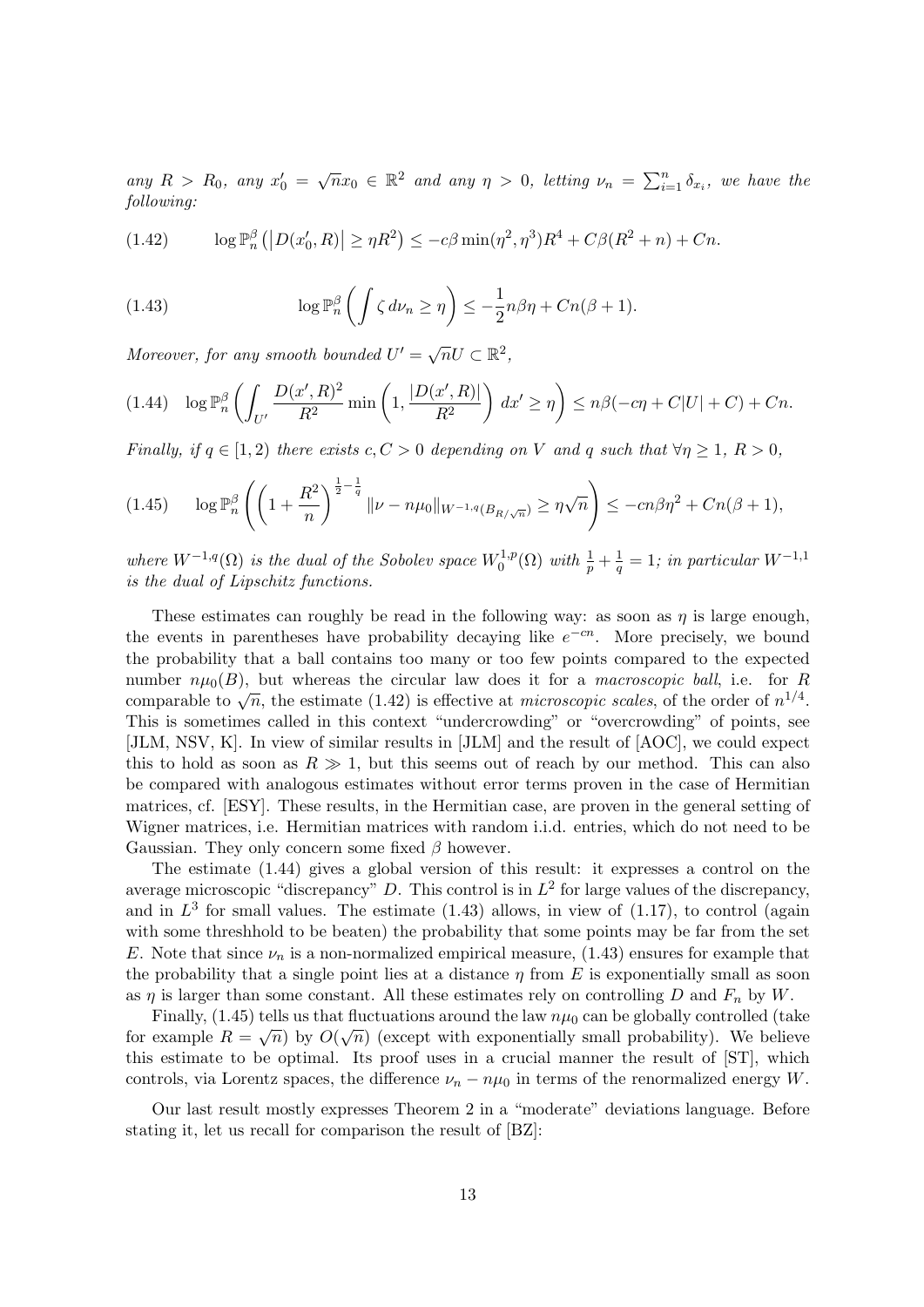any  $R > R_0$ , any  $x'_0 = \sqrt{n}x_0 \in \mathbb{R}^2$  and any  $\eta > 0$ , letting  $\nu_n = \sum_{i=1}^n \delta_{x_i}$ , we have the following:

(1.42) 
$$
\log \mathbb{P}_n^{\beta} (|D(x'_0, R)| \ge \eta R^2) \le -c\beta \min(\eta^2, \eta^3) R^4 + C\beta (R^2 + n) + Cn.
$$

(1.43) 
$$
\log \mathbb{P}_n^{\beta} \left( \int \zeta \, d\nu_n \ge \eta \right) \le -\frac{1}{2} n \beta \eta + C n(\beta + 1).
$$

Moreover, for any smooth bounded  $U' = \sqrt{n}U \subset \mathbb{R}^2$ ,

$$
(1.44) \quad \log \mathbb{P}_n^{\beta} \left( \int_{U'} \frac{D(x', R)^2}{R^2} \min\left(1, \frac{|D(x', R)|}{R^2}\right) dx' \ge \eta \right) \le n\beta(-c\eta + C|U| + C) + Cn.
$$

Finally, if  $q \in [1, 2)$  there exists  $c, C > 0$  depending on V and q such that  $\forall \eta \geq 1, R > 0$ ,

$$
(1.45) \qquad \log \mathbb{P}_{n}^{\beta} \left( \left( 1 + \frac{R^2}{n} \right)^{\frac{1}{2} - \frac{1}{q}} \| \nu - n\mu_0 \|_{W^{-1,q}(B_{R/\sqrt{n}})} \ge \eta \sqrt{n} \right) \le -cn\beta \eta^2 + Cn(\beta + 1),
$$

where  $W^{-1,q}(\Omega)$  is the dual of the Sobolev space  $W_0^{1,p}$  $v_0^{1,p}(\Omega)$  with  $\frac{1}{p}+\frac{1}{q}$  $\frac{1}{q} = 1$ ; in particular  $W^{-1,1}$ is the dual of Lipschitz functions.

These estimates can roughly be read in the following way: as soon as  $\eta$  is large enough, the events in parentheses have probability decaying like  $e^{-cn}$ . More precisely, we bound the probability that a ball contains too many or too few points compared to the expected number  $n\mu_0(B)$ , but whereas the circular law does it for a *macroscopic ball*, i.e. for R comparable to  $\sqrt{n}$ , the estimate (1.42) is effective at *microscopic scales*, of the order of  $n^{1/4}$ . This is sometimes called in this context "undercrowding" or "overcrowding" of points, see [JLM, NSV, K]. In view of similar results in [JLM] and the result of [AOC], we could expect this to hold as soon as  $R \gg 1$ , but this seems out of reach by our method. This can also be compared with analogous estimates without error terms proven in the case of Hermitian matrices, cf. [ESY]. These results, in the Hermitian case, are proven in the general setting of Wigner matrices, i.e. Hermitian matrices with random i.i.d. entries, which do not need to be Gaussian. They only concern some fixed  $\beta$  however.

The estimate (1.44) gives a global version of this result: it expresses a control on the average microscopic "discrepancy" D. This control is in  $L^2$  for large values of the discrepancy, and in  $L^3$  for small values. The estimate (1.43) allows, in view of (1.17), to control (again with some threshhold to be beaten) the probability that some points may be far from the set E. Note that since  $\nu_n$  is a non-normalized empirical measure, (1.43) ensures for example that the probability that a single point lies at a distance  $\eta$  from E is exponentially small as soon as  $\eta$  is larger than some constant. All these estimates rely on controlling D and  $F_n$  by W.

Finally, (1.45) tells us that fluctuations around the law  $n\mu_0$  can be globally controlled (take for example  $R = \sqrt{n}$ ) by  $O(\sqrt{n})$  (except with exponentially small probability). We believe this estimate to be optimal. Its proof uses in a crucial manner the result of [ST], which controls, via Lorentz spaces, the difference  $\nu_n - n\mu_0$  in terms of the renormalized energy W.

Our last result mostly expresses Theorem 2 in a "moderate" deviations language. Before stating it, let us recall for comparison the result of [BZ]: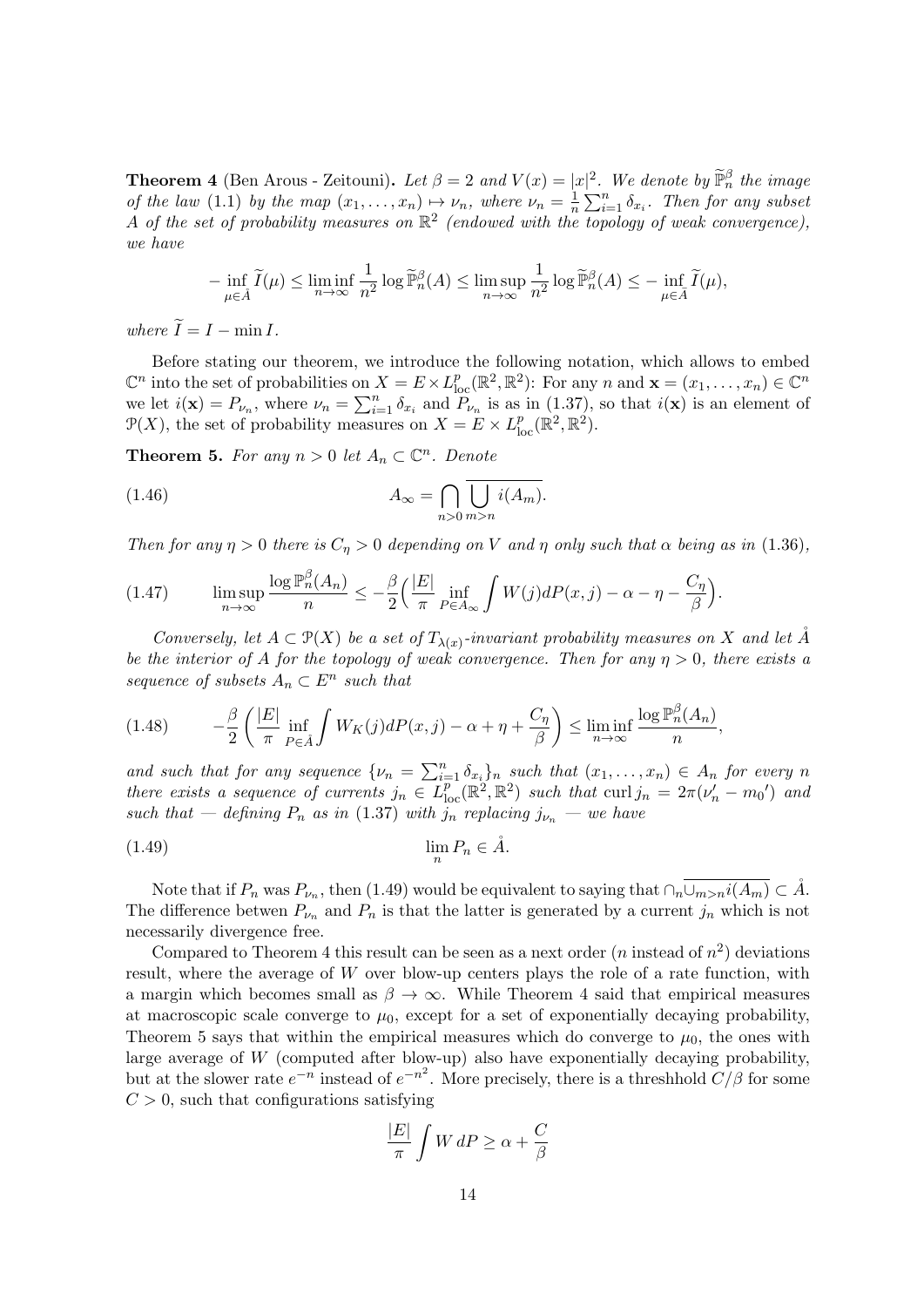**Theorem 4** (Ben Arous - Zeitouni). Let  $\beta = 2$  and  $V(x) = |x|^2$ . We denote by  $\widetilde{\mathbb{P}}_n^{\beta}$  the image of the law (1.1) by the map  $(x_1, \ldots, x_n) \mapsto \nu_n$ , where  $\nu_n = \frac{1}{n}$  $\frac{1}{n} \sum_{i=1}^{n} \delta_{x_i}$ . Then for any subset A of the set of probability measures on  $\mathbb{R}^2$  (endowed with the topology of weak convergence), we have

$$
-\inf_{\mu\in\tilde A}\widetilde I(\mu)\leq \liminf_{n\to\infty}\frac1{n^2}\log\widetilde {\mathbb P}_n^\beta(A)\leq \limsup_{n\to\infty}\frac1{n^2}\log\widetilde {\mathbb P}_n^\beta(A)\leq -\inf_{\mu\in\bar A}\widetilde I(\mu),
$$

where  $\widetilde{I} = I - \min I$ .

Before stating our theorem, we introduce the following notation, which allows to embed  $\mathbb{C}^n$  into the set of probabilities on  $X = E \times L_{\text{loc}}^p(\mathbb{R}^2, \mathbb{R}^2)$ : For any n and  $\mathbf{x} = (x_1, \dots, x_n) \in \mathbb{C}^n$ we let  $i(\mathbf{x}) = P_{\nu_n}$ , where  $\nu_n = \sum_{i=1}^n \delta_{x_i}$  and  $P_{\nu_n}$  is as in (1.37), so that  $i(\mathbf{x})$  is an element of  $\mathcal{P}(X)$ , the set of probability measures on  $X = E \times L^p_{loc}(\mathbb{R}^2, \mathbb{R}^2)$ .

**Theorem 5.** For any  $n > 0$  let  $A_n \subset \mathbb{C}^n$ . Denote

(1.46) 
$$
A_{\infty} = \bigcap_{n>0} \overline{\bigcup_{m>n} i(A_m)}.
$$

Then for any  $\eta > 0$  there is  $C_{\eta} > 0$  depending on V and  $\eta$  only such that  $\alpha$  being as in (1.36),

(1.47) 
$$
\limsup_{n \to \infty} \frac{\log \mathbb{P}_n^{\beta}(A_n)}{n} \leq -\frac{\beta}{2} \left( \frac{|E|}{\pi} \inf_{P \in A_\infty} \int W(j) dP(x, j) - \alpha - \eta - \frac{C_\eta}{\beta} \right).
$$

Conversely, let  $A \subset \mathcal{P}(X)$  be a set of  $T_{\lambda(x)}$ -invariant probability measures on X and let  $\AA$ be the interior of A for the topology of weak convergence. Then for any  $\eta > 0$ , there exists a sequence of subsets  $A_n \subset E^n$  such that

$$
(1.48) \qquad -\frac{\beta}{2} \left( \frac{|E|}{\pi} \inf_{P \in \mathring{A}} \int W_K(j) dP(x, j) - \alpha + \eta + \frac{C_\eta}{\beta} \right) \leq \liminf_{n \to \infty} \frac{\log \mathbb{P}_n^{\beta}(A_n)}{n},
$$

and such that for any sequence  $\{\nu_n = \sum_{i=1}^n \delta_{x_i}\}_n$  such that  $(x_1, \ldots, x_n) \in A_n$  for every n there exists a sequence of currents  $j_n \in L^p_{loc}(\mathbb{R}^2, \mathbb{R}^2)$  such that curl  $j_n = 2\pi(\nu'_n - m_0')$  and such that — defining  $P_n$  as in (1.37) with  $\hat{j}_n$  replacing  $j_{\nu_n}$  — we have

$$
\lim_{n} P_n \in \mathring{A}.
$$

Note that if  $P_n$  was  $P_{\nu_n}$ , then (1.49) would be equivalent to saying that  $\cap_n \overline{\cup_{m>n}i(A_m)} \subset \AA$ . The difference betwen  $P_{\nu_n}$  and  $P_n$  is that the latter is generated by a current  $j_n$  which is not necessarily divergence free.

Compared to Theorem 4 this result can be seen as a next order  $(n \text{ instead of } n^2)$  deviations result, where the average of W over blow-up centers plays the role of a rate function, with a margin which becomes small as  $\beta \to \infty$ . While Theorem 4 said that empirical measures at macroscopic scale converge to  $\mu_0$ , except for a set of exponentially decaying probability, Theorem 5 says that within the empirical measures which do converge to  $\mu_0$ , the ones with large average of  $W$  (computed after blow-up) also have exponentially decaying probability, but at the slower rate  $e^{-n}$  instead of  $e^{-n^2}$ . More precisely, there is a threshhold  $C/\beta$  for some  $C > 0$ , such that configurations satisfying

$$
\frac{|E|}{\pi} \int W dP \ge \alpha + \frac{C}{\beta}
$$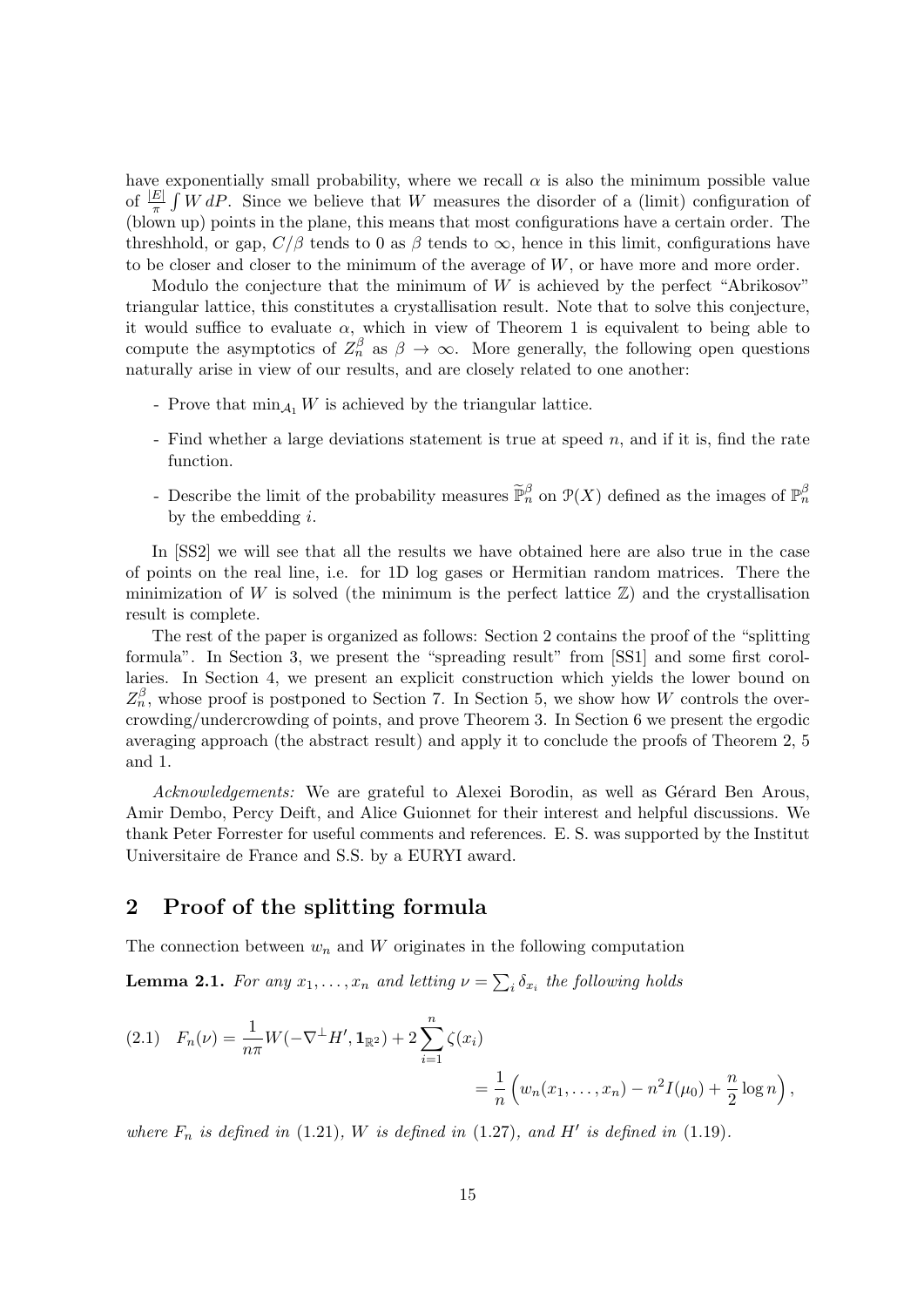have exponentially small probability, where we recall  $\alpha$  is also the minimum possible value of  $\frac{|E|}{\pi} \int W dP$ . Since we believe that W measures the disorder of a (limit) configuration of (blown up) points in the plane, this means that most configurations have a certain order. The threshhold, or gap,  $C/\beta$  tends to 0 as  $\beta$  tends to  $\infty$ , hence in this limit, configurations have to be closer and closer to the minimum of the average of  $W$ , or have more and more order.

Modulo the conjecture that the minimum of  $W$  is achieved by the perfect "Abrikosov" triangular lattice, this constitutes a crystallisation result. Note that to solve this conjecture, it would suffice to evaluate  $\alpha$ , which in view of Theorem 1 is equivalent to being able to compute the asymptotics of  $Z_n^{\beta}$  as  $\beta \to \infty$ . More generally, the following open questions naturally arise in view of our results, and are closely related to one another:

- Prove that  $\min_{A_1} W$  is achieved by the triangular lattice.
- Find whether a large deviations statement is true at speed  $n$ , and if it is, find the rate function.
- Describe the limit of the probability measures  $\tilde{\mathbb{P}}_n^{\beta}$  on  $\mathcal{P}(X)$  defined as the images of  $\mathbb{P}_n^{\beta}$ by the embedding  $i$ .

In [SS2] we will see that all the results we have obtained here are also true in the case of points on the real line, i.e. for 1D log gases or Hermitian random matrices. There the minimization of W is solved (the minimum is the perfect lattice  $\mathbb{Z}$ ) and the crystallisation result is complete.

The rest of the paper is organized as follows: Section 2 contains the proof of the "splitting formula". In Section 3, we present the "spreading result" from [SS1] and some first corollaries. In Section 4, we present an explicit construction which yields the lower bound on  $Z_n^{\beta}$ , whose proof is postponed to Section 7. In Section 5, we show how W controls the overcrowding/undercrowding of points, and prove Theorem 3. In Section 6 we present the ergodic averaging approach (the abstract result) and apply it to conclude the proofs of Theorem 2, 5 and 1.

Acknowledgements: We are grateful to Alexei Borodin, as well as Gérard Ben Arous, Amir Dembo, Percy Deift, and Alice Guionnet for their interest and helpful discussions. We thank Peter Forrester for useful comments and references. E. S. was supported by the Institut Universitaire de France and S.S. by a EURYI award.

## 2 Proof of the splitting formula

The connection between  $w_n$  and W originates in the following computation

**Lemma 2.1.** For any  $x_1, \ldots, x_n$  and letting  $\nu = \sum_i \delta_{x_i}$  the following holds

$$
(2.1) \quad F_n(\nu) = \frac{1}{n\pi} W(-\nabla^{\perp} H', \mathbf{1}_{\mathbb{R}^2}) + 2 \sum_{i=1}^n \zeta(x_i)
$$
  
= 
$$
\frac{1}{n} \left( w_n(x_1, \dots, x_n) - n^2 I(\mu_0) + \frac{n}{2} \log n \right),
$$

where  $F_n$  is defined in (1.21), W is defined in (1.27), and H' is defined in (1.19).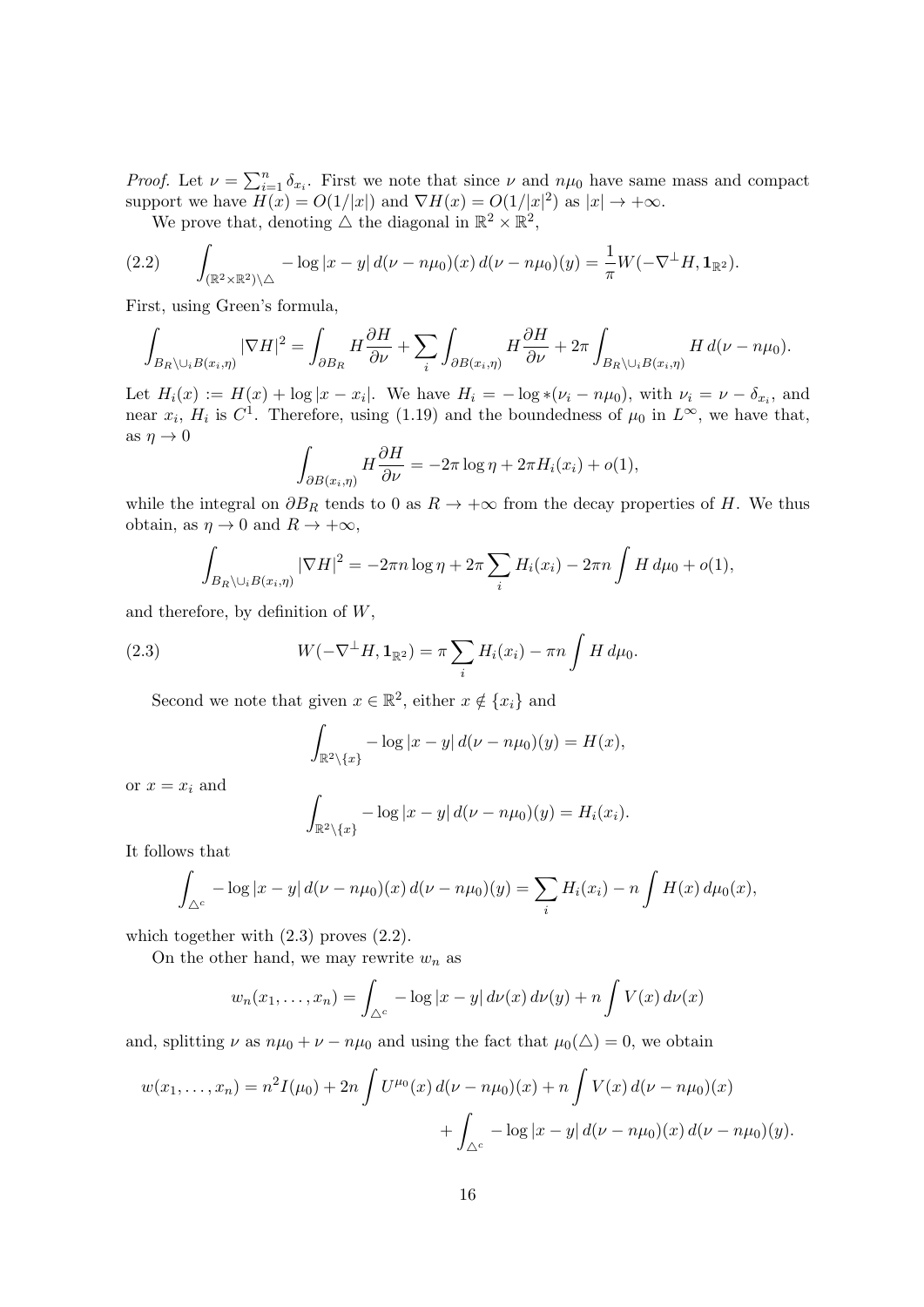*Proof.* Let  $\nu = \sum_{i=1}^n \delta_{x_i}$ . First we note that since  $\nu$  and  $n\mu_0$  have same mass and compact support we have  $H(x) = O(1/|x|)$  and  $\nabla H(x) = O(1/|x|^2)$  as  $|x| \to +\infty$ .

We prove that, denoting  $\triangle$  the diagonal in  $\mathbb{R}^2 \times \mathbb{R}^2$ ,

$$
(2.2) \qquad \int_{(\mathbb{R}^2 \times \mathbb{R}^2) \setminus \triangle} -\log |x - y| \, d(\nu - n\mu_0)(x) \, d(\nu - n\mu_0)(y) = \frac{1}{\pi} W(-\nabla^{\perp} H, \mathbf{1}_{\mathbb{R}^2}).
$$

First, using Green's formula,

$$
\int_{B_R\setminus\cup_i B(x_i,\eta)} |\nabla H|^2 = \int_{\partial B_R} H \frac{\partial H}{\partial \nu} + \sum_i \int_{\partial B(x_i,\eta)} H \frac{\partial H}{\partial \nu} + 2\pi \int_{B_R\setminus\cup_i B(x_i,\eta)} H d(\nu - n\mu_0).
$$

Let  $H_i(x) := H(x) + \log |x - x_i|$ . We have  $H_i = -\log \ast (\nu_i - n\mu_0)$ , with  $\nu_i = \nu - \delta_{x_i}$ , and near  $x_i$ ,  $H_i$  is  $C^1$ . Therefore, using (1.19) and the boundedness of  $\mu_0$  in  $L^{\infty}$ , we have that, as  $\eta \to 0$ 

$$
\int_{\partial B(x_i,\eta)} H \frac{\partial H}{\partial \nu} = -2\pi \log \eta + 2\pi H_i(x_i) + o(1),
$$

while the integral on  $\partial B_R$  tends to 0 as  $R \to +\infty$  from the decay properties of H. We thus obtain, as  $\eta \to 0$  and  $R \to +\infty$ ,

$$
\int_{B_R\setminus\cup_i B(x_i,\eta)} |\nabla H|^2 = -2\pi n \log \eta + 2\pi \sum_i H_i(x_i) - 2\pi n \int H d\mu_0 + o(1),
$$

and therefore, by definition of  $W$ ,

(2.3) 
$$
W(-\nabla^{\perp}H, \mathbf{1}_{\mathbb{R}^2}) = \pi \sum_i H_i(x_i) - \pi n \int H d\mu_0.
$$

Second we note that given  $x \in \mathbb{R}^2$ , either  $x \notin \{x_i\}$  and

$$
\int_{\mathbb{R}^2 \setminus \{x\}} -\log|x-y| d(\nu - n\mu_0)(y) = H(x),
$$

or  $x = x_i$  and

$$
\int_{\mathbb{R}^2 \setminus \{x\}} -\log|x - y| d(\nu - n\mu_0)(y) = H_i(x_i).
$$

It follows that

$$
\int_{\Delta^c} -\log |x-y| d(\nu - n\mu_0)(x) d(\nu - n\mu_0)(y) = \sum_i H_i(x_i) - n \int H(x) d\mu_0(x),
$$

which together with  $(2.3)$  proves  $(2.2)$ .

On the other hand, we may rewrite  $w_n$  as

$$
w_n(x_1,\ldots,x_n) = \int_{\Delta^c} -\log|x-y| \, d\nu(x) \, d\nu(y) + n \int V(x) \, d\nu(x)
$$

and, splitting  $\nu$  as  $n\mu_0 + \nu - n\mu_0$  and using the fact that  $\mu_0(\triangle) = 0$ , we obtain

$$
w(x_1,...,x_n) = n^2 I(\mu_0) + 2n \int U^{\mu_0}(x) d(\nu - n\mu_0)(x) + n \int V(x) d(\nu - n\mu_0)(x) + \int_{\Delta^c} -\log|x - y| d(\nu - n\mu_0)(x) d(\nu - n\mu_0)(y).
$$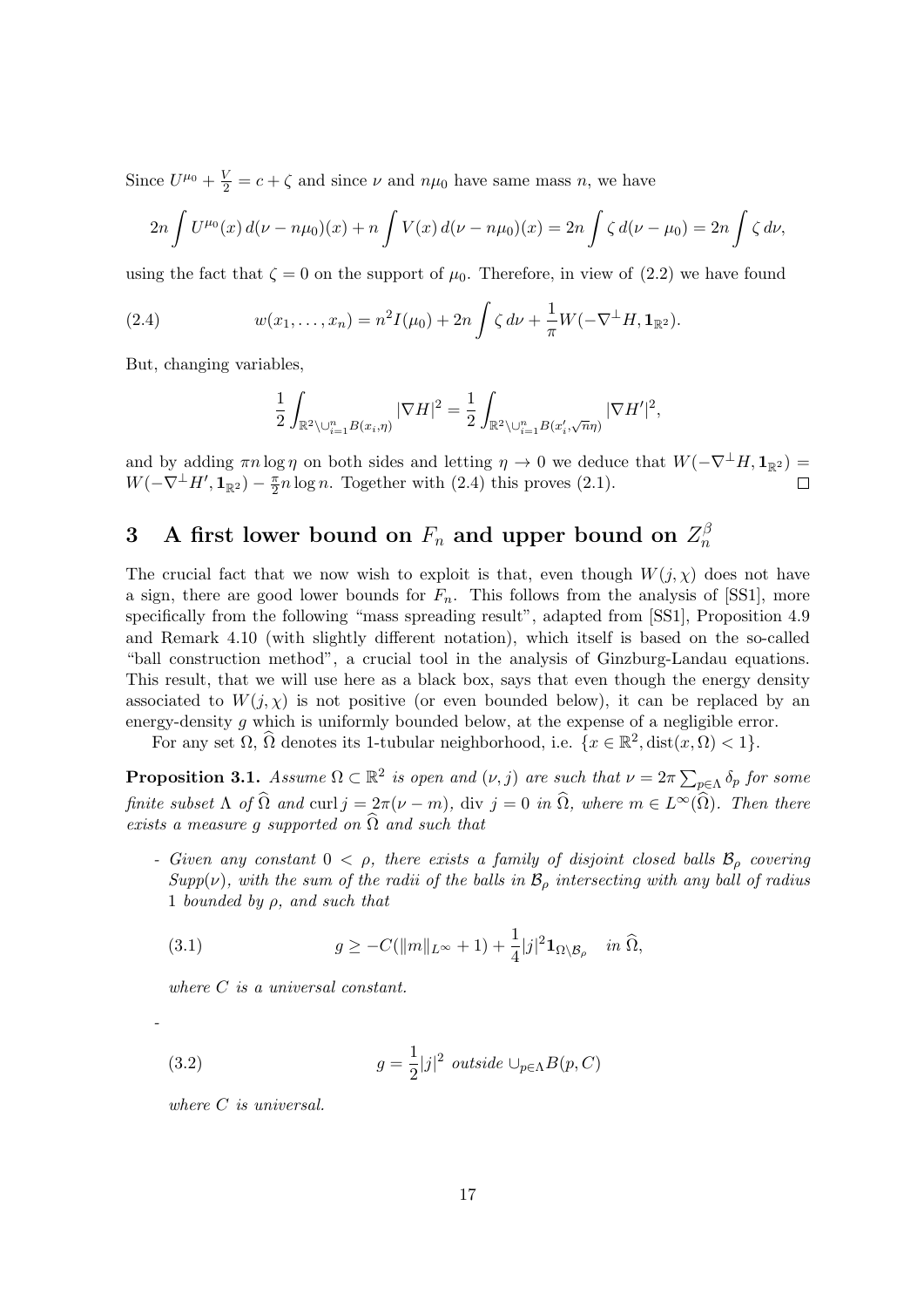Since  $U^{\mu_0} + \frac{V}{2} = c + \zeta$  and since  $\nu$  and  $n\mu_0$  have same mass n, we have

$$
2n \int U^{\mu_0}(x) d(\nu - n\mu_0)(x) + n \int V(x) d(\nu - n\mu_0)(x) = 2n \int \zeta d(\nu - \mu_0) = 2n \int \zeta d\nu,
$$

using the fact that  $\zeta = 0$  on the support of  $\mu_0$ . Therefore, in view of (2.2) we have found

(2.4) 
$$
w(x_1,...,x_n) = n^2 I(\mu_0) + 2n \int \zeta \, d\nu + \frac{1}{\pi} W(-\nabla^{\perp} H, \mathbf{1}_{\mathbb{R}^2}).
$$

But, changing variables,

$$
\frac{1}{2} \int_{\mathbb{R}^2 \setminus \cup_{i=1}^n B(x_i, \eta)} |\nabla H|^2 = \frac{1}{2} \int_{\mathbb{R}^2 \setminus \cup_{i=1}^n B(x'_i, \sqrt{n}\eta)} |\nabla H'|^2,
$$

and by adding  $\pi n \log \eta$  on both sides and letting  $\eta \to 0$  we deduce that  $W(-\nabla^{\perp} H, \mathbf{1}_{\mathbb{R}^2}) =$  $W(-\nabla^{\perp}H',{\bf 1}_{\mathbb{R}^2})-\frac{\pi}{2}$  $\frac{\pi}{2}n \log n$ . Together with (2.4) this proves (2.1).  $\Box$ 

#### 3 A first lower bound on  $F_n$  and upper bound on  $Z_n^{\beta}$ n

The crucial fact that we now wish to exploit is that, even though  $W(j, \chi)$  does not have a sign, there are good lower bounds for  $F_n$ . This follows from the analysis of [SS1], more specifically from the following "mass spreading result", adapted from [SS1], Proposition 4.9 and Remark 4.10 (with slightly different notation), which itself is based on the so-called "ball construction method", a crucial tool in the analysis of Ginzburg-Landau equations. This result, that we will use here as a black box, says that even though the energy density associated to  $W(j, \chi)$  is not positive (or even bounded below), it can be replaced by an energy-density q which is uniformly bounded below, at the expense of a negligible error.

For any set  $\Omega$ ,  $\widehat{\Omega}$  denotes its 1-tubular neighborhood, i.e.  $\{x \in \mathbb{R}^2, \text{dist}(x, \Omega) < 1\}.$ 

**Proposition 3.1.** Assume  $\Omega \subset \mathbb{R}^2$  is open and  $(\nu, j)$  are such that  $\nu = 2\pi \sum_{p \in \Lambda} \delta_p$  for some finite subset  $\Lambda$  of  $\widehat{\Omega}$  and curl  $j = 2\pi(\nu - m)$ , div  $j = 0$  in  $\widehat{\Omega}$ , where  $m \in L^{\infty}(\widehat{\Omega})$ . Then there exists a measure q supported on  $\hat{\Omega}$  and such that

- Given any constant  $0 < \rho$ , there exists a family of disjoint closed balls  $\mathcal{B}_{\rho}$  covering  $Supp(\nu)$ , with the sum of the radii of the balls in  $\mathcal{B}_{\rho}$  intersecting with any ball of radius 1 bounded by  $\rho$ , and such that

(3.1) 
$$
g \geq -C(||m||_{L^{\infty}} + 1) + \frac{1}{4}|j|^2 \mathbf{1}_{\Omega \setminus \mathcal{B}_{\rho}} \quad in \ \widehat{\Omega},
$$

where  $C$  is a universal constant.

(3.2) 
$$
g = \frac{1}{2}|j|^2 \text{ outside } \cup_{p \in \Lambda} B(p, C)
$$

where C is universal.

-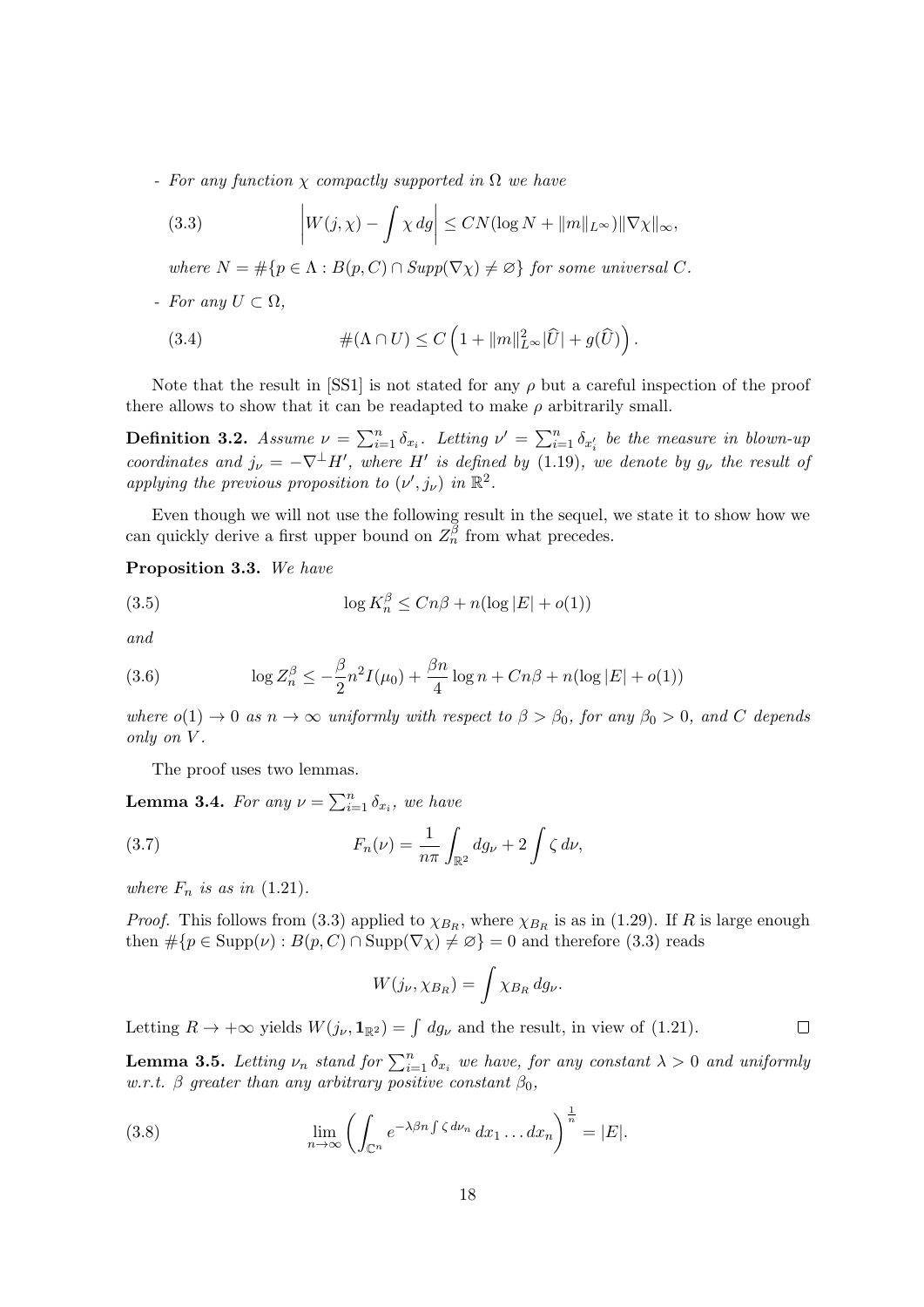- For any function  $\chi$  compactly supported in  $\Omega$  we have

(3.3) 
$$
\left|W(j,\chi)-\int \chi \, dg\right| \leq CN(\log N + \|m\|_{L^\infty})\|\nabla \chi\|_{\infty},
$$

where  $N = \#\{p \in \Lambda : B(p, C) \cap \text{Supp}(\nabla \chi) \neq \emptyset\}$  for some universal C.

- For any  $U \subset \Omega$ ,

(3.4) 
$$
\#(\Lambda \cap U) \leq C \left(1 + ||m||_{L^{\infty}}^2 |\widehat{U}| + g(\widehat{U})\right).
$$

Note that the result in [SS1] is not stated for any  $\rho$  but a careful inspection of the proof there allows to show that it can be readapted to make  $\rho$  arbitrarily small.

**Definition 3.2.** Assume  $\nu = \sum_{i=1}^n \delta_{x_i}$ . Letting  $\nu' = \sum_{i=1}^n \delta_{x'_i}$  be the measure in blown-up coordinates and  $j_{\nu} = -\nabla^{\perp} H'$ , where H' is defined by (1.19), we denote by  $g_{\nu}$  the result of applying the previous proposition to  $(\nu', j_{\nu})$  in  $\mathbb{R}^2$ .

Even though we will not use the following result in the sequel, we state it to show how we can quickly derive a first upper bound on  $Z_n^{\overline{\beta}}$  from what precedes.

Proposition 3.3. We have

(3.5) 
$$
\log K_n^{\beta} \le Cn\beta + n(\log|E| + o(1))
$$

and

(3.6) 
$$
\log Z_n^{\beta} \le -\frac{\beta}{2} n^2 I(\mu_0) + \frac{\beta n}{4} \log n + Cn\beta + n(\log |E| + o(1))
$$

where  $o(1) \rightarrow 0$  as  $n \rightarrow \infty$  uniformly with respect to  $\beta > \beta_0$ , for any  $\beta_0 > 0$ , and C depends only on V .

The proof uses two lemmas.

**Lemma 3.4.** For any  $\nu = \sum_{i=1}^{n} \delta_{x_i}$ , we have

(3.7) 
$$
F_n(\nu) = \frac{1}{n\pi} \int_{\mathbb{R}^2} dg_{\nu} + 2 \int \zeta d\nu,
$$

where  $F_n$  is as in  $(1.21)$ .

*Proof.* This follows from (3.3) applied to  $\chi_{B_R}$ , where  $\chi_{B_R}$  is as in (1.29). If R is large enough then  $\#\{p \in \text{Supp}(\nu) : B(p, C) \cap \text{Supp}(\nabla \chi) \neq \emptyset\} = 0$  and therefore (3.3) reads

$$
W(j_{\nu},\chi_{B_R})=\int \chi_{B_R} \, dg_{\nu}.
$$

Letting  $R \to +\infty$  yields  $W(j_{\nu}, \mathbf{1}_{\mathbb{R}^2}) = \int dg_{\nu}$  and the result, in view of (1.21).  $\Box$ 

**Lemma 3.5.** Letting  $\nu_n$  stand for  $\sum_{i=1}^n \delta_{x_i}$  we have, for any constant  $\lambda > 0$  and uniformly w.r.t. β greater than any arbitrary positive constant  $\beta_0$ ,

(3.8) 
$$
\lim_{n \to \infty} \left( \int_{\mathbb{C}^n} e^{-\lambda \beta n \int \zeta d\nu_n} dx_1 \dots dx_n \right)^{\frac{1}{n}} = |E|.
$$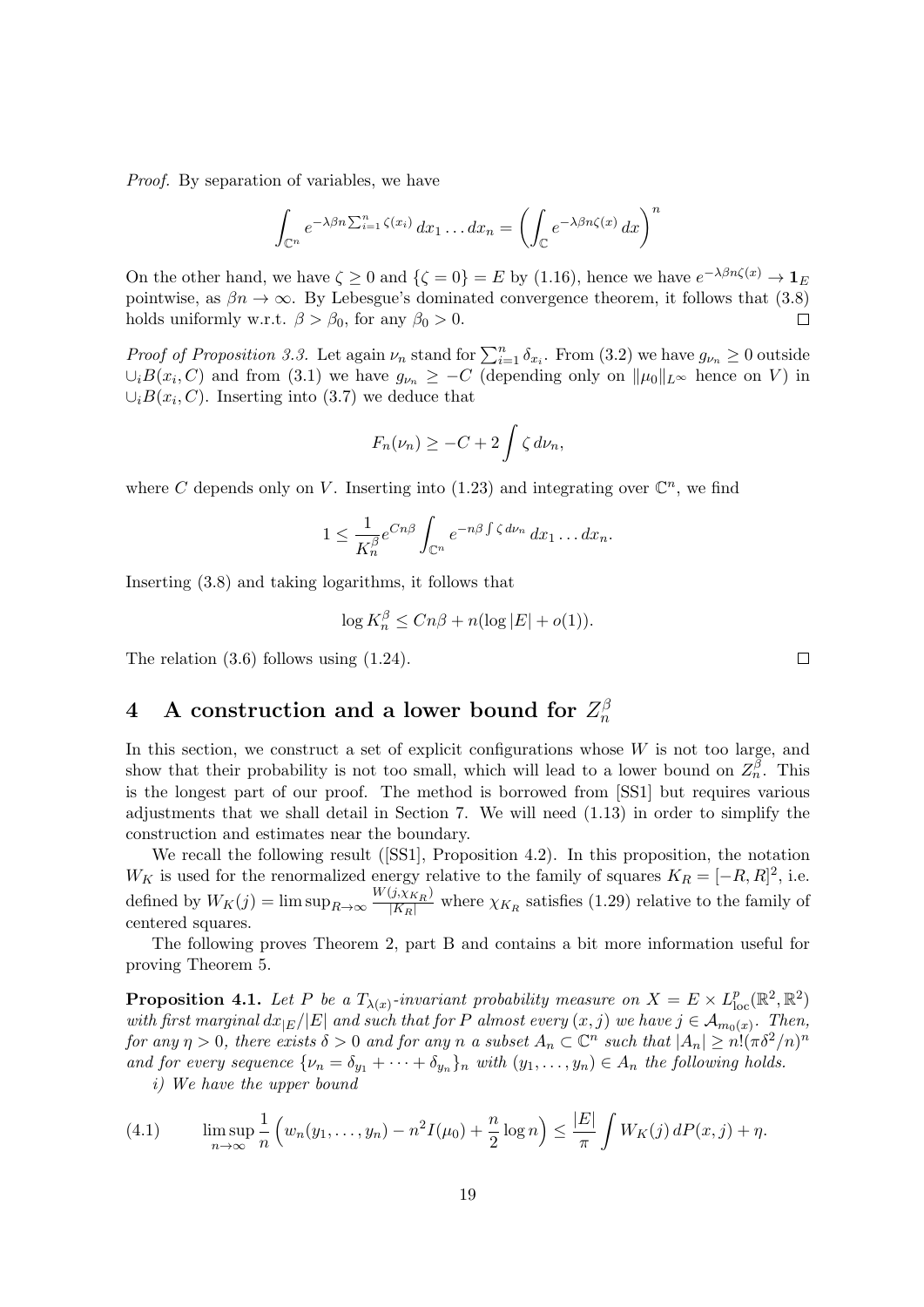Proof. By separation of variables, we have

$$
\int_{\mathbb{C}^n} e^{-\lambda \beta n \sum_{i=1}^n \zeta(x_i)} dx_1 \dots dx_n = \left( \int_{\mathbb{C}} e^{-\lambda \beta n \zeta(x)} dx \right)^n
$$

On the other hand, we have  $\zeta \ge 0$  and  $\{\zeta = 0\} = E$  by (1.16), hence we have  $e^{-\lambda\beta n\zeta(x)} \to \mathbf{1}_E$ pointwise, as  $\beta n \to \infty$ . By Lebesgue's dominated convergence theorem, it follows that (3.8) holds uniformly w.r.t.  $\beta > \beta_0$ , for any  $\beta_0 > 0$ .  $\Box$ 

*Proof of Proposition 3.3.* Let again  $\nu_n$  stand for  $\sum_{i=1}^n \delta_{x_i}$ . From (3.2) we have  $g_{\nu_n} \geq 0$  outside  $\cup_i B(x_i, C)$  and from (3.1) we have  $g_{\nu_n} \geq -C$  (depending only on  $\|\mu_0\|_{L^{\infty}}$  hence on V) in  $\cup_i B(x_i, C)$ . Inserting into (3.7) we deduce that

$$
F_n(\nu_n) \geq -C + 2 \int \zeta \, d\nu_n,
$$

where C depends only on V. Inserting into (1.23) and integrating over  $\mathbb{C}^n$ , we find

$$
1 \leq \frac{1}{K_n^{\beta}} e^{Cn\beta} \int_{\mathbb{C}^n} e^{-n\beta \int \zeta d\nu_n} dx_1 \dots dx_n.
$$

Inserting (3.8) and taking logarithms, it follows that

$$
\log K_n^{\beta} \le Cn\beta + n(\log|E| + o(1)).
$$

The relation (3.6) follows using (1.24).

#### 4 A construction and a lower bound for  $Z_n^{\beta}$ n

In this section, we construct a set of explicit configurations whose  $W$  is not too large, and show that their probability is not too small, which will lead to a lower bound on  $Z_n^{\tilde{\beta}}$ . This is the longest part of our proof. The method is borrowed from [SS1] but requires various adjustments that we shall detail in Section 7. We will need (1.13) in order to simplify the construction and estimates near the boundary.

We recall the following result ([SS1], Proposition 4.2). In this proposition, the notation  $W_K$  is used for the renormalized energy relative to the family of squares  $K_R = [-R, R]^2$ , i.e. defined by  $W_K(j) = \limsup_{R \to \infty} \frac{W(j, \chi_{K_R})}{|K_R|}$  where  $\chi_{K_R}$  satisfies (1.29) relative to the family of centered squares.

The following proves Theorem 2, part B and contains a bit more information useful for proving Theorem 5.

**Proposition 4.1.** Let P be a  $T_{\lambda(x)}$ -invariant probability measure on  $X = E \times L_{\text{loc}}^p(\mathbb{R}^2, \mathbb{R}^2)$ with first marginal  $dx_{|E}/|E|$  and such that for P almost every  $(x, j)$  we have  $j \in A_{m_0(x)}$ . Then, for any  $\eta > 0$ , there exists  $\delta > 0$  and for any n a subset  $A_n \subset \mathbb{C}^n$  such that  $|A_n| \geq n! (\pi \delta^2/n)^n$ and for every sequence  $\{\nu_n = \delta_{y_1} + \cdots + \delta_{y_n}\}_n$  with  $(y_1, \ldots, y_n) \in A_n$  the following holds.

i) We have the upper bound

(4.1) 
$$
\limsup_{n \to \infty} \frac{1}{n} \left( w_n(y_1, \dots, y_n) - n^2 I(\mu_0) + \frac{n}{2} \log n \right) \le \frac{|E|}{\pi} \int W_K(j) dP(x, j) + \eta.
$$

 $\Box$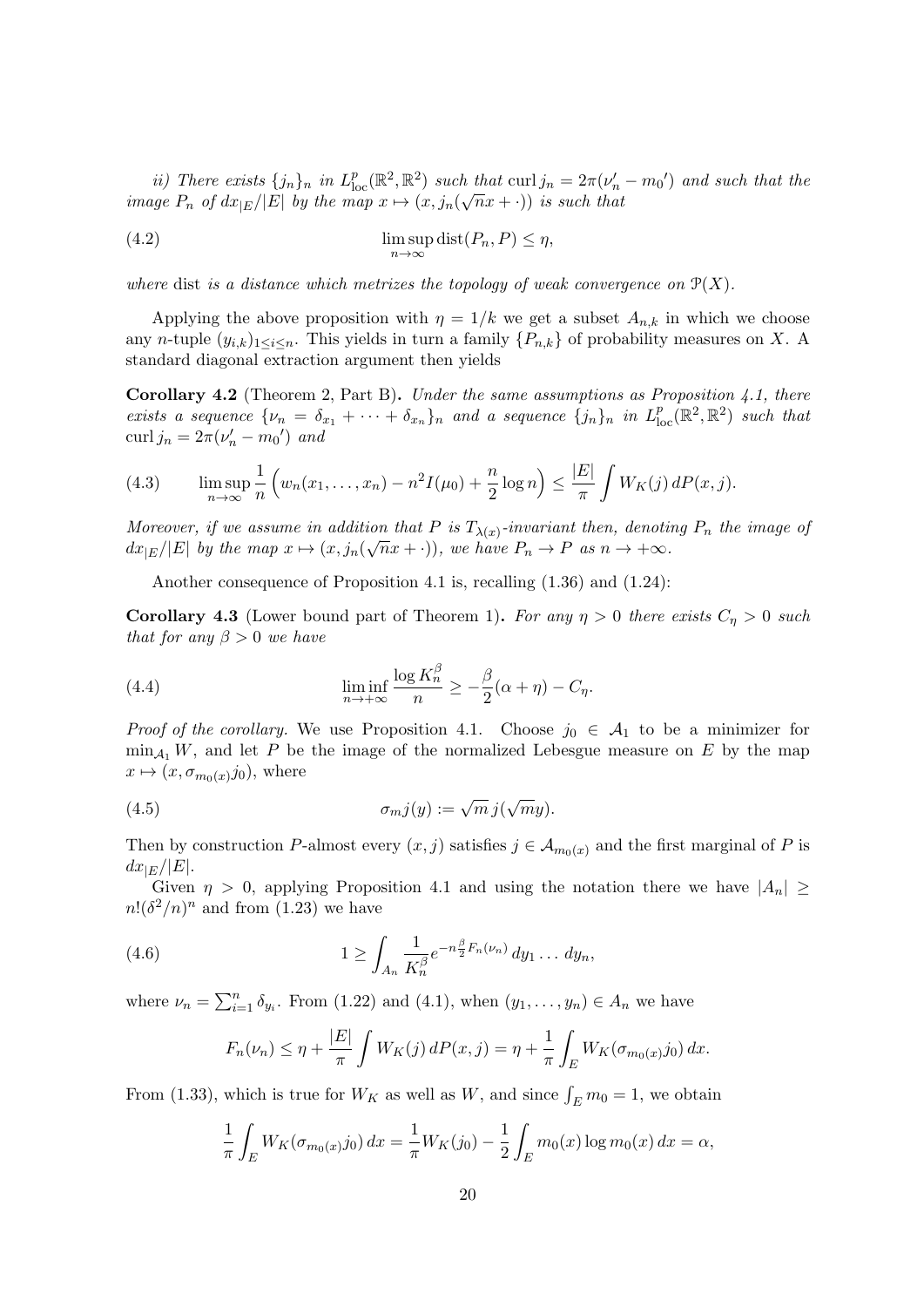ii) There exists  $\{j_n\}_n$  in  $L^p_{loc}(\mathbb{R}^2, \mathbb{R}^2)$  such that curl  $j_n = 2\pi(\nu'_n - m_0')$  and such that the image  $P_n$  of  $dx_{|E}/|E|$  by the map  $x \mapsto (x, j_n(\sqrt{n}x + \cdot))$  is such that

(4.2) 
$$
\limsup_{n \to \infty} \text{dist}(P_n, P) \le \eta,
$$

where dist is a distance which metrizes the topology of weak convergence on  $\mathcal{P}(X)$ .

Applying the above proposition with  $\eta = 1/k$  we get a subset  $A_{n,k}$  in which we choose any n-tuple  $(y_{i,k})_{1\leq i\leq n}$ . This yields in turn a family  $\{P_{n,k}\}\$  of probability measures on X. A standard diagonal extraction argument then yields

**Corollary 4.2** (Theorem 2, Part B). Under the same assumptions as Proposition 4.1, there exists a sequence  $\{\nu_n = \delta_{x_1} + \cdots + \delta_{x_n}\}_n$  and a sequence  $\{j_n\}_n$  in  $L^p_{loc}(\mathbb{R}^2, \mathbb{R}^2)$  such that curl  $j_n = 2\pi(\nu'_n - m_0')$  and

(4.3) 
$$
\limsup_{n \to \infty} \frac{1}{n} \left( w_n(x_1, \dots, x_n) - n^2 I(\mu_0) + \frac{n}{2} \log n \right) \le \frac{|E|}{\pi} \int W_K(j) dP(x, j).
$$

Moreover, if we assume in addition that P is  $T_{\lambda(x)}$ -invariant then, denoting  $P_n$  the image of  $dx_{|E}/|E|$  by the map  $x \mapsto (x, j_n(\sqrt{n}x + \cdot))$ , we have  $P_n \to P$  as  $n \to +\infty$ .

Another consequence of Proposition 4.1 is, recalling (1.36) and (1.24):

**Corollary 4.3** (Lower bound part of Theorem 1). For any  $\eta > 0$  there exists  $C_{\eta} > 0$  such that for any  $\beta > 0$  we have

(4.4) 
$$
\liminf_{n \to +\infty} \frac{\log K_n^{\beta}}{n} \ge -\frac{\beta}{2}(\alpha + \eta) - C_{\eta}.
$$

*Proof of the corollary.* We use Proposition 4.1. Choose  $j_0 \in A_1$  to be a minimizer for  $\min_{A_1} W$ , and let P be the image of the normalized Lebesgue measure on E by the map  $x \mapsto (x, \sigma_{m_0(x)}j_0)$ , where

(4.5) 
$$
\sigma_m j(y) := \sqrt{m} j(\sqrt{m}y).
$$

Then by construction P-almost every  $(x, j)$  satisfies  $j \in A_{m_0(x)}$  and the first marginal of P is  $dx_{|E}/|E|.$ 

Given  $\eta > 0$ , applying Proposition 4.1 and using the notation there we have  $|A_n| \ge$  $n!$  $(\delta^2/n)^n$  and from (1.23) we have

(4.6) 
$$
1 \geq \int_{A_n} \frac{1}{K_n^{\beta}} e^{-n \frac{\beta}{2} F_n(\nu_n)} dy_1 \dots dy_n,
$$

where  $\nu_n = \sum_{i=1}^n \delta_{y_i}$ . From (1.22) and (4.1), when  $(y_1, \ldots, y_n) \in A_n$  we have

$$
F_n(\nu_n) \le \eta + \frac{|E|}{\pi} \int W_K(j) \, dP(x,j) = \eta + \frac{1}{\pi} \int_E W_K(\sigma_{m_0(x)} j_0) \, dx.
$$

From (1.33), which is true for  $W_K$  as well as  $W$ , and since  $\int_E m_0 = 1$ , we obtain

$$
\frac{1}{\pi} \int_E W_K(\sigma_{m_0(x)} j_0) \, dx = \frac{1}{\pi} W_K(j_0) - \frac{1}{2} \int_E m_0(x) \log m_0(x) \, dx = \alpha,
$$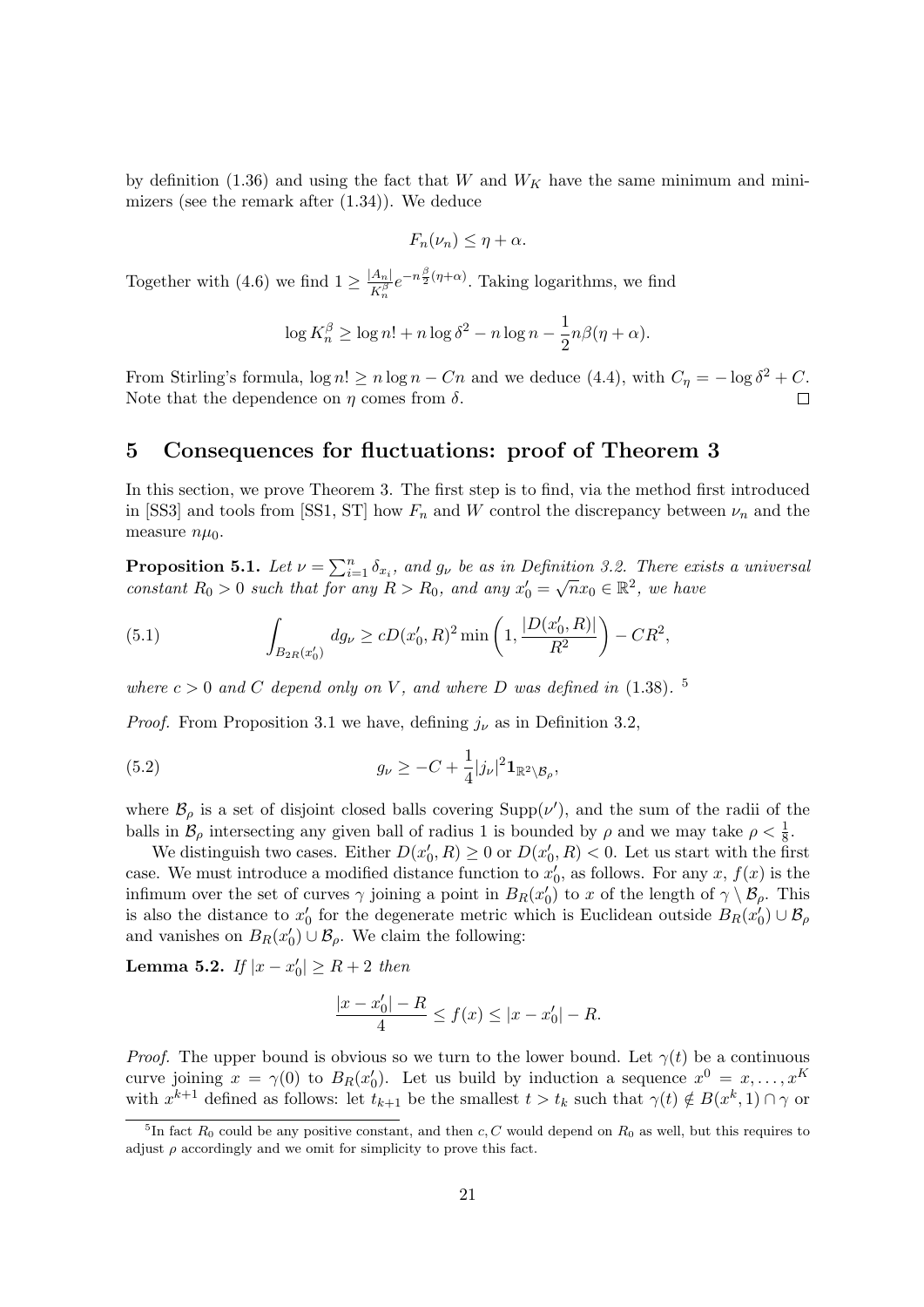by definition (1.36) and using the fact that W and  $W_K$  have the same minimum and minimizers (see the remark after (1.34)). We deduce

$$
F_n(\nu_n) \leq \eta + \alpha.
$$

Together with (4.6) we find  $1 \geq \frac{|A_n|}{\sqrt{n}}$  $\frac{A_n}{K_n^{\beta}}e^{-n\frac{\beta}{2}(\eta+\alpha)}$ . Taking logarithms, we find

$$
\log K_n^{\beta} \ge \log n! + n \log \delta^2 - n \log n - \frac{1}{2} n \beta(\eta + \alpha).
$$

From Stirling's formula,  $\log n! \ge n \log n - Cn$  and we deduce (4.4), with  $C_{\eta} = -\log \delta^2 + C$ . Note that the dependence on  $\eta$  comes from  $\delta$ .

### 5 Consequences for fluctuations: proof of Theorem 3

In this section, we prove Theorem 3. The first step is to find, via the method first introduced in [SS3] and tools from [SS1, ST] how  $F_n$  and W control the discrepancy between  $\nu_n$  and the measure  $n\mu_0$ .

**Proposition 5.1.** Let  $\nu = \sum_{i=1}^{n} \delta_{x_i}$ , and  $g_{\nu}$  be as in Definition 3.2. There exists a universal constant  $R_0 > 0$  such that for any  $R > R_0$ , and any  $x'_0 = \sqrt{n}x_0 \in \mathbb{R}^2$ , we have

(5.1) 
$$
\int_{B_{2R}(x'_0)} dg_{\nu} \ge cD(x'_0, R)^2 \min\left(1, \frac{|D(x'_0, R)|}{R^2}\right) - CR^2,
$$

where  $c > 0$  and C depend only on V, and where D was defined in (1.38). <sup>5</sup>

*Proof.* From Proposition 3.1 we have, defining  $j_{\nu}$  as in Definition 3.2,

(5.2) 
$$
g_{\nu} \geq -C + \frac{1}{4} |j_{\nu}|^2 \mathbf{1}_{\mathbb{R}^2 \setminus \mathcal{B}_{\rho}},
$$

where  $\mathcal{B}_{\rho}$  is a set of disjoint closed balls covering Supp( $\nu'$ ), and the sum of the radii of the balls in  $\mathcal{B}_{\rho}$  intersecting any given ball of radius 1 is bounded by  $\rho$  and we may take  $\rho < \frac{1}{8}$ .

We distinguish two cases. Either  $D(x'_0, R) \geq 0$  or  $D(x'_0, R) < 0$ . Let us start with the first case. We must introduce a modified distance function to  $x'_0$ , as follows. For any x,  $f(x)$  is the infimum over the set of curves  $\gamma$  joining a point in  $B_R(x_0)$  to x of the length of  $\gamma \setminus \mathcal{B}_{\rho}$ . This is also the distance to  $x'_0$  for the degenerate metric which is Euclidean outside  $B_R(x'_0) \cup \mathcal{B}_{\rho}$ and vanishes on  $B_R(x_0') \cup \mathcal{B}_{\rho}$ . We claim the following:

Lemma 5.2. If  $|x - x'_0| \ge R + 2$  then

$$
\frac{|x - x'_0| - R}{4} \le f(x) \le |x - x'_0| - R.
$$

*Proof.* The upper bound is obvious so we turn to the lower bound. Let  $\gamma(t)$  be a continuous curve joining  $x = \gamma(0)$  to  $B_R(x_0')$ . Let us build by induction a sequence  $x^0 = x, \ldots, x^K$ with  $x^{k+1}$  defined as follows: let  $t_{k+1}$  be the smallest  $t > t_k$  such that  $\gamma(t) \notin B(x^k, 1) \cap \gamma$  or

<sup>&</sup>lt;sup>5</sup>In fact  $R_0$  could be any positive constant, and then c, C would depend on  $R_0$  as well, but this requires to adjust  $\rho$  accordingly and we omit for simplicity to prove this fact.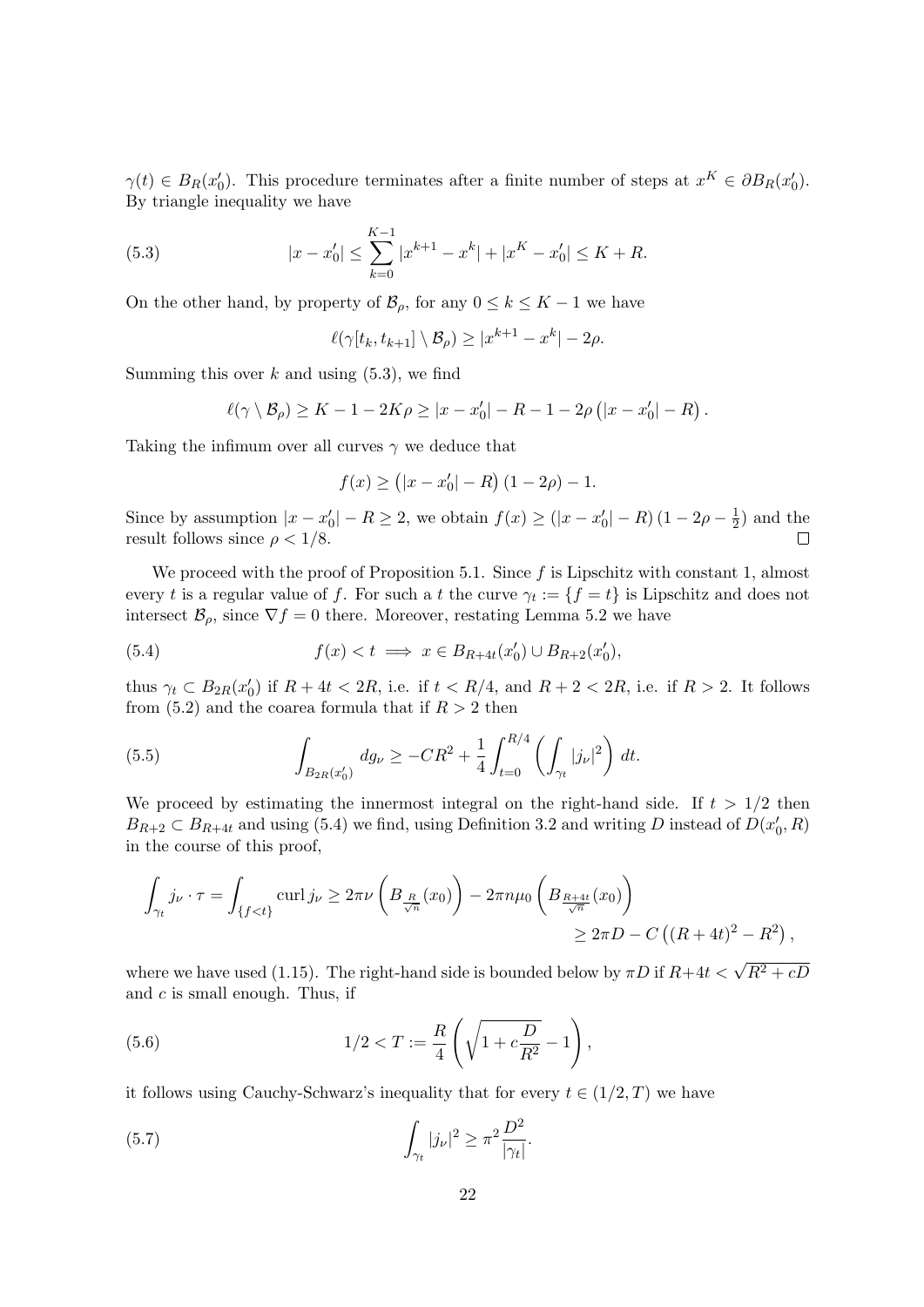$\gamma(t) \in B_R(x_0')$ . This procedure terminates after a finite number of steps at  $x^K \in \partial B_R(x_0')$ . By triangle inequality we have

(5.3) 
$$
|x - x'_0| \le \sum_{k=0}^{K-1} |x^{k+1} - x^k| + |x^K - x'_0| \le K + R.
$$

On the other hand, by property of  $\mathcal{B}_{\rho}$ , for any  $0 \leq k \leq K-1$  we have

$$
\ell(\gamma[t_k, t_{k+1}] \setminus \mathcal{B}_{\rho}) \ge |x^{k+1} - x^k| - 2\rho.
$$

Summing this over  $k$  and using  $(5.3)$ , we find

$$
\ell(\gamma \setminus \mathcal{B}_{\rho}) \geq K - 1 - 2K\rho \geq |x - x'_0| - R - 1 - 2\rho(|x - x'_0| - R).
$$

Taking the infimum over all curves  $\gamma$  we deduce that

$$
f(x) \ge (|x - x'_0| - R) (1 - 2\rho) - 1.
$$

Since by assumption  $|x - x'_0| - R \ge 2$ , we obtain  $f(x) \ge (|x - x'_0| - R)(1 - 2\rho - \frac{1}{2})$  $(\frac{1}{2})$  and the result follows since  $\rho < 1/8$ .  $\Box$ 

We proceed with the proof of Proposition 5.1. Since  $f$  is Lipschitz with constant 1, almost every t is a regular value of f. For such a t the curve  $\gamma_t := \{f = t\}$  is Lipschitz and does not intersect  $\mathcal{B}_{\rho}$ , since  $\nabla f = 0$  there. Moreover, restating Lemma 5.2 we have

(5.4) 
$$
f(x) < t \implies x \in B_{R+4t}(x_0') \cup B_{R+2}(x_0'),
$$

thus  $\gamma_t \subset B_{2R}(x_0')$  if  $R + 4t < 2R$ , i.e. if  $t < R/4$ , and  $R + 2 < 2R$ , i.e. if  $R > 2$ . It follows from (5.2) and the coarea formula that if  $R > 2$  then

(5.5) 
$$
\int_{B_{2R}(x'_0)} dg_{\nu} \geq -CR^2 + \frac{1}{4} \int_{t=0}^{R/4} \left( \int_{\gamma_t} |j_{\nu}|^2 \right) dt.
$$

We proceed by estimating the innermost integral on the right-hand side. If  $t > 1/2$  then  $B_{R+2} \subset B_{R+4t}$  and using (5.4) we find, using Definition 3.2 and writing D instead of  $D(x'_0, R)$ in the course of this proof,

$$
\int_{\gamma_t} j_{\nu} \cdot \tau = \int_{\{f < t\}} \text{curl} \, j_{\nu} \geq 2\pi \nu \left( B_{\frac{R}{\sqrt{n}}} (x_0) \right) - 2\pi n \mu_0 \left( B_{\frac{R+4t}{\sqrt{n}}}(x_0) \right) \\
\geq 2\pi D - C \left( (R + 4t)^2 - R^2 \right),
$$

where we have used (1.15). The right-hand side is bounded below by  $\pi D$  if  $R+4t < \sqrt{R^2+cD}$ and  $c$  is small enough. Thus, if

(5.6) 
$$
1/2 < T := \frac{R}{4} \left( \sqrt{1 + c \frac{D}{R^2}} - 1 \right),
$$

it follows using Cauchy-Schwarz's inequality that for every  $t \in (1/2, T)$  we have

(5.7) 
$$
\int_{\gamma_t} |j_{\nu}|^2 \geq \pi^2 \frac{D^2}{|\gamma_t|}.
$$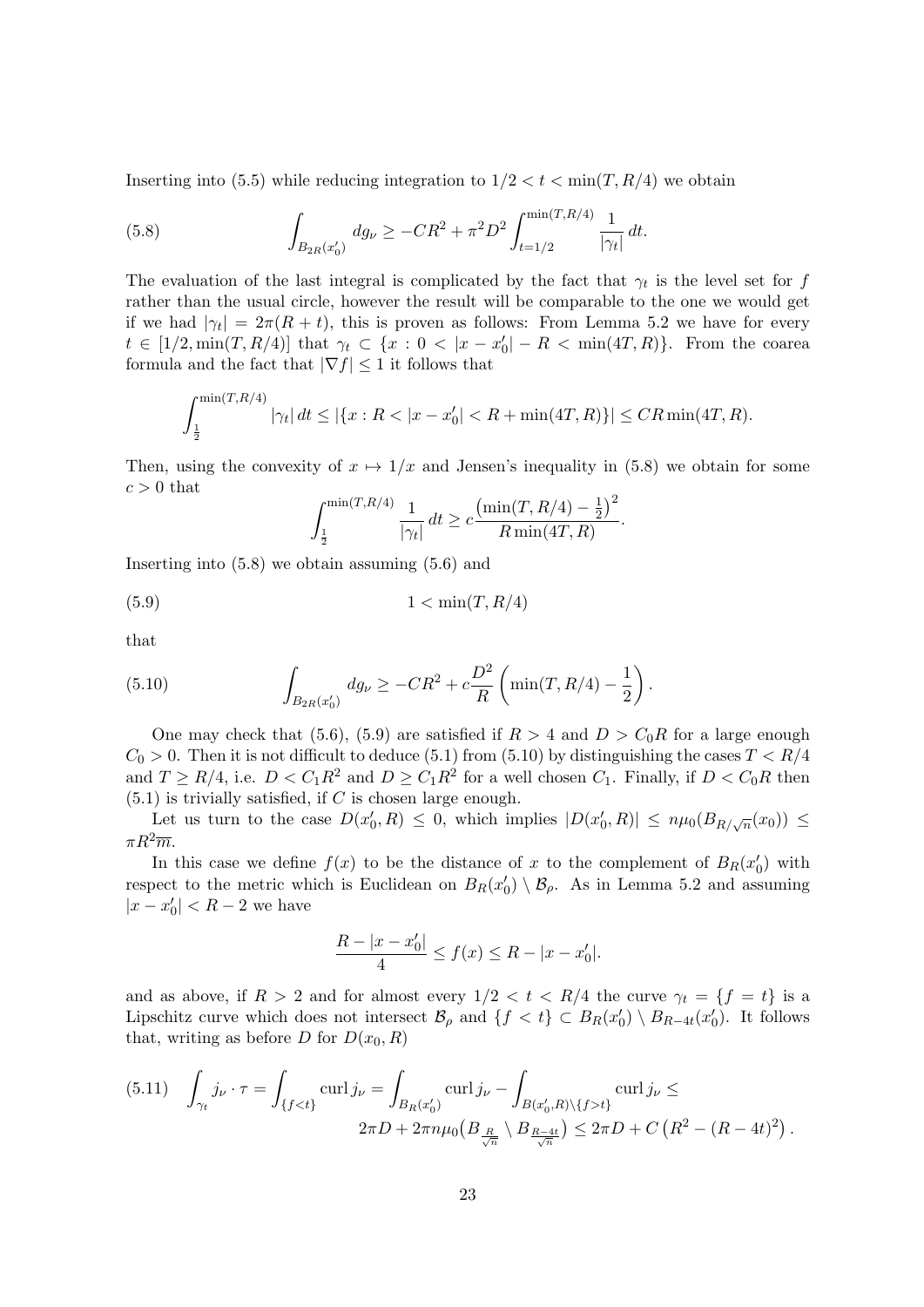Inserting into (5.5) while reducing integration to  $1/2 < t < \min(T, R/4)$  we obtain

(5.8) 
$$
\int_{B_{2R}(x'_0)} dg_{\nu} \geq -CR^2 + \pi^2 D^2 \int_{t=1/2}^{\min(T,R/4)} \frac{1}{|\gamma_t|} dt.
$$

The evaluation of the last integral is complicated by the fact that  $\gamma_t$  is the level set for f rather than the usual circle, however the result will be comparable to the one we would get if we had  $|\gamma_t| = 2\pi (R + t)$ , this is proven as follows: From Lemma 5.2 we have for every  $t \in [1/2, \min(T, R/4)]$  that  $\gamma_t \subset \{x : 0 < |x - x'_0| - R < \min(4T, R)\}$ . From the coarea formula and the fact that  $|\nabla f| \leq 1$  it follows that

$$
\int_{\frac{1}{2}}^{\min(T,R/4)} |\gamma_t| dt \le |\{x : R < |x - x'_0| < R + \min(4T,R)\}| \le C R \min(4T,R).
$$

Then, using the convexity of  $x \mapsto 1/x$  and Jensen's inequality in (5.8) we obtain for some  $c > 0$  that

$$
\int_{\frac{1}{2}}^{\min(T,R/4)} \frac{1}{|\gamma_t|} dt \ge c \frac{\left(\min(T, R/4) - \frac{1}{2}\right)^2}{R \min(4T, R)}.
$$

Inserting into (5.8) we obtain assuming (5.6) and

$$
(5.9) \t\t\t 1 < \min(T, R/4)
$$

that

(5.10) 
$$
\int_{B_{2R}(x'_0)} dg_{\nu} \ge -CR^2 + c\frac{D^2}{R} \left( \min(T, R/4) - \frac{1}{2} \right).
$$

One may check that (5.6), (5.9) are satisfied if  $R > 4$  and  $D > C_0R$  for a large enough  $C_0 > 0$ . Then it is not difficult to deduce (5.1) from (5.10) by distinguishing the cases  $T < R/4$ and  $T \ge R/4$ , i.e.  $D < C_1 R^2$  and  $D \ge C_1 R^2$  for a well chosen  $C_1$ . Finally, if  $D < C_0 R$  then  $(5.1)$  is trivially satisfied, if C is chosen large enough.

Let us turn to the case  $D(x'_0, R) \leq 0$ , which implies  $|D(x'_0, R)| \leq n \mu_0(B_{R/\sqrt{n}}(x_0)) \leq$  $\pi R^2 \overline{m}$ .

In this case we define  $f(x)$  to be the distance of x to the complement of  $B_R(x_0')$  with respect to the metric which is Euclidean on  $B_R(x_0') \setminus \mathcal{B}_{\rho}$ . As in Lemma 5.2 and assuming  $|x - x'_0| < R - 2$  we have

$$
\frac{R - |x - x'_0|}{4} \le f(x) \le R - |x - x'_0|.
$$

and as above, if  $R > 2$  and for almost every  $1/2 < t < R/4$  the curve  $\gamma_t = \{f = t\}$  is a Lipschitz curve which does not intersect  $\mathcal{B}_{\rho}$  and  $\{f < t\} \subset B_R(x_0') \setminus B_{R-4t}(x_0')$ . It follows that, writing as before D for  $D(x_0, R)$ 

$$
(5.11) \quad \int_{\gamma_t} j_{\nu} \cdot \tau = \int_{\{f < t\}} \operatorname{curl} j_{\nu} = \int_{B_R(x'_0)} \operatorname{curl} j_{\nu} - \int_{B(x'_0, R) \setminus \{f > t\}} \operatorname{curl} j_{\nu} \leq
$$
\n
$$
2\pi D + 2\pi n \mu_0 \left( B_{\frac{R}{\sqrt{n}}} \setminus B_{\frac{R-4t}{\sqrt{n}}} \right) \leq 2\pi D + C \left( R^2 - (R - 4t)^2 \right).
$$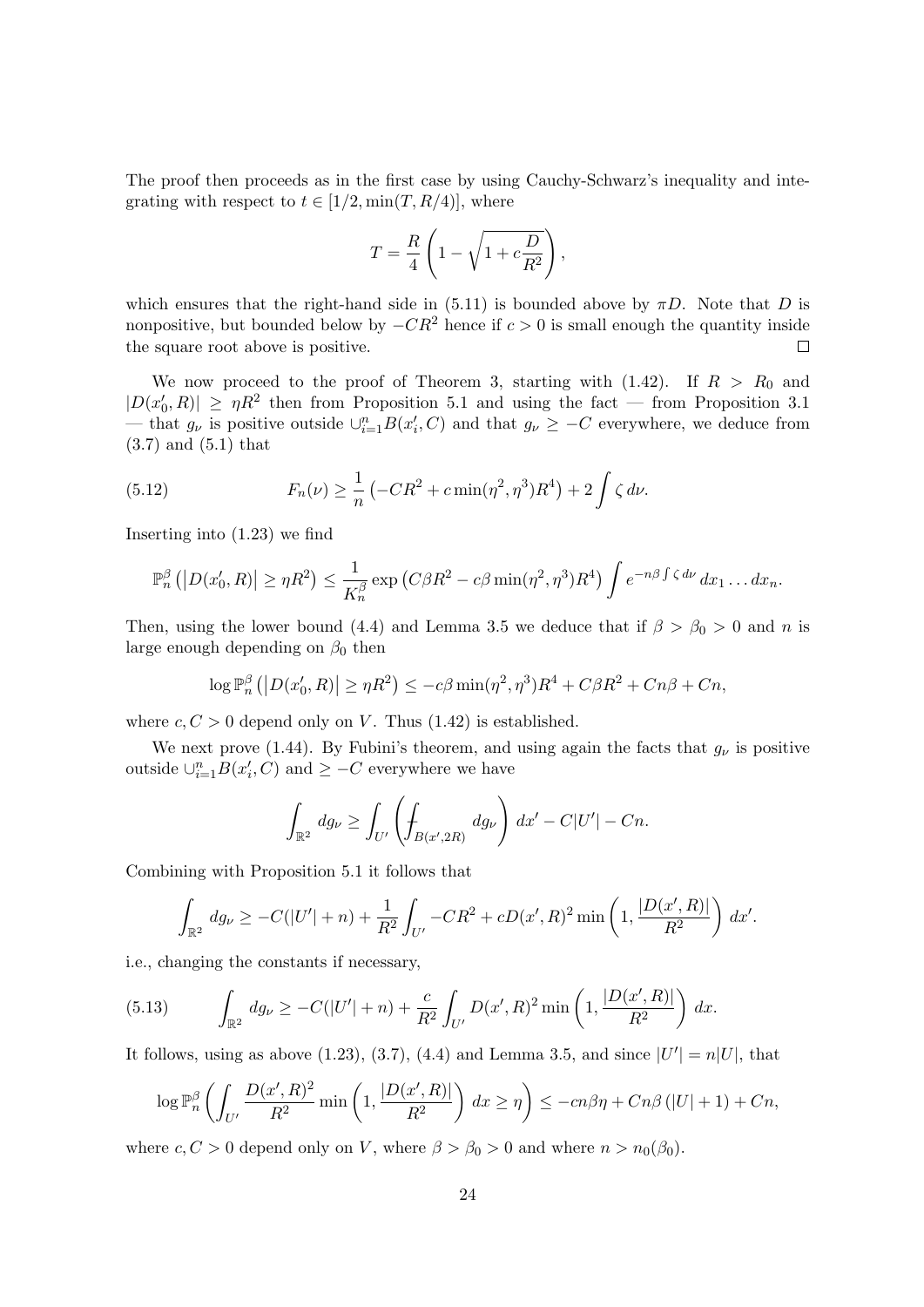The proof then proceeds as in the first case by using Cauchy-Schwarz's inequality and integrating with respect to  $t \in [1/2, \min(T, R/4)]$ , where

$$
T = \frac{R}{4} \left( 1 - \sqrt{1 + c \frac{D}{R^2}} \right),
$$

which ensures that the right-hand side in (5.11) is bounded above by  $\pi D$ . Note that D is nonpositive, but bounded below by  $-CR^2$  hence if  $c > 0$  is small enough the quantity inside the square root above is positive.  $\Box$ 

We now proceed to the proof of Theorem 3, starting with  $(1.42)$ . If  $R > R_0$  and  $|D(x'_0, R)| \geq \eta R^2$  then from Proposition 5.1 and using the fact — from Proposition 3.1 — that  $g_{\nu}$  is positive outside  $\cup_{i=1}^{n} B(x'_{i}, C)$  and that  $g_{\nu} \geq -C$  everywhere, we deduce from (3.7) and (5.1) that

(5.12) 
$$
F_n(\nu) \ge \frac{1}{n} \left( -CR^2 + c \min(\eta^2, \eta^3) R^4 \right) + 2 \int \zeta \, d\nu.
$$

Inserting into (1.23) we find

$$
\mathbb{P}_n^{\beta}\left(\left|D(x'_0,R)\right|\geq \eta R^2\right)\leq \frac{1}{K_n^{\beta}}\exp\left(C\beta R^2-c\beta\min(\eta^2,\eta^3)R^4\right)\int e^{-n\beta\int \zeta\,d\nu}\,dx_1\ldots dx_n.
$$

Then, using the lower bound (4.4) and Lemma 3.5 we deduce that if  $\beta > \beta_0 > 0$  and n is large enough depending on  $\beta_0$  then

$$
\log \mathbb{P}_n^{\beta} \left( \left| D(x'_0, R) \right| \ge \eta R^2 \right) \le -c\beta \min(\eta^2, \eta^3) R^4 + C\beta R^2 + Cn\beta + Cn,
$$

where  $c, C > 0$  depend only on V. Thus (1.42) is established.

We next prove (1.44). By Fubini's theorem, and using again the facts that  $g_{\nu}$  is positive outside  $\cup_{i=1}^n B(x'_i, C)$  and  $\geq -C$  everywhere we have

$$
\int_{\mathbb{R}^2} dg_{\nu} \ge \int_{U'} \left( \int_{B(x',2R)} dg_{\nu} \right) dx' - C|U'| - Cn.
$$

Combining with Proposition 5.1 it follows that

$$
\int_{\mathbb{R}^2} dg_{\nu} \geq -C(|U'| + n) + \frac{1}{R^2} \int_{U'} -CR^2 + cD(x', R)^2 \min\left(1, \frac{|D(x', R)|}{R^2}\right) dx'.
$$

i.e., changing the constants if necessary,

(5.13) 
$$
\int_{\mathbb{R}^2} dg_{\nu} \geq -C(|U'| + n) + \frac{c}{R^2} \int_{U'} D(x', R)^2 \min\left(1, \frac{|D(x', R)|}{R^2}\right) dx.
$$

It follows, using as above (1.23), (3.7), (4.4) and Lemma 3.5, and since  $|U'| = n|U|$ , that

$$
\log \mathbb{P}_{n}^{\beta} \left( \int_{U'} \frac{D(x',R)^{2}}{R^{2}} \min \left( 1, \frac{|D(x',R)|}{R^{2}} \right) dx \ge \eta \right) \le -c n \beta \eta + C n \beta \left( |U|+1 \right) + C n,
$$

where  $c, C > 0$  depend only on V, where  $\beta > \beta_0 > 0$  and where  $n > n_0(\beta_0)$ .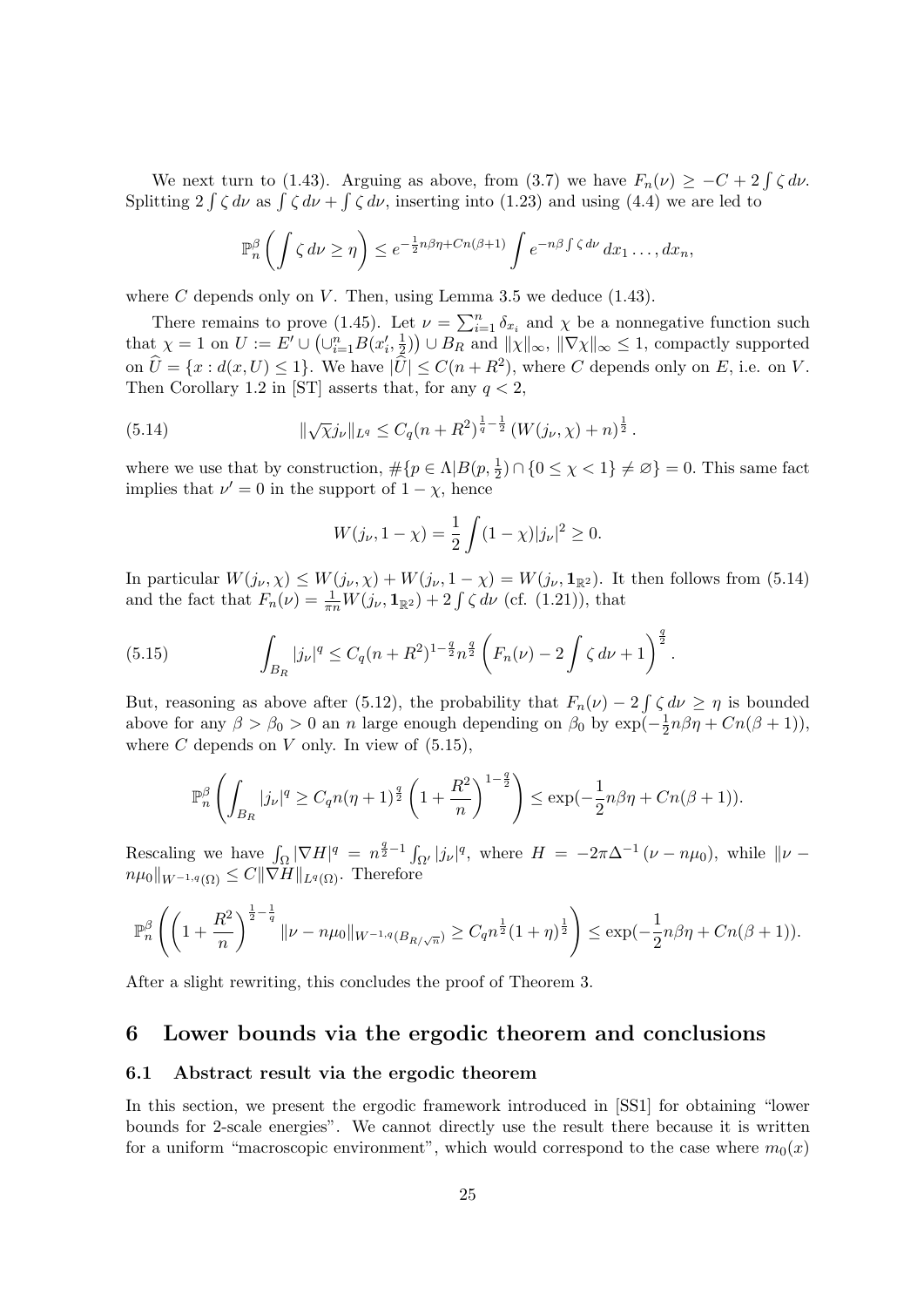We next turn to (1.43). Arguing as above, from (3.7) we have  $F_n(\nu) \geq -C + 2 \int \zeta d\nu$ . Splitting  $2 \int \zeta d\nu$  as  $\int \zeta d\nu + \int \zeta d\nu$ , inserting into (1.23) and using (4.4) we are led to

$$
\mathbb{P}_n^{\beta}\left(\int \zeta \, d\nu \geq \eta\right) \leq e^{-\frac{1}{2}n\beta\eta + Cn(\beta+1)} \int e^{-n\beta \int \zeta \, d\nu} \, dx_1 \dots, dx_n,
$$

where  $C$  depends only on  $V$ . Then, using Lemma 3.5 we deduce (1.43).

There remains to prove (1.45). Let  $\nu = \sum_{i=1}^{n} \delta_{x_i}$  and  $\chi$  be a nonnegative function such that  $\chi = 1$  on  $U := E' \cup \left(\cup_{i=1}^n B(x'_i, \frac{1}{2})\right)$  $(\frac{1}{2})$   $\cup$   $B_R$  and  $||\chi||_{\infty}$ ,  $||\nabla \chi||_{\infty} \leq 1$ , compactly supported on  $\hat{U} = \{x : d(x, U) \le 1\}$ . We have  $|\hat{U}| \le C(n + R^2)$ , where C depends only on E, i.e. on V. Then Corollary 1.2 in [ST] asserts that, for any  $q < 2$ ,

(5.14) 
$$
\|\sqrt{\chi}j_{\nu}\|_{L^{q}} \leq C_{q}(n+R^{2})^{\frac{1}{q}-\frac{1}{2}}\left(W(j_{\nu},\chi)+n\right)^{\frac{1}{2}}.
$$

where we use that by construction,  $\#\{p \in \Lambda | B(p, \frac{1}{2}) \cap \{0 \leq \chi < 1\} \neq \varnothing\} = 0$ . This same fact implies that  $\nu' = 0$  in the support of  $1 - \chi$ , hence

$$
W(j_{\nu}, 1 - \chi) = \frac{1}{2} \int (1 - \chi) |j_{\nu}|^2 \ge 0.
$$

In particular  $W(j_{\nu}, \chi) \leq W(j_{\nu}, \chi) + W(j_{\nu}, 1 - \chi) = W(j_{\nu}, 1_{\mathbb{R}^2})$ . It then follows from (5.14) and the fact that  $F_n(\nu) = \frac{1}{\pi n} W(j_\nu, \mathbf{1}_{\mathbb{R}^2}) + 2 \int \zeta d\nu$  (cf. (1.21)), that

(5.15) 
$$
\int_{B_R} |j_{\nu}|^q \leq C_q (n+R^2)^{1-\frac{q}{2}} n^{\frac{q}{2}} \left( F_n(\nu) - 2 \int \zeta \, d\nu + 1 \right)^{\frac{q}{2}}.
$$

But, reasoning as above after (5.12), the probability that  $F_n(\nu) - 2 \int \zeta d\nu \geq \eta$  is bounded above for any  $\beta > \beta_0 > 0$  an n large enough depending on  $\beta_0$  by  $\exp(-\frac{1}{2})$  $\frac{1}{2}n\beta\eta + Cn(\beta+1)),$ where  $C$  depends on  $V$  only. In view of  $(5.15)$ ,

$$
\mathbb{P}_n^{\beta} \left( \int_{B_R} |j_{\nu}|^q \ge C_q n (\eta + 1)^{\frac{q}{2}} \left( 1 + \frac{R^2}{n} \right)^{1 - \frac{q}{2}} \right) \le \exp(-\frac{1}{2}n \beta \eta + Cn(\beta + 1)).
$$

Rescaling we have  $\int_{\Omega} |\nabla H|^q = n^{\frac{q}{2}-1} \int_{\Omega'} |j_{\nu}|^q$ , where  $H = -2\pi \Delta^{-1} (\nu - n\mu_0)$ , while  $\|\nu$  $n\mu_0\|_{W^{-1,q}(\Omega)} \leq C\|\check{\nabla}\check{H}\|_{L^q(\Omega)}$ . Therefore

$$
\mathbb{P}_n^{\beta} \left( \left( 1 + \frac{R^2}{n} \right)^{\frac{1}{2} - \frac{1}{q}} \|\nu - n\mu_0\|_{W^{-1,q}(B_{R/\sqrt{n}})} \ge C_q n^{\frac{1}{2}} (1 + \eta)^{\frac{1}{2}} \right) \le \exp(-\frac{1}{2}n\beta\eta + Cn(\beta + 1)).
$$

After a slight rewriting, this concludes the proof of Theorem 3.

### 6 Lower bounds via the ergodic theorem and conclusions

#### 6.1 Abstract result via the ergodic theorem

In this section, we present the ergodic framework introduced in [SS1] for obtaining "lower bounds for 2-scale energies". We cannot directly use the result there because it is written for a uniform "macroscopic environment", which would correspond to the case where  $m_0(x)$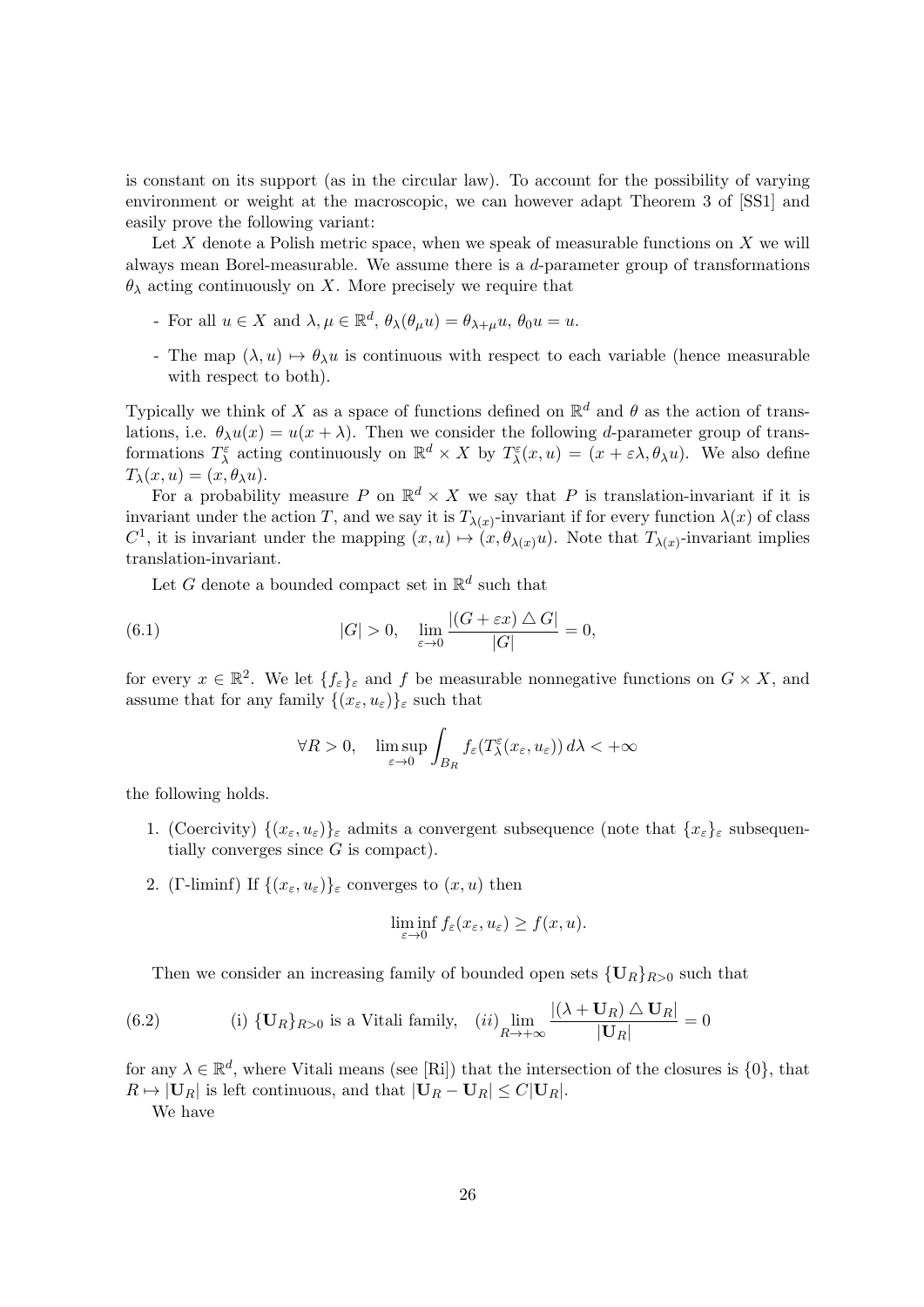is constant on its support (as in the circular law). To account for the possibility of varying environment or weight at the macroscopic, we can however adapt Theorem 3 of [SS1] and easily prove the following variant:

Let  $X$  denote a Polish metric space, when we speak of measurable functions on  $X$  we will always mean Borel-measurable. We assume there is a  $d$ -parameter group of transformations  $\theta_{\lambda}$  acting continuously on X. More precisely we require that

- For all  $u \in X$  and  $\lambda, \mu \in \mathbb{R}^d$ ,  $\theta_{\lambda}(\theta_{\mu}u) = \theta_{\lambda+\mu}u$ ,  $\theta_0u = u$ .
- The map  $(\lambda, u) \mapsto \theta_{\lambda}u$  is continuous with respect to each variable (hence measurable with respect to both).

Typically we think of X as a space of functions defined on  $\mathbb{R}^d$  and  $\theta$  as the action of translations, i.e.  $\theta_{\lambda}u(x) = u(x + \lambda)$ . Then we consider the following *d*-parameter group of transformations  $T^{\varepsilon}_{\lambda}$  acting continuously on  $\mathbb{R}^d \times X$  by  $T^{\varepsilon}_{\lambda}(x, u) = (x + \varepsilon \lambda, \theta_{\lambda} u)$ . We also define  $T_{\lambda}(x, u) = (x, \theta_{\lambda}u).$ 

For a probability measure P on  $\mathbb{R}^d \times X$  we say that P is translation-invariant if it is invariant under the action T, and we say it is  $T_{\lambda(x)}$ -invariant if for every function  $\lambda(x)$  of class  $C^1$ , it is invariant under the mapping  $(x, u) \mapsto (x, \theta_{\lambda(x)}u)$ . Note that  $T_{\lambda(x)}$ -invariant implies translation-invariant.

Let G denote a bounded compact set in  $\mathbb{R}^d$  such that

(6.1) 
$$
|G| > 0, \quad \lim_{\varepsilon \to 0} \frac{|(G + \varepsilon x) \triangle G|}{|G|} = 0,
$$

for every  $x \in \mathbb{R}^2$ . We let  $\{f_{\varepsilon}\}_{\varepsilon}$  and f be measurable nonnegative functions on  $G \times X$ , and assume that for any family  $\{(x_\varepsilon, u_\varepsilon)\}_\varepsilon$  such that

$$
\forall R > 0, \quad \limsup_{\varepsilon \to 0} \int_{B_R} f_{\varepsilon}(T_\lambda^{\varepsilon}(x_{\varepsilon}, u_{\varepsilon})) d\lambda < +\infty
$$

the following holds.

- 1. (Coercivity)  $\{(x_\varepsilon, u_\varepsilon)\}_\varepsilon$  admits a convergent subsequence (note that  $\{x_\varepsilon\}_\varepsilon$  subsequentially converges since  $G$  is compact).
- 2. (Γ-liminf) If  $\{(x_\varepsilon, u_\varepsilon)\}_\varepsilon$  converges to  $(x, u)$  then

$$
\liminf_{\varepsilon \to 0} f_{\varepsilon}(x_{\varepsilon}, u_{\varepsilon}) \ge f(x, u).
$$

Then we consider an increasing family of bounded open sets  ${U_R}_{R>0}$  such that

(6.2) \t\t\t(i) 
$$
{\bf U}_R
$$
<sub>R>0</sub> is a Vitali family, \t\t(ii)  $\lim_{R \to +\infty} \frac{|(\lambda + {\bf U}_R) \triangle {\bf U}_R|}{|{\bf U}_R|} = 0$ 

for any  $\lambda \in \mathbb{R}^d$ , where Vitali means (see [Ri]) that the intersection of the closures is  $\{0\}$ , that  $R \mapsto |\mathbf{U}_R|$  is left continuous, and that  $|\mathbf{U}_R - \mathbf{U}_R| \leq C|\mathbf{U}_R|$ .

We have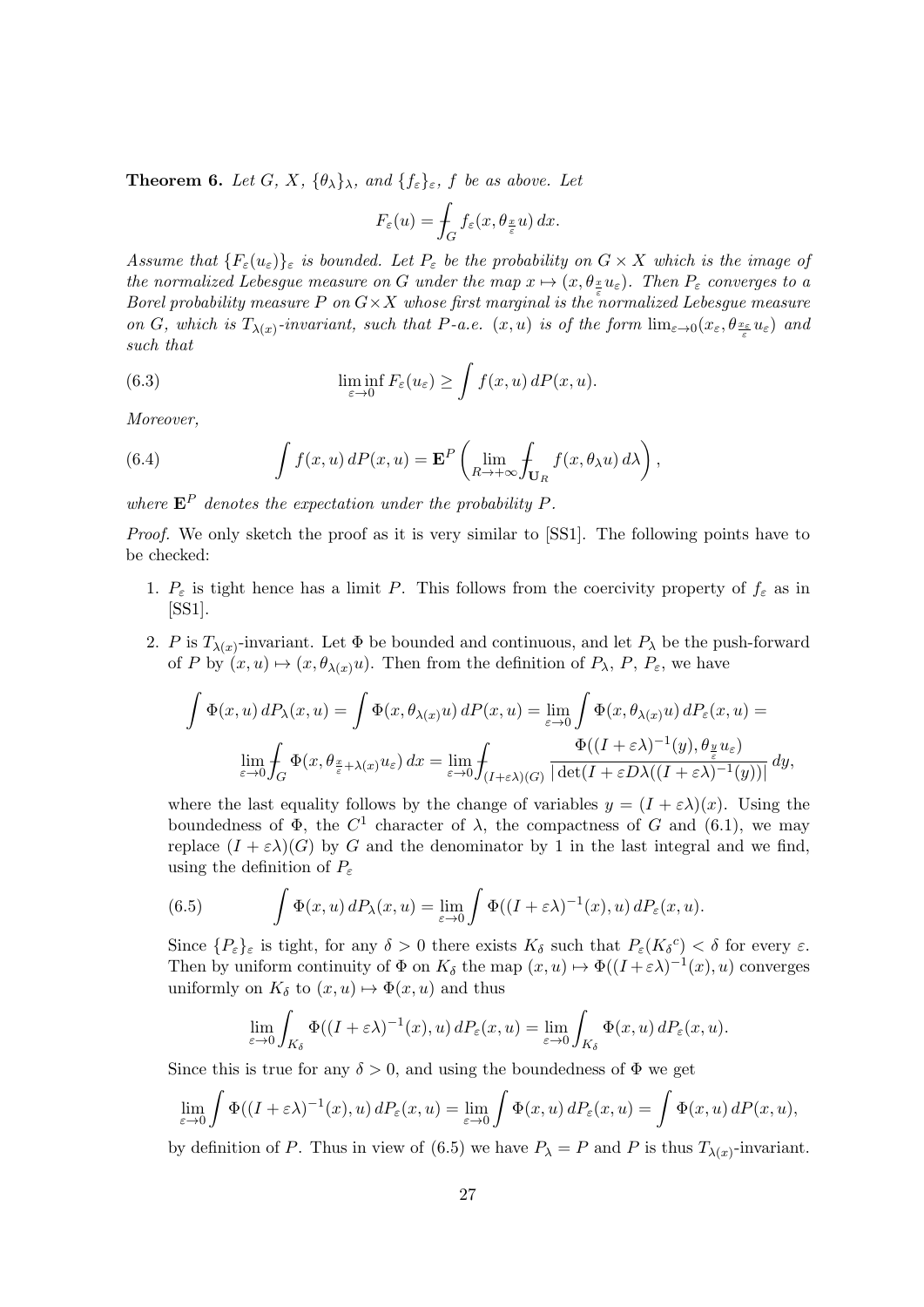**Theorem 6.** Let G, X,  $\{\theta_{\lambda}\}_{\lambda}$ , and  $\{f_{\varepsilon}\}_{\varepsilon}$ , f be as above. Let

$$
F_{\varepsilon}(u) = \int_{G} f_{\varepsilon}(x, \theta_{\frac{x}{\varepsilon}} u) dx.
$$

Assume that  $\{F_{\varepsilon}(u_{\varepsilon})\}_{\varepsilon}$  is bounded. Let  $P_{\varepsilon}$  be the probability on  $G \times X$  which is the image of the normalized Lebesgue measure on G under the map  $x \mapsto (x, \theta_{\frac{x}{n}} u_{\varepsilon})$ . Then  $P_{\varepsilon}$  converges to a Borel probability measure P on  $G \times X$  whose first marginal is the normalized Lebesgue measure on G, which is  $T_{\lambda(x)}$ -invariant, such that P-a.e.  $(x, u)$  is of the form  $\lim_{\varepsilon \to 0} (x_{\varepsilon}, \theta_{\frac{x_{\varepsilon}}{\varepsilon}} u_{\varepsilon})$  and such that

(6.3) 
$$
\liminf_{\varepsilon \to 0} F_{\varepsilon}(u_{\varepsilon}) \ge \int f(x, u) dP(x, u).
$$

Moreover,

(6.4) 
$$
\int f(x, u) dP(x, u) = \mathbf{E}^P \left( \lim_{R \to +\infty} \int_{\mathbf{U}_R} f(x, \theta_\lambda u) d\lambda \right),
$$

where  $\mathbf{E}^P$  denotes the expectation under the probability P.

Proof. We only sketch the proof as it is very similar to [SS1]. The following points have to be checked:

- 1.  $P_{\varepsilon}$  is tight hence has a limit P. This follows from the coercivity property of  $f_{\varepsilon}$  as in [SS1].
- 2. P is  $T_{\lambda(x)}$ -invariant. Let  $\Phi$  be bounded and continuous, and let  $P_{\lambda}$  be the push-forward of P by  $(x, u) \mapsto (x, \theta_{\lambda(x)}u)$ . Then from the definition of  $P_{\lambda}$ ,  $P$ ,  $P_{\varepsilon}$ , we have

$$
\int \Phi(x, u) dP_{\lambda}(x, u) = \int \Phi(x, \theta_{\lambda(x)} u) dP(x, u) = \lim_{\varepsilon \to 0} \int \Phi(x, \theta_{\lambda(x)} u) dP_{\varepsilon}(x, u) =
$$
  

$$
\lim_{\varepsilon \to 0} \int_G \Phi(x, \theta_{\frac{x}{\varepsilon} + \lambda(x)} u_{\varepsilon}) dx = \lim_{\varepsilon \to 0} \int_{(I + \varepsilon \lambda)(G)} \frac{\Phi((I + \varepsilon \lambda)^{-1}(y), \theta_{\frac{y}{\varepsilon}} u_{\varepsilon})}{|\det(I + \varepsilon D\lambda((I + \varepsilon \lambda)^{-1}(y))|} dy,
$$

where the last equality follows by the change of variables  $y = (I + \varepsilon \lambda)(x)$ . Using the boundedness of  $\Phi$ , the  $C^1$  character of  $\lambda$ , the compactness of G and (6.1), we may replace  $(I + \varepsilon \lambda)(G)$  by G and the denominator by 1 in the last integral and we find, using the definition of  $P_{\varepsilon}$ 

(6.5) 
$$
\int \Phi(x, u) dP_{\lambda}(x, u) = \lim_{\varepsilon \to 0} \int \Phi((I + \varepsilon \lambda)^{-1}(x), u) dP_{\varepsilon}(x, u).
$$

Since  $\{P_{\varepsilon}\}_{\varepsilon}$  is tight, for any  $\delta > 0$  there exists  $K_{\delta}$  such that  $P_{\varepsilon}(K_{\delta}^{\ c}) < \delta$  for every  $\varepsilon$ . Then by uniform continuity of  $\Phi$  on  $K_{\delta}$  the map  $(x, u) \mapsto \Phi((I + \varepsilon \lambda)^{-1}(x), u)$  converges uniformly on  $K_{\delta}$  to  $(x, u) \mapsto \Phi(x, u)$  and thus

$$
\lim_{\varepsilon \to 0} \int_{K_{\delta}} \Phi((I + \varepsilon \lambda)^{-1}(x), u) dP_{\varepsilon}(x, u) = \lim_{\varepsilon \to 0} \int_{K_{\delta}} \Phi(x, u) dP_{\varepsilon}(x, u).
$$

Since this is true for any  $\delta > 0$ , and using the boundedness of  $\Phi$  we get

$$
\lim_{\varepsilon \to 0} \int \Phi((I + \varepsilon \lambda)^{-1}(x), u) dP_{\varepsilon}(x, u) = \lim_{\varepsilon \to 0} \int \Phi(x, u) dP_{\varepsilon}(x, u) = \int \Phi(x, u) dP(x, u),
$$

by definition of P. Thus in view of (6.5) we have  $P_{\lambda} = P$  and P is thus  $T_{\lambda(x)}$ -invariant.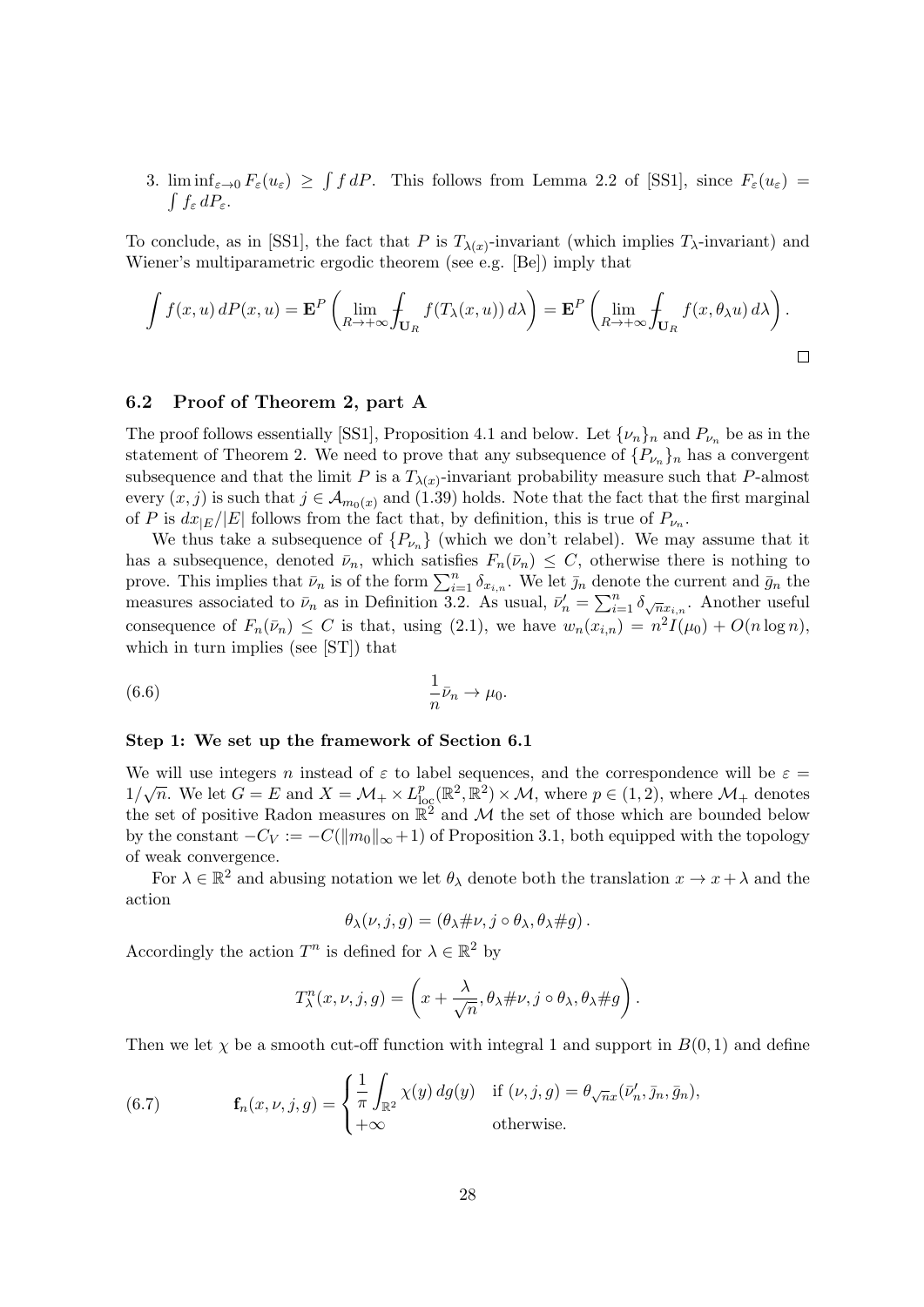3. lim inf<sub> $\varepsilon \to 0$ </sub>  $F_{\varepsilon}(u_{\varepsilon}) \geq \int f dP$ . This follows from Lemma 2.2 of [SS1], since  $F_{\varepsilon}(u_{\varepsilon}) =$  $\int f_{\varepsilon} dP_{\varepsilon}$ .

To conclude, as in [SS1], the fact that P is  $T_{\lambda(x)}$ -invariant (which implies  $T_{\lambda}$ -invariant) and Wiener's multiparametric ergodic theorem (see e.g. [Be]) imply that

$$
\int f(x, u) dP(x, u) = \mathbf{E}^{P} \left( \lim_{R \to +\infty} \int_{\mathbf{U}_R} f(T_{\lambda}(x, u)) d\lambda \right) = \mathbf{E}^{P} \left( \lim_{R \to +\infty} \int_{\mathbf{U}_R} f(x, \theta_{\lambda} u) d\lambda \right).
$$

### 6.2 Proof of Theorem 2, part A

The proof follows essentially [SS1], Proposition 4.1 and below. Let  $\{\nu_n\}_n$  and  $P_{\nu_n}$  be as in the statement of Theorem 2. We need to prove that any subsequence of  $\{P_{\nu_n}\}_n$  has a convergent subsequence and that the limit P is a  $T_{\lambda(x)}$ -invariant probability measure such that P-almost every  $(x, j)$  is such that  $j \in \mathcal{A}_{m_0(x)}$  and  $(1.39)$  holds. Note that the fact that the first marginal of P is  $dx_{|E}/|E|$  follows from the fact that, by definition, this is true of  $P_{\nu_n}$ .

We thus take a subsequence of  $\{P_{\nu_n}\}\$  (which we don't relabel). We may assume that it has a subsequence, denoted  $\bar{\nu}_n$ , which satisfies  $F_n(\bar{\nu}_n) \leq C$ , otherwise there is nothing to prove. This implies that  $\bar{\nu}_n$  is of the form  $\sum_{i=1}^n \delta_{x_{i,n}}$ . We let  $\bar{j}_n$  denote the current and  $\bar{g}_n$  the measures associated to  $\bar{\nu}_n$  as in Definition 3.2. As usual,  $\bar{\nu}'_n = \sum_{i=1}^n \delta_{\sqrt{n}x_{i,n}}$ . Another useful consequence of  $F_n(\bar{\nu}_n) \leq C$  is that, using (2.1), we have  $w_n(x_{i,n}) = n^2 I(\mu_0) + O(n \log n)$ , which in turn implies (see [ST]) that

$$
\frac{1}{n}\bar{\nu}_n \to \mu_0.
$$

#### Step 1: We set up the framework of Section 6.1

We will use integers n instead of  $\varepsilon$  to label sequences, and the correspondence will be  $\varepsilon =$ We will use integers *n* instead of  $\varepsilon$  to laber sequences, and the correspondence will be  $\varepsilon = 1/\sqrt{n}$ . We let  $G = E$  and  $X = \mathcal{M}_+ \times L_{\text{log}}^p(\mathbb{R}^2, \mathbb{R}^2) \times \mathcal{M}$ , where  $p \in (1, 2)$ , where  $\mathcal{M}_+$  denotes the set of positive Radon measures on  $\mathbb{R}^2$  and M the set of those which are bounded below by the constant  $-C_V := -C(||m_0||_{\infty} + 1)$  of Proposition 3.1, both equipped with the topology of weak convergence.

For  $\lambda \in \mathbb{R}^2$  and abusing notation we let  $\theta_\lambda$  denote both the translation  $x \to x + \lambda$  and the action

$$
\theta_{\lambda}(\nu,j,g)=(\theta_{\lambda}\#\nu,j\circ\theta_{\lambda},\theta_{\lambda}\#g).
$$

Accordingly the action  $T^n$  is defined for  $\lambda \in \mathbb{R}^2$  by

$$
T_{\lambda}^{n}(x,\nu,j,g) = \left(x + \frac{\lambda}{\sqrt{n}}, \theta_{\lambda} \# \nu, j \circ \theta_{\lambda}, \theta_{\lambda} \# g\right).
$$

Then we let  $\chi$  be a smooth cut-off function with integral 1 and support in  $B(0, 1)$  and define

(6.7) 
$$
\mathbf{f}_n(x,\nu,j,g) = \begin{cases} \frac{1}{\pi} \int_{\mathbb{R}^2} \chi(y) \, dg(y) & \text{if } (\nu,j,g) = \theta_{\sqrt{n}x}(\bar{\nu}'_n,\bar{\jmath}_n,\bar{g}_n), \\ +\infty & \text{otherwise.} \end{cases}
$$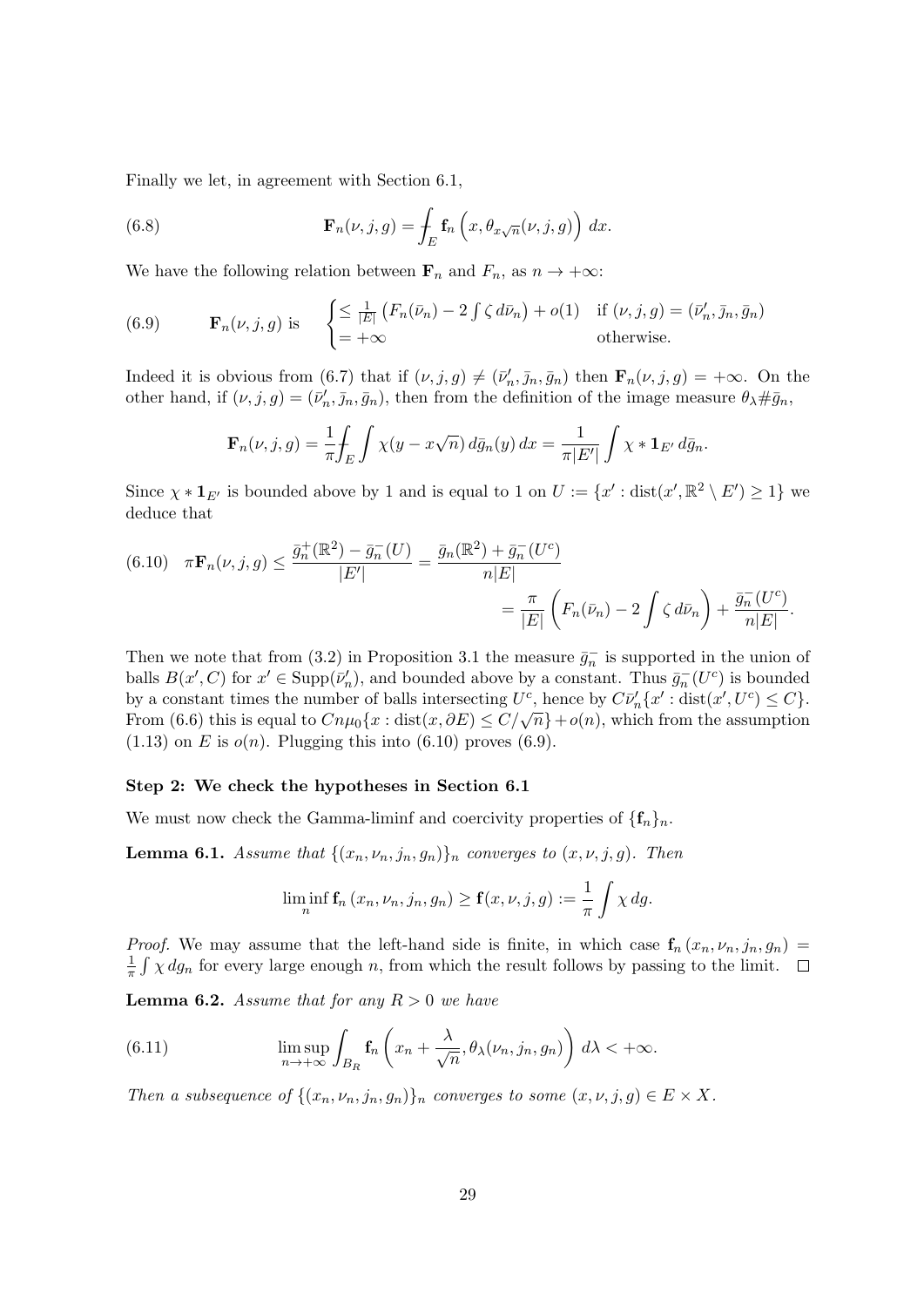Finally we let, in agreement with Section 6.1,

(6.8) 
$$
\mathbf{F}_n(\nu, j, g) = \int_E \mathbf{f}_n\left(x, \theta_{x\sqrt{n}}(\nu, j, g)\right) dx.
$$

We have the following relation between  $\mathbf{F}_n$  and  $F_n$ , as  $n \to +\infty$ :

(6.9) 
$$
\mathbf{F}_n(\nu, j, g) \text{ is } \begin{cases} \leq \frac{1}{|E|} \left( F_n(\bar{\nu}_n) - 2 \int \zeta \, d\bar{\nu}_n \right) + o(1) & \text{if } (\nu, j, g) = (\bar{\nu}'_n, \bar{\jmath}_n, \bar{g}_n) \\ = +\infty & \text{otherwise.} \end{cases}
$$

Indeed it is obvious from (6.7) that if  $(\nu, j, g) \neq (\bar{\nu}'_n, \bar{\jmath}_n, \bar{g}_n)$  then  $\mathbf{F}_n(\nu, j, g) = +\infty$ . On the other hand, if  $(\nu, j, g) = (\bar{\nu}'_n, \bar{j}_n, \bar{g}_n)$ , then from the definition of the image measure  $\theta_\lambda \# \bar{g}_n$ ,

$$
\mathbf{F}_n(\nu,j,g) = \frac{1}{\pi} \int_E \int \chi(y - x\sqrt{n}) \, d\bar{g}_n(y) \, dx = \frac{1}{\pi |E'|} \int \chi * \mathbf{1}_{E'} \, d\bar{g}_n.
$$

Since  $\chi * \mathbf{1}_{E'}$  is bounded above by 1 and is equal to 1 on  $U := \{x' : dist(x', \mathbb{R}^2 \setminus E') \geq 1\}$  we deduce that

(6.10) 
$$
\pi \mathbf{F}_n(\nu, j, g) \le \frac{\bar{g}_n^+(\mathbb{R}^2) - \bar{g}_n^-(U)}{|E'|} = \frac{\bar{g}_n(\mathbb{R}^2) + \bar{g}_n^-(U^c)}{n|E|} = \frac{\pi}{|E|} \left( F_n(\bar{\nu}_n) - 2 \int \zeta \, d\bar{\nu}_n \right) + \frac{\bar{g}_n^-(U^c)}{n|E|}.
$$

Then we note that from (3.2) in Proposition 3.1 the measure  $\bar{g}_n^-$  is supported in the union of balls  $B(x', C)$  for  $x' \in \text{Supp}(\bar{\nu}'_n)$ , and bounded above by a constant. Thus  $\bar{g}_n^{-}(U^c)$  is bounded by a constant times the number of balls intersecting  $U^c$ , hence by  $C\bar{\nu}'_n\{x':\text{dist}(x',U^c)\leq C\}$ . From (6.6) this is equal to  $Cn\mu_0\{x : \text{dist}(x, \partial E) \le C/\sqrt{n}\} + o(n)$ , which from the assumption  $(1.13)$  on E is  $o(n)$ . Plugging this into  $(6.10)$  proves  $(6.9)$ .

#### Step 2: We check the hypotheses in Section 6.1

We must now check the Gamma-liminf and coercivity properties of  $\{f_n\}_n$ .

**Lemma 6.1.** Assume that  $\{(x_n, \nu_n, j_n, g_n)\}_n$  converges to  $(x, \nu, j, g)$ . Then

$$
\liminf_{n} \mathbf{f}_n(x_n,\nu_n,j_n,g_n) \geq \mathbf{f}(x,\nu,j,g) := \frac{1}{\pi} \int \chi \, dg.
$$

*Proof.* We may assume that the left-hand side is finite, in which case  $f_n(x_n, \nu_n, j_n, g_n)$ 1  $\frac{1}{\pi} \int \chi \, dg_n$  for every large enough n, from which the result follows by passing to the limit.

**Lemma 6.2.** Assume that for any  $R > 0$  we have

(6.11) 
$$
\limsup_{n\to+\infty}\int_{B_R} \mathbf{f}_n\left(x_n+\frac{\lambda}{\sqrt{n}},\theta_\lambda(\nu_n,j_n,g_n)\right) d\lambda < +\infty.
$$

Then a subsequence of  $\{(x_n, \nu_n, j_n, g_n)\}_n$  converges to some  $(x, \nu, j, g) \in E \times X$ .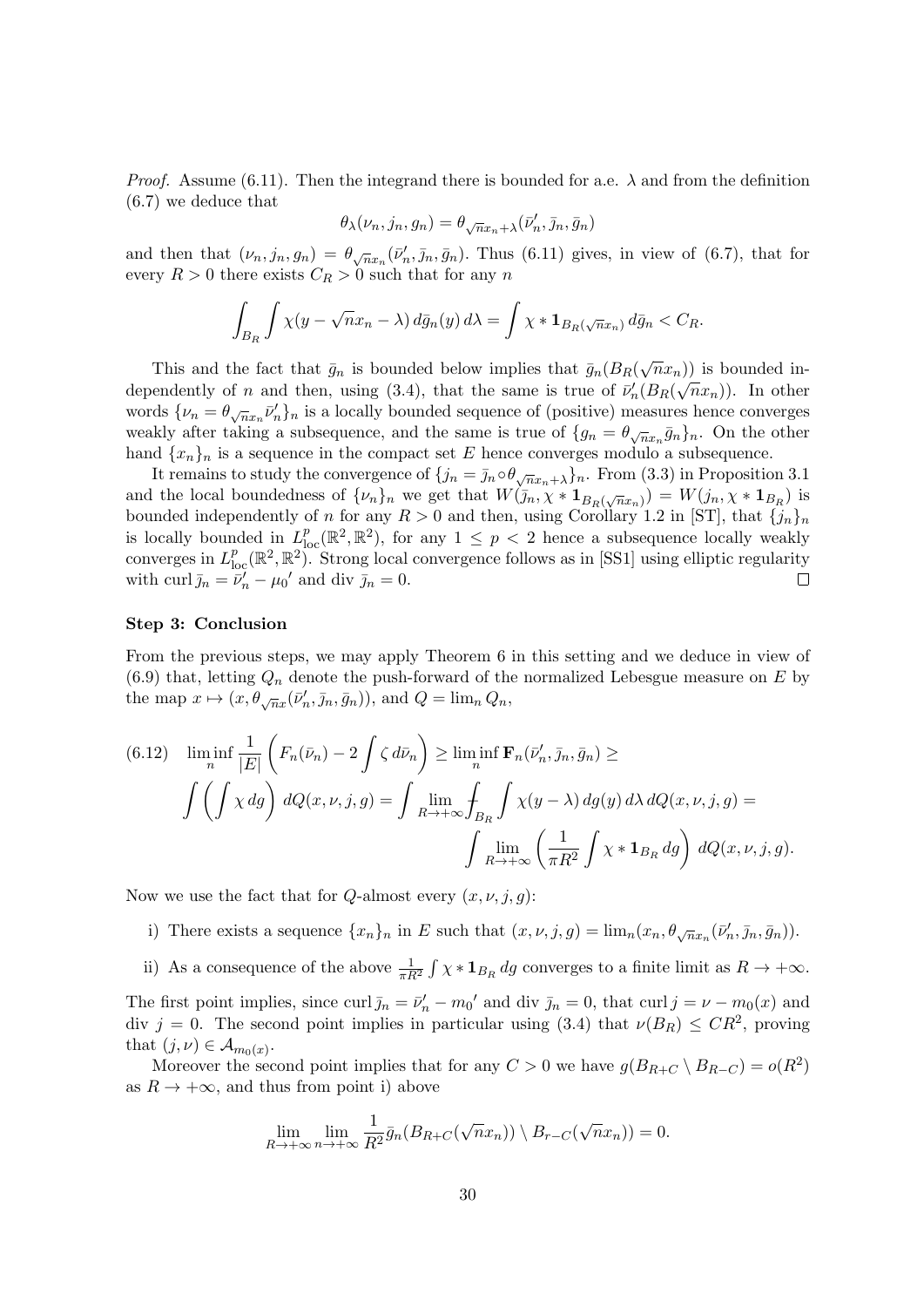*Proof.* Assume (6.11). Then the integrand there is bounded for a.e.  $\lambda$  and from the definition (6.7) we deduce that

$$
\theta_\lambda(\nu_n,j_n,g_n)=\theta_{\sqrt{n}x_n+\lambda}(\bar{\nu}'_n,\bar{\jmath}_n,\bar{g}_n)
$$

and then that  $(\nu_n, j_n, g_n) = \theta_{\sqrt{n}x_n}(\bar{\nu}'_n, \bar{j}_n, \bar{g}_n)$ . Thus (6.11) gives, in view of (6.7), that for every  $R > 0$  there exists  $C_R > 0$  such that for any n

$$
\int_{B_R} \int \chi(y - \sqrt{n}x_n - \lambda) d\bar{g}_n(y) d\lambda = \int \chi * \mathbf{1}_{B_R(\sqrt{n}x_n)} d\bar{g}_n < C_R.
$$

This and the fact that  $\bar{g}_n$  is bounded below implies that  $\bar{g}_n(B_R(\sqrt{n}x_n))$  is bounded independently of n and then, using (3.4), that the same is true of  $\bar{\nu}'_n(B_R(\sqrt{n}x_n))$ . In other words  $\{\nu_n = \theta_{\sqrt{n}x_n}\bar{\nu}'_n\}_n$  is a locally bounded sequence of (positive) measures hence converges weakly after taking a subsequence, and the same is true of  $\{g_n = \theta_{\sqrt{n}x_n}\bar{g}_n\}_n$ . On the other hand  ${x_n}_n$  is a sequence in the compact set E hence converges modulo a subsequence.

It remains to study the convergence of  $\{j_n = \bar{j}_n \circ \theta_{\sqrt{n}x_n + \lambda}\}\$ n. From (3.3) in Proposition 3.1 and the local boundedness of  $\{\nu_n\}_n$  we get that  $W(j_n, \chi * 1_{B_R(\sqrt{n}x_n)}) = W(j_n, \chi * 1_{B_R})$  is bounded independently of n for any  $R > 0$  and then, using Corollary 1.2 in [ST], that  $\{j_n\}_n$ is locally bounded in  $L_{loc}^p(\mathbb{R}^2, \mathbb{R}^2)$ , for any  $1 \leq p < 2$  hence a subsequence locally weakly converges in  $L_{loc}^p(\mathbb{R}^2, \mathbb{R}^2)$ . Strong local convergence follows as in [SS1] using elliptic regularity with curl  $\bar{j}_n = \bar{\nu}'_n - \mu_0'$  and div  $\bar{j}_n = 0$ .  $\Box$ 

#### Step 3: Conclusion

From the previous steps, we may apply Theorem 6 in this setting and we deduce in view of  $(6.9)$  that, letting  $Q_n$  denote the push-forward of the normalized Lebesgue measure on E by the map  $x \mapsto (x, \theta_{\sqrt{n}x}(\bar{\nu}'_n, \bar{\jmath}_n, \bar{g}_n)),$  and  $Q = \lim_{n \to \infty} Q_n$ ,

(6.12) 
$$
\liminf_{n} \frac{1}{|E|} \left( F_n(\bar{\nu}_n) - 2 \int \zeta \, d\bar{\nu}_n \right) \ge \liminf_{n} \mathbf{F}_n(\bar{\nu}'_n, \bar{\jmath}_n, \bar{g}_n) \ge
$$

$$
\int \left( \int \chi \, dg \right) dQ(x, \nu, j, g) = \int \lim_{R \to +\infty} \int_{B_R} \int \chi(y - \lambda) \, dg(y) \, d\lambda \, dQ(x, \nu, j, g) =
$$

$$
\int \lim_{R \to +\infty} \left( \frac{1}{\pi R^2} \int \chi * \mathbf{1}_{B_R} \, dg \right) dQ(x, \nu, j, g).
$$

Now we use the fact that for Q-almost every  $(x, \nu, j, g)$ :

- i) There exists a sequence  $\{x_n\}_n$  in E such that  $(x, \nu, j, g) = \lim_n (x_n, \theta_{\sqrt{n}x_n}(\bar{\nu}'_n, \bar{\jmath}_n, \bar{g}_n)).$
- ii) As a consequence of the above  $\frac{1}{\pi R^2} \int \chi * \mathbf{1}_{B_R} dg$  converges to a finite limit as  $R \to +\infty$ .

The first point implies, since curl  $\bar{j}_n = \bar{\nu}'_n - m_0'$  and div  $\bar{j}_n = 0$ , that curl  $j = \nu - m_0(x)$  and div  $j = 0$ . The second point implies in particular using (3.4) that  $\nu(B_R) \leq CR^2$ , proving that  $(j, \nu) \in \mathcal{A}_{m_0(x)}$ .

Moreover the second point implies that for any  $C > 0$  we have  $g(B_{R+C} \setminus B_{R-C}) = o(R^2)$ as  $R \to +\infty$ , and thus from point i) above

$$
\lim_{R\to+\infty}\lim_{n\to+\infty}\frac{1}{R^2}\bar{g}_n(B_{R+C}(\sqrt{n}x_n))\setminus B_{r-C}(\sqrt{n}x_n))=0.
$$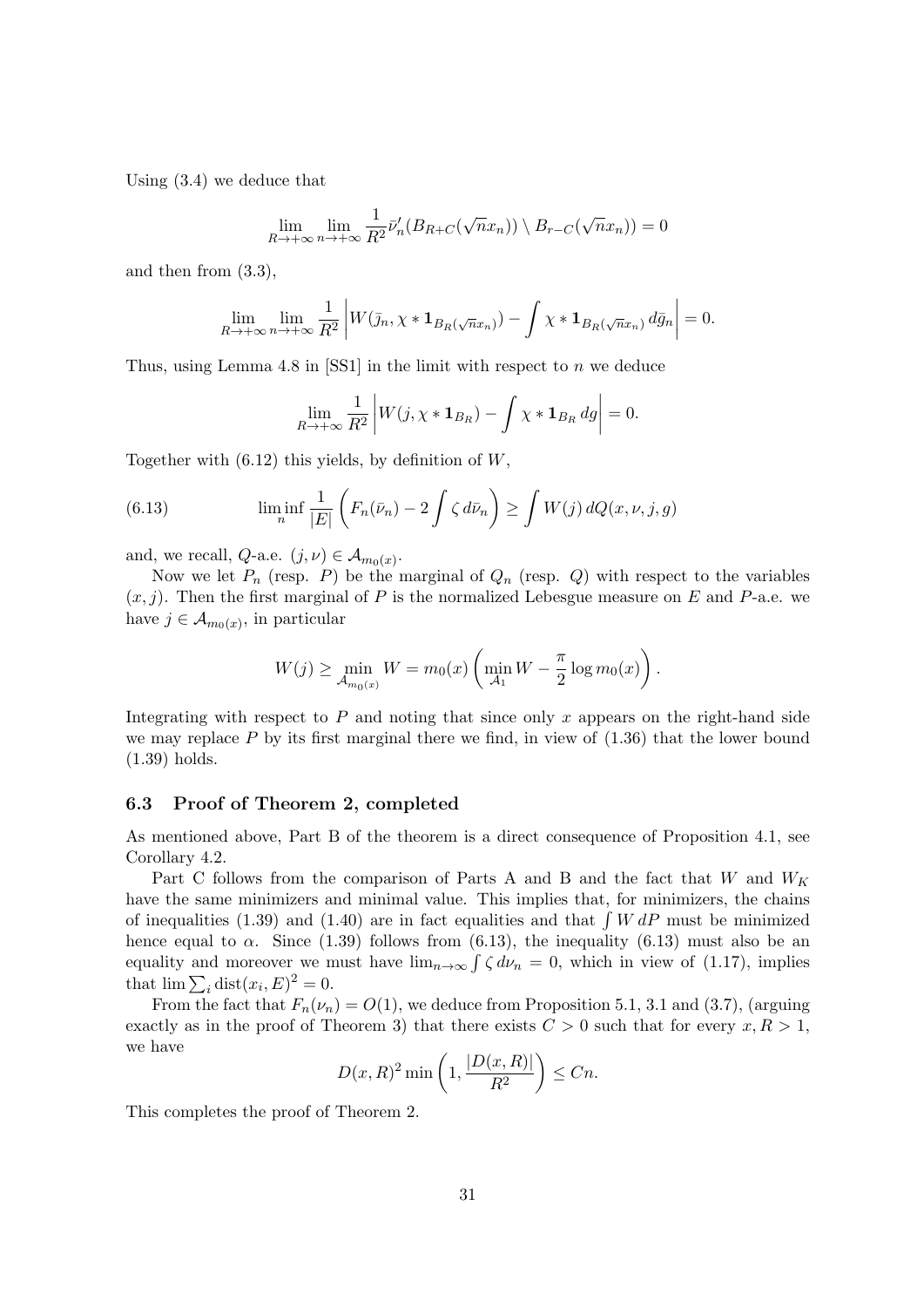Using (3.4) we deduce that

$$
\lim_{R \to +\infty} \lim_{n \to +\infty} \frac{1}{R^2} \bar{\nu}'_n(B_{R+C}(\sqrt{n}x_n)) \setminus B_{r-C}(\sqrt{n}x_n)) = 0
$$

and then from (3.3),

$$
\lim_{R\to+\infty}\lim_{n\to+\infty}\frac{1}{R^2}\left|W(\bar{\jmath}_n,\chi*\mathbf{1}_{B_R(\sqrt{n}x_n)})-\int\chi*\mathbf{1}_{B_R(\sqrt{n}x_n)}d\bar{g}_n\right|=0.
$$

Thus, using Lemma 4.8 in  $[SS1]$  in the limit with respect to n we deduce

$$
\lim_{R \to +\infty} \frac{1}{R^2} \left| W(j, \chi * \mathbf{1}_{B_R}) - \int \chi * \mathbf{1}_{B_R} dg \right| = 0.
$$

Together with  $(6.12)$  this yields, by definition of W,

(6.13) 
$$
\liminf_{n} \frac{1}{|E|} \left( F_n(\bar{\nu}_n) - 2 \int \zeta \, d\bar{\nu}_n \right) \ge \int W(j) \, dQ(x, \nu, j, g)
$$

and, we recall,  $Q$ -a.e.  $(j, \nu) \in \mathcal{A}_{m_0(x)}$ .

Now we let  $P_n$  (resp. P) be the marginal of  $Q_n$  (resp. Q) with respect to the variables  $(x, j)$ . Then the first marginal of P is the normalized Lebesgue measure on E and P-a.e. we have  $j \in \mathcal{A}_{m_0(x)}$ , in particular

$$
W(j) \ge \min_{\mathcal{A}_{m_0(x)}} W = m_0(x) \left( \min_{\mathcal{A}_1} W - \frac{\pi}{2} \log m_0(x) \right).
$$

Integrating with respect to  $P$  and noting that since only  $x$  appears on the right-hand side we may replace  $P$  by its first marginal there we find, in view of  $(1.36)$  that the lower bound (1.39) holds.

#### 6.3 Proof of Theorem 2, completed

As mentioned above, Part B of the theorem is a direct consequence of Proposition 4.1, see Corollary 4.2.

Part C follows from the comparison of Parts A and B and the fact that W and  $W_K$ have the same minimizers and minimal value. This implies that, for minimizers, the chains of inequalities (1.39) and (1.40) are in fact equalities and that  $\int W dP$  must be minimized hence equal to  $\alpha$ . Since (1.39) follows from (6.13), the inequality (6.13) must also be an equality and moreover we must have  $\lim_{n\to\infty} \int \zeta d\nu_n = 0$ , which in view of (1.17), implies that  $\lim \sum_i \text{dist}(x_i, E)^2 = 0.$ 

From the fact that  $F_n(\nu_n) = O(1)$ , we deduce from Proposition 5.1, 3.1 and (3.7), (arguing exactly as in the proof of Theorem 3) that there exists  $C > 0$  such that for every  $x, R > 1$ , we have

$$
D(x,R)^2 \min\left(1, \frac{|D(x,R)|}{R^2}\right) \le Cn.
$$

This completes the proof of Theorem 2.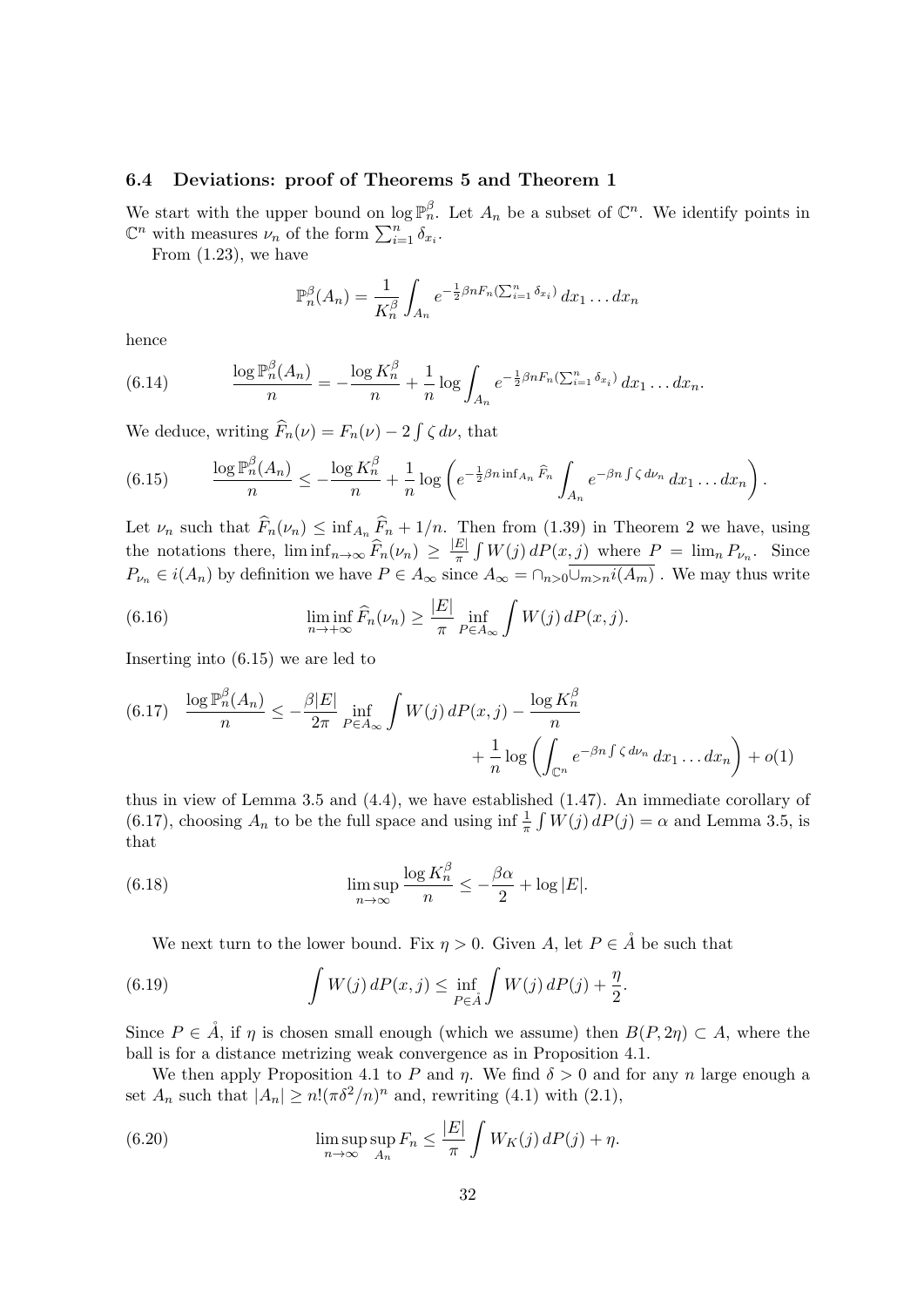### 6.4 Deviations: proof of Theorems 5 and Theorem 1

We start with the upper bound on  $\log \mathbb{P}_n^{\beta}$ . Let  $A_n$  be a subset of  $\mathbb{C}^n$ . We identify points in  $\mathbb{C}^n$  with measures  $\nu_n$  of the form  $\sum_{i=1}^n \delta_{x_i}$ .

From (1.23), we have

$$
\mathbb{P}_n^{\beta}(A_n) = \frac{1}{K_n^{\beta}} \int_{A_n} e^{-\frac{1}{2}\beta n F_n(\sum_{i=1}^n \delta_{x_i})} dx_1 \dots dx_n
$$

hence

(6.14) 
$$
\frac{\log \mathbb{P}_n^{\beta}(A_n)}{n} = -\frac{\log K_n^{\beta}}{n} + \frac{1}{n} \log \int_{A_n} e^{-\frac{1}{2}\beta n F_n(\sum_{i=1}^n \delta_{x_i})} dx_1 \dots dx_n.
$$

We deduce, writing  $\tilde{F}_n(\nu) = F_n(\nu) - 2 \int \zeta d\nu$ , that

(6.15) 
$$
\frac{\log \mathbb{P}_n^{\beta}(A_n)}{n} \leq -\frac{\log K_n^{\beta}}{n} + \frac{1}{n} \log \left( e^{-\frac{1}{2}\beta n \inf_{A_n} \widehat{F}_n} \int_{A_n} e^{-\beta n \int \zeta d\nu_n} dx_1 \dots dx_n \right).
$$

Let  $\nu_n$  such that  $\widehat{F}_n(\nu_n) \leq \inf_{A_n} \widehat{F}_n + 1/n$ . Then from (1.39) in Theorem 2 we have, using the notations there,  $\liminf_{n\to\infty} \widehat{F}_n(\nu_n) \geq \frac{|E|}{\pi}$  $\frac{E}{\pi} \int W(j) dP(x, j)$  where  $P = \lim_{n} P_{\nu_n}$ . Since  $P_{\nu_n} \in i(A_n)$  by definition we have  $P \in A_\infty$  since  $A_\infty = \cap_{n>0} \overline{\cup_{m>n} i(A_m)}$ . We may thus write

(6.16) 
$$
\liminf_{n \to +\infty} \widehat{F}_n(\nu_n) \ge \frac{|E|}{\pi} \inf_{P \in A_\infty} \int W(j) dP(x, j).
$$

Inserting into (6.15) we are led to

$$
(6.17) \quad \frac{\log \mathbb{P}_n^{\beta}(A_n)}{n} \le -\frac{\beta |E|}{2\pi} \inf_{P \in A_\infty} \int W(j) \, dP(x,j) - \frac{\log K_n^{\beta}}{n} + \frac{1}{n} \log \left( \int_{\mathbb{C}^n} e^{-\beta n \int \zeta \, d\nu_n} \, dx_1 \dots dx_n \right) + o(1)
$$

thus in view of Lemma 3.5 and (4.4), we have established (1.47). An immediate corollary of (6.17), choosing  $A_n$  to be the full space and using inf  $\frac{1}{\pi} \int W(j) dP(j) = \alpha$  and Lemma 3.5, is that

(6.18) 
$$
\limsup_{n \to \infty} \frac{\log K_n^{\beta}}{n} \leq -\frac{\beta \alpha}{2} + \log |E|.
$$

We next turn to the lower bound. Fix  $\eta > 0$ . Given A, let  $P \in \mathring{A}$  be such that

(6.19) 
$$
\int W(j) dP(x, j) \leq \inf_{P \in \mathring{A}} \int W(j) dP(j) + \frac{\eta}{2}.
$$

Since  $P \in \hat{A}$ , if  $\eta$  is chosen small enough (which we assume) then  $B(P, 2\eta) \subset A$ , where the ball is for a distance metrizing weak convergence as in Proposition 4.1.

We then apply Proposition 4.1 to P and  $\eta$ . We find  $\delta > 0$  and for any n large enough a set  $A_n$  such that  $|A_n| \ge n! (\pi \delta^2/n)^n$  and, rewriting (4.1) with (2.1),

(6.20) 
$$
\limsup_{n \to \infty} \sup_{A_n} F_n \le \frac{|E|}{\pi} \int W_K(j) dP(j) + \eta.
$$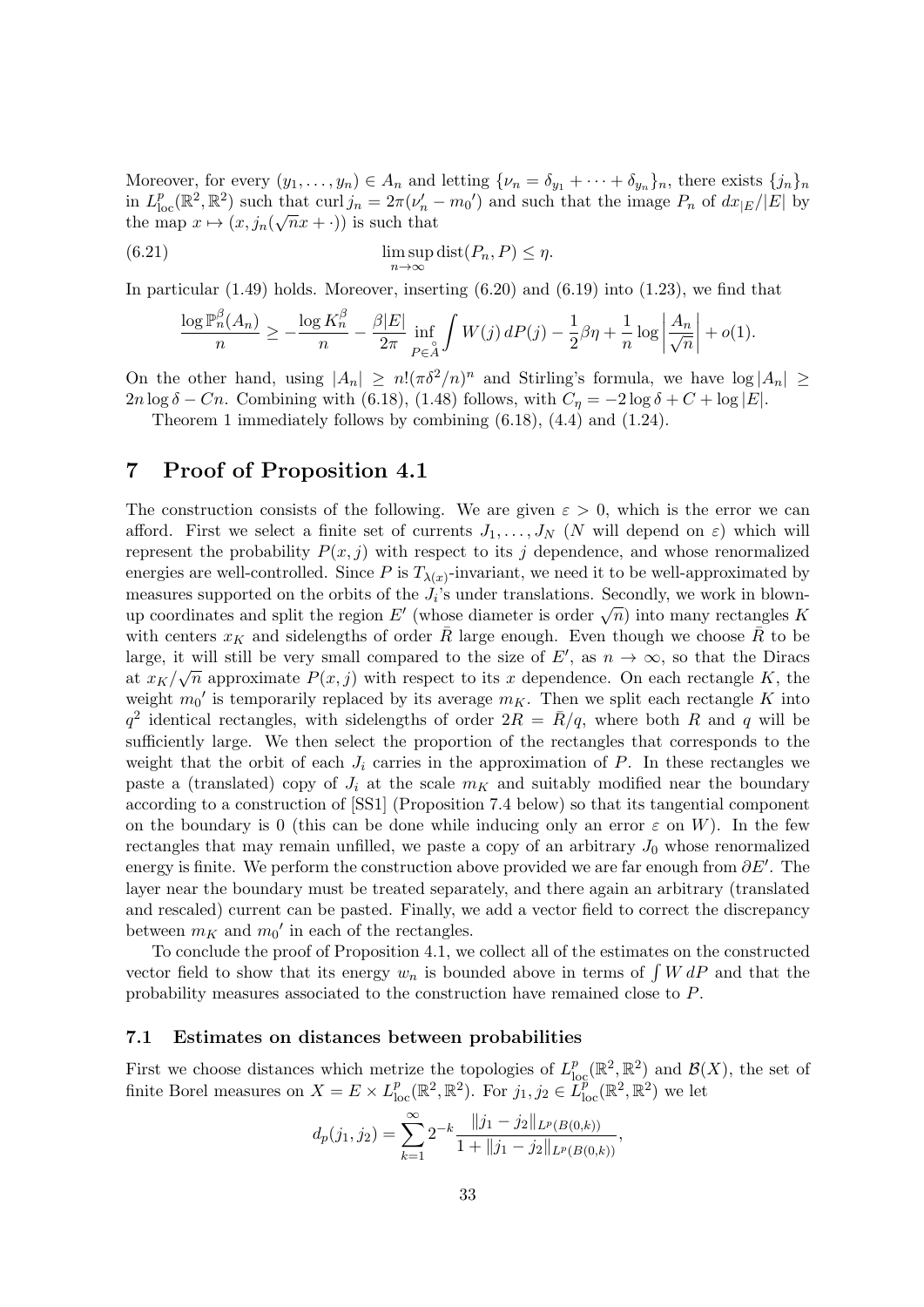Moreover, for every  $(y_1, \ldots, y_n) \in A_n$  and letting  $\{\nu_n = \delta_{y_1} + \cdots + \delta_{y_n}\}_n$ , there exists  $\{j_n\}_n$ in  $L_{\text{loc}}^p(\mathbb{R}^2, \mathbb{R}^2)$  such that curl  $j_n = 2\pi(\nu'_n - m_0)$  and such that the image  $P_n$  of  $dx_{|E}/|E|$  by the map  $x \mapsto (x, j_n(\sqrt{n}x + \cdot))$  is such that

(6.21) 
$$
\limsup_{n \to \infty} \text{dist}(P_n, P) \le \eta.
$$

In particular (1.49) holds. Moreover, inserting (6.20) and (6.19) into (1.23), we find that

$$
\frac{\log \mathbb{P}_n^{\beta}(A_n)}{n} \ge -\frac{\log K_n^{\beta}}{n} - \frac{\beta |E|}{2\pi} \inf_{P \in A} \int W(j) \, dP(j) - \frac{1}{2}\beta \eta + \frac{1}{n} \log \left| \frac{A_n}{\sqrt{n}} \right| + o(1).
$$

On the other hand, using  $|A_n| \ge n! (\pi \delta^2/n)^n$  and Stirling's formula, we have  $\log |A_n| \ge$  $2n \log \delta - C_n$ . Combining with (6.18), (1.48) follows, with  $C_n = -2 \log \delta + C + \log |E|$ .

Theorem 1 immediately follows by combining (6.18), (4.4) and (1.24).

## 7 Proof of Proposition 4.1

The construction consists of the following. We are given  $\varepsilon > 0$ , which is the error we can afford. First we select a finite set of currents  $J_1, \ldots, J_N$  (N will depend on  $\varepsilon$ ) which will represent the probability  $P(x, j)$  with respect to its j dependence, and whose renormalized energies are well-controlled. Since P is  $T_{\lambda(x)}$ -invariant, we need it to be well-approximated by measures supported on the orbits of the  $J_i$ 's under translations. Secondly, we work in blownmeasures supported on the orbits of the  $J_i$  s under transfactors. Secondly, we work in blown-<br>up coordinates and split the region E' (whose diameter is order  $\sqrt{n}$ ) into many rectangles K with centers  $x_K$  and sidelengths of order  $\overline{R}$  large enough. Even though we choose  $\overline{R}$  to be large, it will still be very small compared to the size of  $E'$ , as  $n \to \infty$ , so that the Diracs at  $x_K/\sqrt{n}$  approximate  $P(x, j)$  with respect to its x dependence. On each rectangle K, the weight  $m_0'$  is temporarily replaced by its average  $m_K$ . Then we split each rectangle K into  $q^2$  identical rectangles, with sidelengths of order  $2R = \bar{R}/q$ , where both R and q will be sufficiently large. We then select the proportion of the rectangles that corresponds to the weight that the orbit of each  $J_i$  carries in the approximation of P. In these rectangles we paste a (translated) copy of  $J_i$  at the scale  $m<sub>K</sub>$  and suitably modified near the boundary according to a construction of [SS1] (Proposition 7.4 below) so that its tangential component on the boundary is 0 (this can be done while inducing only an error  $\varepsilon$  on W). In the few rectangles that may remain unfilled, we paste a copy of an arbitrary  $J_0$  whose renormalized energy is finite. We perform the construction above provided we are far enough from  $\partial E'$ . The layer near the boundary must be treated separately, and there again an arbitrary (translated and rescaled) current can be pasted. Finally, we add a vector field to correct the discrepancy between  $m_K$  and  $m_0'$  in each of the rectangles.

To conclude the proof of Proposition 4.1, we collect all of the estimates on the constructed vector field to show that its energy  $w_n$  is bounded above in terms of  $\int W dP$  and that the probability measures associated to the construction have remained close to P.

#### 7.1 Estimates on distances between probabilities

First we choose distances which metrize the topologies of  $L_{\text{loc}}^p(\mathbb{R}^2, \mathbb{R}^2)$  and  $\mathcal{B}(X)$ , the set of finite Borel measures on  $X = E \times L_{loc}^p(\mathbb{R}^2, \mathbb{R}^2)$ . For  $j_1, j_2 \in L_{loc}^p(\mathbb{R}^2, \mathbb{R}^2)$  we let

$$
d_p(j_1, j_2) = \sum_{k=1}^{\infty} 2^{-k} \frac{\|j_1 - j_2\|_{L^p(B(0,k))}}{1 + \|j_1 - j_2\|_{L^p(B(0,k))}},
$$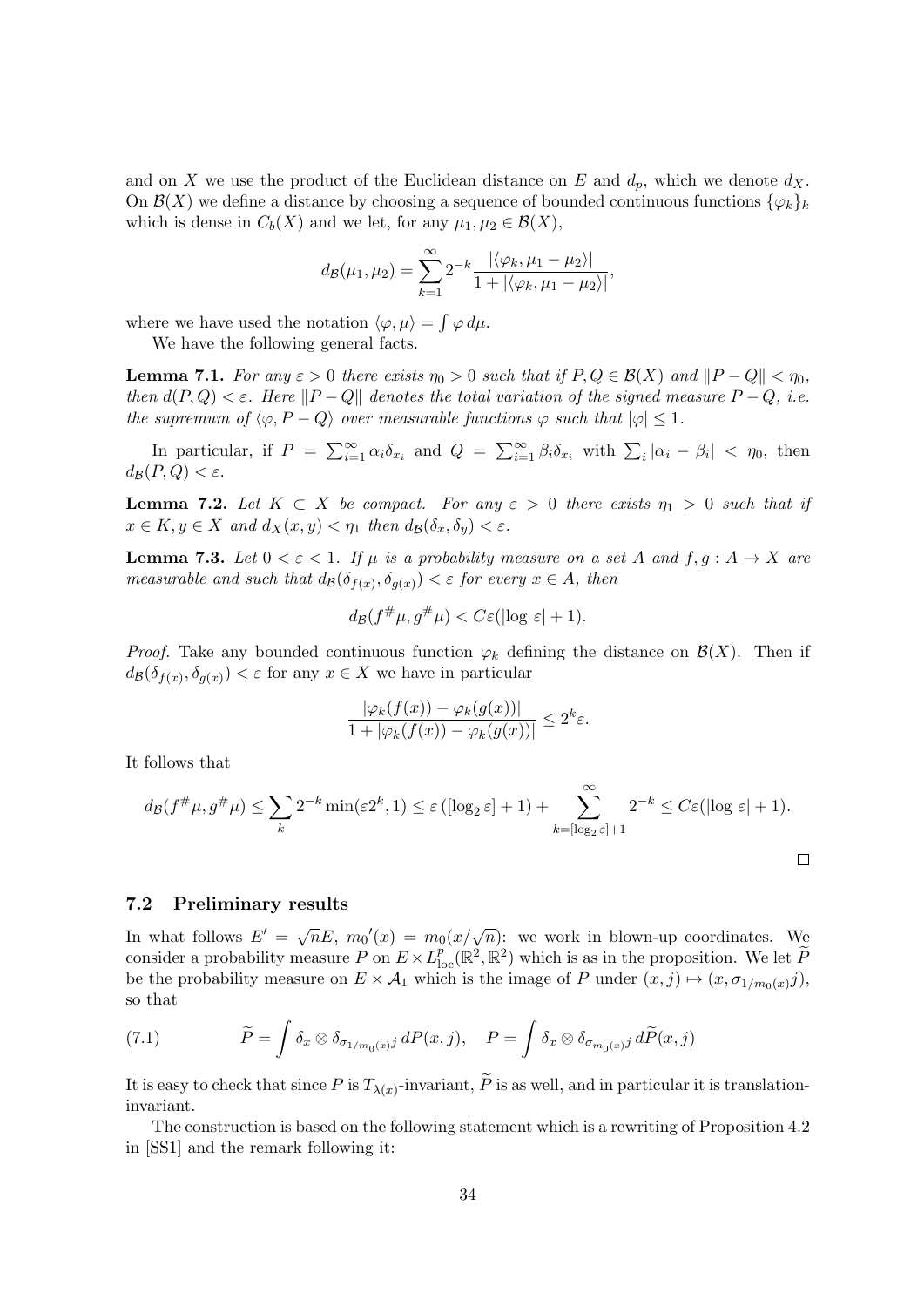and on X we use the product of the Euclidean distance on E and  $d_p$ , which we denote  $d_X$ . On  $\mathcal{B}(X)$  we define a distance by choosing a sequence of bounded continuous functions  $\{\varphi_k\}_k$ which is dense in  $C_b(X)$  and we let, for any  $\mu_1, \mu_2 \in \mathcal{B}(X)$ ,

$$
d_{\mathcal{B}}(\mu_1, \mu_2) = \sum_{k=1}^{\infty} 2^{-k} \frac{|\langle \varphi_k, \mu_1 - \mu_2 \rangle|}{1 + |\langle \varphi_k, \mu_1 - \mu_2 \rangle|},
$$

where we have used the notation  $\langle \varphi, \mu \rangle = \int \varphi \, d\mu$ .

We have the following general facts.

**Lemma 7.1.** For any  $\varepsilon > 0$  there exists  $\eta_0 > 0$  such that if  $P, Q \in \mathcal{B}(X)$  and  $||P - Q|| < \eta_0$ , then  $d(P,Q) < \varepsilon$ . Here  $||P-Q||$  denotes the total variation of the signed measure  $P-Q$ , i.e. the supremum of  $\langle \varphi, P - Q \rangle$  over measurable functions  $\varphi$  such that  $|\varphi| \leq 1$ .

In particular, if  $P = \sum_{i=1}^{\infty} \alpha_i \delta_{x_i}$  and  $Q = \sum_{i=1}^{\infty} \beta_i \delta_{x_i}$  with  $\sum_i |\alpha_i - \beta_i| < \eta_0$ , then  $d_{\mathcal{B}}(P,Q) < \varepsilon$ .

**Lemma 7.2.** Let  $K \subset X$  be compact. For any  $\varepsilon > 0$  there exists  $\eta_1 > 0$  such that if  $x \in K, y \in X$  and  $d_X(x, y) < \eta_1$  then  $d_B(\delta_x, \delta_y) < \varepsilon$ .

**Lemma 7.3.** Let  $0 < \varepsilon < 1$ . If  $\mu$  is a probability measure on a set A and  $f, g: A \to X$  are measurable and such that  $d_{\mathcal{B}}(\delta_{f(x)}, \delta_{g(x)}) < \varepsilon$  for every  $x \in A$ , then

$$
d_{\mathcal{B}}(f^{\#}\mu, g^{\#}\mu) < C\varepsilon(\log \varepsilon| + 1).
$$

*Proof.* Take any bounded continuous function  $\varphi_k$  defining the distance on  $\mathcal{B}(X)$ . Then if  $d_{\mathcal{B}}(\delta_{f(x)}, \delta_{g(x)}) < \varepsilon$  for any  $x \in X$  we have in particular

$$
\frac{|\varphi_k(f(x)) - \varphi_k(g(x))|}{1 + |\varphi_k(f(x)) - \varphi_k(g(x))|} \le 2^k \varepsilon.
$$

It follows that

$$
d_{\mathcal{B}}(f^{\#}\mu, g^{\#}\mu) \leq \sum_{k} 2^{-k} \min(\varepsilon 2^{k}, 1) \leq \varepsilon \left( [\log_{2} \varepsilon] + 1 \right) + \sum_{k = [\log_{2} \varepsilon] + 1}^{\infty} 2^{-k} \leq C \varepsilon (\log \varepsilon) + 1.
$$

#### 7.2 Preliminary results

In what follows  $E' = \sqrt{n}E$ ,  $m_0'(x) = m_0(x/\sqrt{n})$ : we work in blown-up coordinates. We consider a probability measure  $P$  on  $E \times L^p_{loc}(\mathbb{R}^2, \mathbb{R}^2)$  which is as in the proposition. We let  $\tilde{P}$ be the probability measure on  $E \times A_1$  which is the image of P under  $(x, j) \mapsto (x, \sigma_{1/m_0(x)}j)$ , so that

(7.1) 
$$
\widetilde{P} = \int \delta_x \otimes \delta_{\sigma_{1/m_0(x)}j} dP(x, j), \quad P = \int \delta_x \otimes \delta_{\sigma_{m_0(x)}j} d\widetilde{P}(x, j)
$$

It is easy to check that since P is  $T_{\lambda(x)}$ -invariant, P is as well, and in particular it is translationinvariant.

The construction is based on the following statement which is a rewriting of Proposition 4.2 in [SS1] and the remark following it: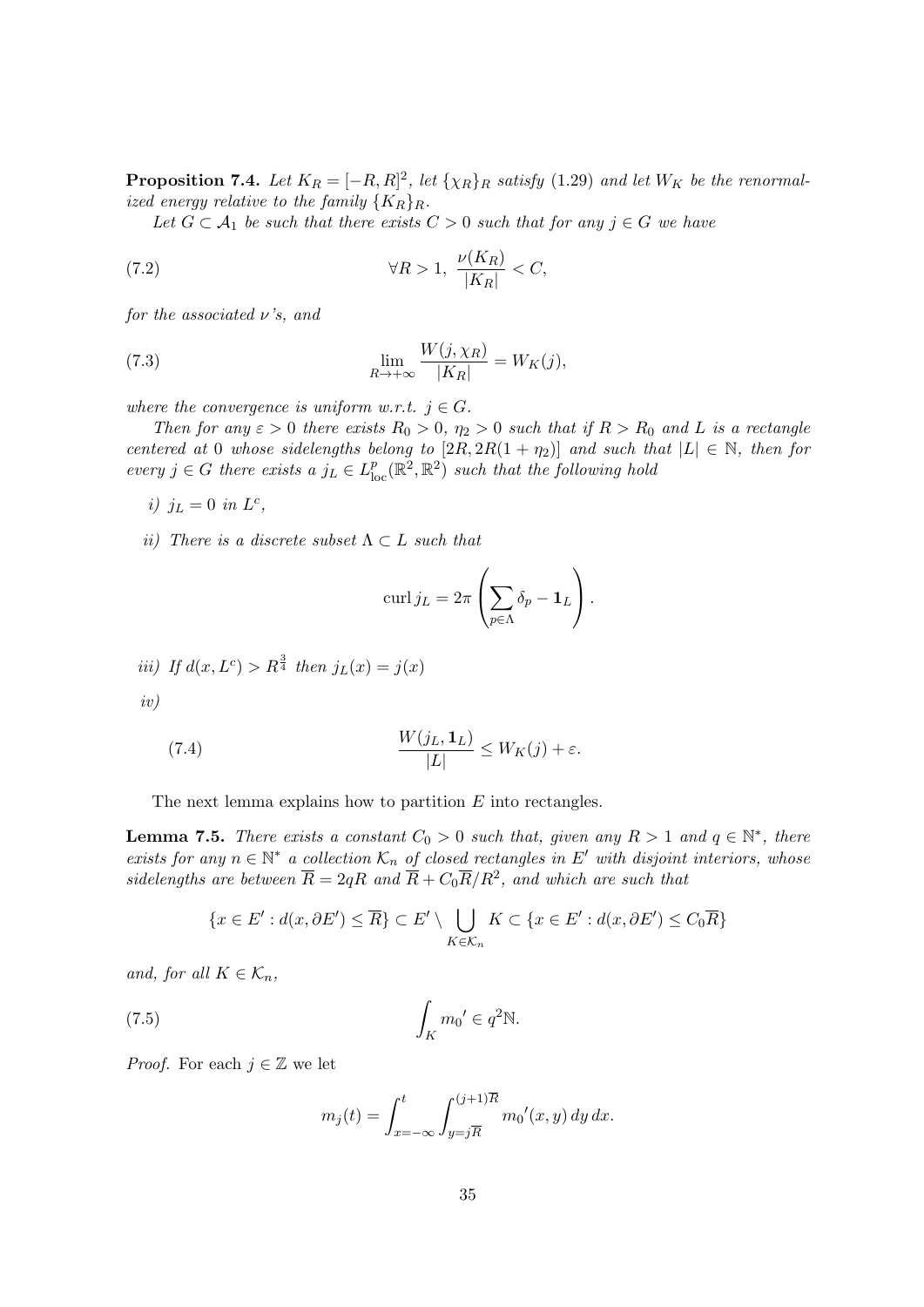**Proposition 7.4.** Let  $K_R = [-R, R]^2$ , let  $\{\chi_R\}_R$  satisfy (1.29) and let  $W_K$  be the renormalized energy relative to the family  $\{K_R\}_R$ .

Let  $G \subset A_1$  be such that there exists  $C > 0$  such that for any  $j \in G$  we have

(7.2) 
$$
\forall R > 1, \frac{\nu(K_R)}{|K_R|} < C,
$$

for the associated  $\nu$ 's, and

(7.3) 
$$
\lim_{R \to +\infty} \frac{W(j, \chi_R)}{|K_R|} = W_K(j),
$$

where the convergence is uniform w.r.t.  $j \in G$ .

Then for any  $\varepsilon > 0$  there exists  $R_0 > 0$ ,  $\eta_2 > 0$  such that if  $R > R_0$  and L is a rectangle centered at 0 whose sidelengths belong to  $[2R, 2R(1 + \eta_2)]$  and such that  $|L| \in \mathbb{N}$ , then for every  $j \in G$  there exists a  $j_L \in L^p_{loc}(\mathbb{R}^2, \mathbb{R}^2)$  such that the following hold

i)  $j_L = 0$  in  $L^c$ ,

ii) There is a discrete subset  $\Lambda \subset L$  such that

$$
\operatorname{curl} j_L = 2\pi \left( \sum_{p \in \Lambda} \delta_p - \mathbf{1}_L \right).
$$

iii) If 
$$
d(x, L^c) > R^{\frac{3}{4}}
$$
 then  $j_L(x) = j(x)$   
iv)

(7.4) 
$$
\frac{W(j_L, \mathbf{1}_L)}{|L|} \leq W_K(j) + \varepsilon.
$$

The next lemma explains how to partition  $E$  into rectangles.

**Lemma 7.5.** There exists a constant  $C_0 > 0$  such that, given any  $R > 1$  and  $q \in \mathbb{N}^*$ , there exists for any  $n \in \mathbb{N}^*$  a collection  $\mathcal{K}_n$  of closed rectangles in  $E'$  with disjoint interiors, whose sidelengths are between  $\overline{R} = 2qR$  and  $\overline{R} + C_0 \overline{R}/R^2$ , and which are such that

$$
\{x \in E': d(x, \partial E') \leq \overline{R}\} \subset E' \setminus \bigcup_{K \in \mathcal{K}_n} K \subset \{x \in E': d(x, \partial E') \leq C_0 \overline{R}\}
$$

and, for all  $K \in \mathcal{K}_n$ ,

(7.5) 
$$
\int_{K} m_0' \in q^2 \mathbb{N}.
$$

*Proof.* For each  $j \in \mathbb{Z}$  we let

$$
m_j(t) = \int_{x = -\infty}^t \int_{y = j\overline{R}}^{(j+1)\overline{R}} m_0'(x, y) \, dy \, dx.
$$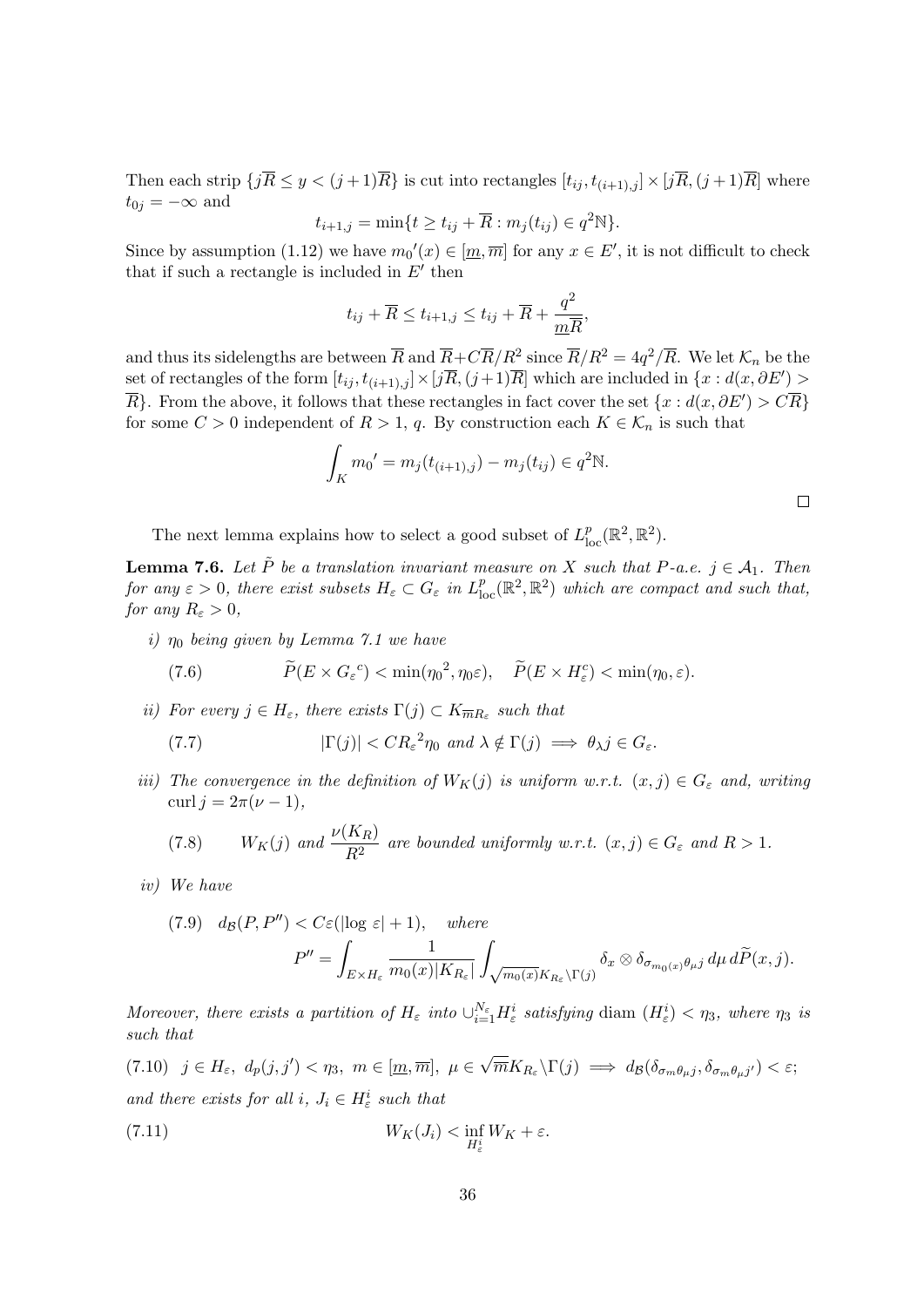Then each strip  $\{j\overline{R} \leq y < (j+1)\overline{R}\}$  is cut into rectangles  $[t_{ij}, t_{(i+1),j}] \times [j\overline{R}, (j+1)\overline{R}]$  where  $t_{0j} = -\infty$  and

$$
t_{i+1,j} = \min\{t \ge t_{ij} + \overline{R} : m_j(t_{ij}) \in q^2\mathbb{N}\}.
$$

Since by assumption (1.12) we have  $m_0'(x) \in [m, \overline{m}]$  for any  $x \in E'$ , it is not difficult to check that if such a rectangle is included in  $E'$  then

$$
t_{ij} + \overline{R} \le t_{i+1,j} \le t_{ij} + \overline{R} + \frac{q^2}{m\overline{R}},
$$

and thus its sidelengths are between  $\overline{R}$  and  $\overline{R}+C\overline{R}/R^2$  since  $\overline{R}/R^2=4q^2/\overline{R}$ . We let  $\mathcal{K}_n$  be the set of rectangles of the form  $[t_{ij}, t_{(i+1),j}] \times [\bar{jR}, (j+1)\bar{R}]$  which are included in  $\{x : d(x, \partial E') >$  $\overline{R}$ . From the above, it follows that these rectangles in fact cover the set  $\{x : d(x, \partial E') > C\overline{R}\}$ for some  $C > 0$  independent of  $R > 1$ , q. By construction each  $K \in \mathcal{K}_n$  is such that

$$
\int_{K} m_0' = m_j(t_{(i+1),j}) - m_j(t_{ij}) \in q^2 \mathbb{N}.
$$

The next lemma explains how to select a good subset of  $L_{\text{loc}}^p(\mathbb{R}^2, \mathbb{R}^2)$ .

**Lemma 7.6.** Let  $\tilde{P}$  be a translation invariant measure on X such that P-a.e.  $j \in A_1$ . Then for any  $\varepsilon > 0$ , there exist subsets  $H_{\varepsilon} \subset G_{\varepsilon}$  in  $L_{loc}^p(\mathbb{R}^2, \mathbb{R}^2)$  which are compact and such that, for any  $R_{\varepsilon} > 0$ ,

i)  $\eta_0$  being given by Lemma 7.1 we have

(7.6) 
$$
\widetilde{P}(E \times G_{\varepsilon}^c) < \min(\eta_0^2, \eta_0 \varepsilon), \quad \widetilde{P}(E \times H_{\varepsilon}^c) < \min(\eta_0, \varepsilon).
$$

ii) For every  $j \in H_{\varepsilon}$ , there exists  $\Gamma(j) \subset K_{\overline{m}R_{\varepsilon}}$  such that

(7.7) 
$$
|\Gamma(j)| < CR_{\varepsilon}^2 \eta_0 \text{ and } \lambda \notin \Gamma(j) \implies \theta_{\lambda} j \in G_{\varepsilon}.
$$

iii) The convergence in the definition of  $W_K(j)$  is uniform w.r.t.  $(x, j) \in G_{\varepsilon}$  and, writing curl  $j = 2\pi(\nu - 1)$ ,

(7.8) 
$$
W_K(j)
$$
 and  $\frac{\nu(K_R)}{R^2}$  are bounded uniformly w.r.t.  $(x, j) \in G_{\varepsilon}$  and  $R > 1$ .

iv) We have

(7.9) 
$$
d_{\mathcal{B}}(P, P'') < C \varepsilon(|\log \varepsilon| + 1), \quad \text{where}
$$

$$
P'' = \int_{E \times H_{\varepsilon}} \frac{1}{m_0(x)|K_{R_{\varepsilon}}|} \int_{\sqrt{m_0(x)}K_{R_{\varepsilon}} \backslash \Gamma(j)} \delta_x \otimes \delta_{\sigma_{m_0(x)}\theta_{\mu}j} d\mu d\widetilde{P}(x, j).
$$

Moreover, there exists a partition of  $H_\varepsilon$  into  $\cup_{i=1}^{N_\varepsilon} H_\varepsilon^i$  satisfying diam  $(H_\varepsilon^i) < \eta_3$ , where  $\eta_3$  is such that

(7.10)  $j \in H_{\varepsilon}, d_p(j, j') < \eta_3, m \in [m, \overline{m}], \mu \in$ √  $\overline{m}K_{R_{\varepsilon}}\backslash\Gamma(j) \implies d_{\mathcal{B}}(\delta_{\sigma_m\theta_\mu j},\delta_{\sigma_m\theta_\mu j'}) < \varepsilon;$ and there exists for all i,  $J_i \in H^i_{\varepsilon}$  such that

(7.11) 
$$
W_K(J_i) < \inf_{H^i_\varepsilon} W_K + \varepsilon.
$$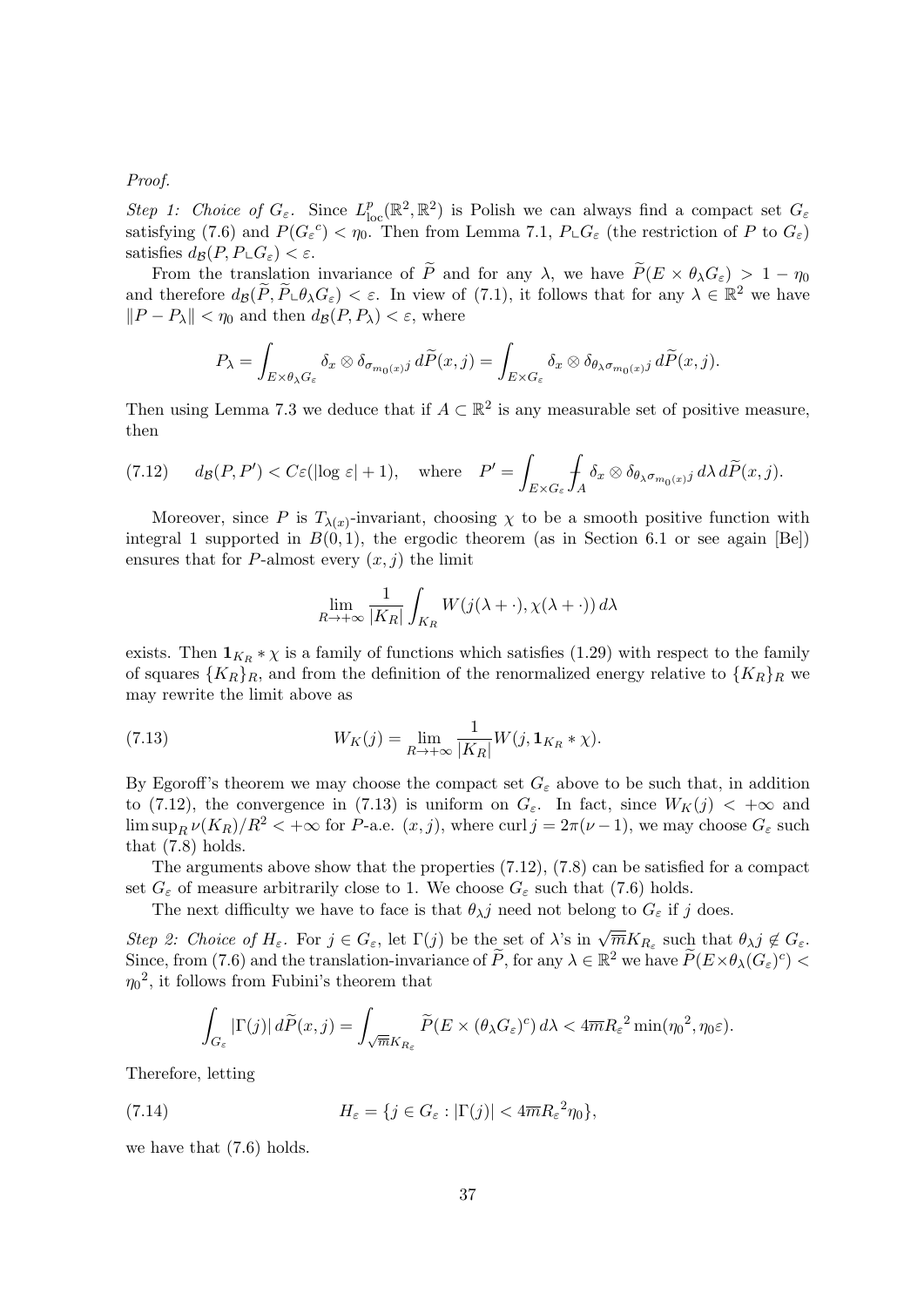Proof.

Step 1: Choice of  $G_{\varepsilon}$ . Since  $L_{loc}^p(\mathbb{R}^2, \mathbb{R}^2)$  is Polish we can always find a compact set  $G_{\varepsilon}$ satisfying (7.6) and  $P(G_{\varepsilon}^c) < \eta_0$ . Then from Lemma 7.1,  $P_{\varepsilon}G_{\varepsilon}$  (the restriction of P to  $G_{\varepsilon}$ ) satisfies  $d_{\mathcal{B}}(P, P \sqcup G_{\varepsilon}) < \varepsilon$ .

From the translation invariance of  $\widetilde{P}$  and for any  $\lambda$ , we have  $\widetilde{P}(E \times \theta_{\lambda} G_{\epsilon}) > 1 - \eta_0$ and therefore  $d_{\mathcal{B}}(\tilde{P}, \tilde{P} \cup \theta_{\lambda} G_{\varepsilon}) < \varepsilon$ . In view of (7.1), it follows that for any  $\lambda \in \mathbb{R}^2$  we have  $||P - P_\lambda|| < \eta_0$  and then  $d_{\mathcal{B}}(P, P_\lambda) < \varepsilon$ , where

$$
P_{\lambda} = \int_{E \times \theta_{\lambda} G_{\varepsilon}} \delta_x \otimes \delta_{\sigma_{m_0(x)} j} d\widetilde{P}(x, j) = \int_{E \times G_{\varepsilon}} \delta_x \otimes \delta_{\theta_{\lambda} \sigma_{m_0(x)} j} d\widetilde{P}(x, j).
$$

Then using Lemma 7.3 we deduce that if  $A \subset \mathbb{R}^2$  is any measurable set of positive measure, then

(7.12) 
$$
d_{\mathcal{B}}(P, P') < C \varepsilon (\log \varepsilon | + 1), \quad \text{where} \quad P' = \int_{E \times G_{\varepsilon}} \int_{A} \delta_{x} \otimes \delta_{\theta_{\lambda} \sigma_{m_{0}(x)} j} \, d\lambda \, d\widetilde{P}(x, j).
$$

Moreover, since P is  $T_{\lambda(x)}$ -invariant, choosing  $\chi$  to be a smooth positive function with integral 1 supported in  $B(0,1)$ , the ergodic theorem (as in Section 6.1 or see again [Be]) ensures that for P-almost every  $(x, j)$  the limit

$$
\lim_{R \to +\infty} \frac{1}{|K_R|} \int_{K_R} W(j(\lambda + \cdot), \chi(\lambda + \cdot)) d\lambda
$$

exists. Then  $\mathbf{1}_{K_R} * \chi$  is a family of functions which satisfies (1.29) with respect to the family of squares  ${K_R}_R$ , and from the definition of the renormalized energy relative to  ${K_R}_R$  we may rewrite the limit above as

(7.13) 
$$
W_K(j) = \lim_{R \to +\infty} \frac{1}{|K_R|} W(j, \mathbf{1}_{K_R} * \chi).
$$

By Egoroff's theorem we may choose the compact set  $G_{\varepsilon}$  above to be such that, in addition to (7.12), the convergence in (7.13) is uniform on  $G_{\varepsilon}$ . In fact, since  $W_K(j) < +\infty$  and  $\limsup_R \nu(K_R)/R^2 < +\infty$  for P-a.e.  $(x, j)$ , where curl  $j = 2\pi(\nu - 1)$ , we may choose  $G_{\varepsilon}$  such that (7.8) holds.

The arguments above show that the properties (7.12), (7.8) can be satisfied for a compact set  $G_{\varepsilon}$  of measure arbitrarily close to 1. We choose  $G_{\varepsilon}$  such that (7.6) holds.

The next difficulty we have to face is that  $\theta_{\lambda}j$  need not belong to  $G_{\varepsilon}$  if j does.

Step 2: Choice of  $H_{\varepsilon}$ . For  $j \in G_{\varepsilon}$ , let  $\Gamma(j)$  be the set of  $\lambda$ 's in  $\sqrt{\overline{m}}K_{R_{\varepsilon}}$  such that  $\theta_{\lambda}j \notin G_{\varepsilon}$ . Since, from (7.6) and the translation-invariance of  $\tilde{P}$ , for any  $\lambda \in \mathbb{R}^2$  we have  $\tilde{P}(E \times \theta_{\lambda}(G_{\varepsilon})^c)$  $\eta_0^2$ , it follows from Fubini's theorem that

$$
\int_{G_{\varepsilon}} |\Gamma(j)| \, d\widetilde{P}(x,j) = \int_{\sqrt{\overline{m}}K_{R_{\varepsilon}}} \widetilde{P}(E \times (\theta_{\lambda}G_{\varepsilon})^c) \, d\lambda < 4\overline{m}R_{\varepsilon}^2 \min(\eta_0^2, \eta_0 \varepsilon).
$$

Therefore, letting

(7.14) 
$$
H_{\varepsilon} = \{j \in G_{\varepsilon} : |\Gamma(j)| < 4\overline{m}R_{\varepsilon}^{2}\eta_{0}\},
$$

we have that (7.6) holds.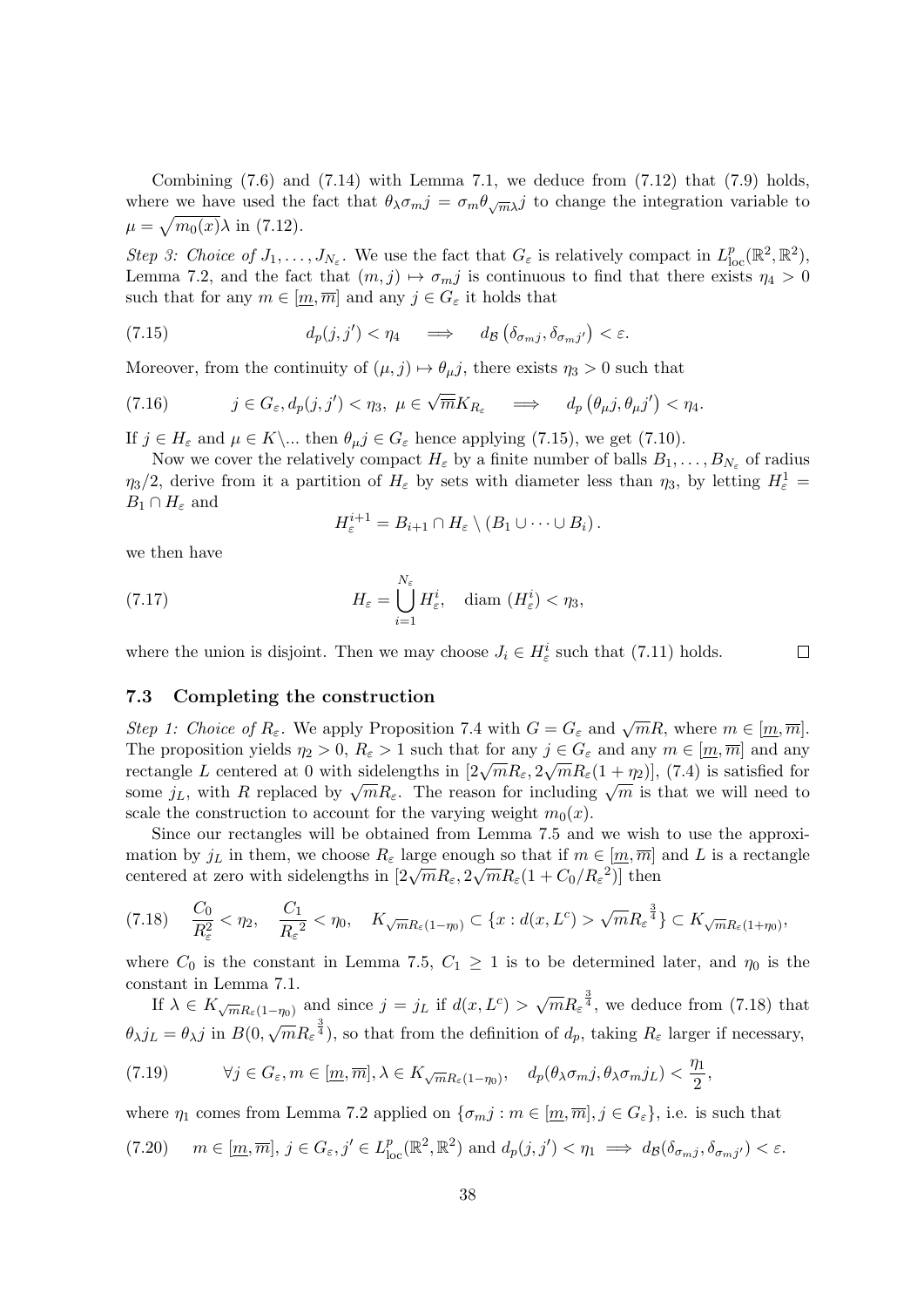Combining  $(7.6)$  and  $(7.14)$  with Lemma 7.1, we deduce from  $(7.12)$  that  $(7.9)$  holds, where we have used the fact that  $\theta_{\lambda}\sigma_{m}j=\sigma_{m}\theta_{\sqrt{m}\lambda}j$  to change the integration variable to  $\mu = \sqrt{m_0(x)}\lambda$  in (7.12).

Step 3: Choice of  $J_1, \ldots, J_{N_{\varepsilon}}$ . We use the fact that  $G_{\varepsilon}$  is relatively compact in  $L^p_{loc}(\mathbb{R}^2, \mathbb{R}^2)$ , Lemma 7.2, and the fact that  $(m, j) \mapsto \sigma_{m} j$  is continuous to find that there exists  $\eta_4 > 0$ such that for any  $m \in [m, \overline{m}]$  and any  $j \in G_{\varepsilon}$  it holds that

(7.15) 
$$
d_p(j, j') < \eta_4 \quad \Longrightarrow \quad d_{\mathcal{B}}(\delta_{\sigma_{m}j}, \delta_{\sigma_{m}j'}) < \varepsilon.
$$

Moreover, from the continuity of  $(\mu, j) \mapsto \theta_{\mu}j$ , there exists  $\eta_3 > 0$  such that

(7.16) 
$$
j \in G_{\varepsilon}, d_p(j, j') < \eta_3, \ \mu \in \sqrt{\overline{m}} K_{R_{\varepsilon}} \implies d_p(\theta_{\mu} j, \theta_{\mu} j') < \eta_4.
$$

If  $j \in H_{\varepsilon}$  and  $\mu \in K \backslash ...$  then  $\theta_{\mu} j \in G_{\varepsilon}$  hence applying (7.15), we get (7.10).

Now we cover the relatively compact  $H_{\varepsilon}$  by a finite number of balls  $B_1, \ldots, B_{N_{\varepsilon}}$  of radius  $\eta_3/2$ , derive from it a partition of  $H_\varepsilon$  by sets with diameter less than  $\eta_3$ , by letting  $H_\varepsilon^1$  =  $B_1 \cap H_{\varepsilon}$  and

$$
H_{\varepsilon}^{i+1} = B_{i+1} \cap H_{\varepsilon} \setminus (B_1 \cup \cdots \cup B_i).
$$

we then have

(7.17) 
$$
H_{\varepsilon} = \bigcup_{i=1}^{N_{\varepsilon}} H_{\varepsilon}^i, \quad \text{diam } (H_{\varepsilon}^i) < \eta_3,
$$

where the union is disjoint. Then we may choose  $J_i \in H^i_{\varepsilon}$  such that (7.11) holds.

#### $\Box$

#### 7.3 Completing the construction

Step 1: Choice of  $R_{\varepsilon}$ . We apply Proposition 7.4 with  $G = G_{\varepsilon}$  and  $\sqrt{m}R$ , where  $m \in [m, \overline{m}]$ . The proposition yields  $\eta_2 > 0$ ,  $R_{\varepsilon} > 1$  such that for any  $j \in G_{\varepsilon}$  and any  $m \in [m, \overline{m}]$  and any The proposition yields  $\eta_2 > 0$ ,  $n_{\varepsilon} > 1$  such that for any  $f \in G_{\varepsilon}$  and any  $m \in [\underline{m}, m]$  and any rectangle L centered at 0 with sidelengths in  $[2\sqrt{m}R_{\varepsilon}, 2\sqrt{m}R_{\varepsilon}(1 + \eta_2)]$ , (7.4) is satisfied for some  $j_L$ , with R replaced by  $\sqrt{m}R_{\varepsilon}$ . The reason for including  $\sqrt{m}$  is that we will need to scale the construction to account for the varying weight  $m_0(x)$ .

Since our rectangles will be obtained from Lemma 7.5 and we wish to use the approximation by j<sub>L</sub> in them, we choose  $R_{\varepsilon}$  large enough so that if  $m \in [m, \overline{m}]$  and L is a rectangle mation by  $j_L$  in them, we choose  $n_{\varepsilon}$  large enough so that if  $m \in [\underline{m}, m]$ <br>centered at zero with sidelengths in  $[2\sqrt{m}R_{\varepsilon}, 2\sqrt{m}R_{\varepsilon}(1+C_0/R_{\varepsilon}^2)]$  then

$$
(7.18) \quad \frac{C_0}{R_{\varepsilon}^2} < \eta_2, \quad \frac{C_1}{R_{\varepsilon}^2} < \eta_0, \quad K_{\sqrt{m}R_{\varepsilon}(1-\eta_0)} \subset \{x : d(x, L^c) > \sqrt{m}R_{\varepsilon}^{\frac{3}{4}}\} \subset K_{\sqrt{m}R_{\varepsilon}(1+\eta_0)},
$$

where  $C_0$  is the constant in Lemma 7.5,  $C_1 \geq 1$  is to be determined later, and  $\eta_0$  is the constant in Lemma 7.1.

If  $\lambda \in K_{\sqrt{m}R_{\varepsilon}(1-\eta_0)}$  and since  $j = j_L$  if  $d(x, L^c) > \sqrt{m}R_{\varepsilon}^{\frac{3}{4}}$ , we deduce from (7.18) that  $\theta_{\lambda} j_L = \theta_{\lambda} j$  in  $B(0, \sqrt{m} R_{\varepsilon}^{\frac{3}{4}})$ , so that from the definition of  $d_p$ , taking  $R_{\varepsilon}$  larger if necessary,

(7.19) 
$$
\forall j \in G_{\varepsilon}, m \in [m, \overline{m}], \lambda \in K_{\sqrt{m}R_{\varepsilon}(1-\eta_0)}, \quad d_p(\theta_{\lambda}\sigma_{m}j, \theta_{\lambda}\sigma_{m}j_{L}) < \frac{\eta_1}{2},
$$

where  $\eta_1$  comes from Lemma 7.2 applied on  $\{\sigma_m\}: m \in [m, \overline{m}], j \in G_{\varepsilon}\}\)$ , i.e. is such that

$$
(7.20) \quad m \in [\underline{m}, \overline{m}], \ j \in G_{\varepsilon}, j' \in L^p_{loc}(\mathbb{R}^2, \mathbb{R}^2) \text{ and } d_p(j, j') < \eta_1 \implies d_{\mathcal{B}}(\delta_{\sigma_{m}j}, \delta_{\sigma_{m}j'}) < \varepsilon.
$$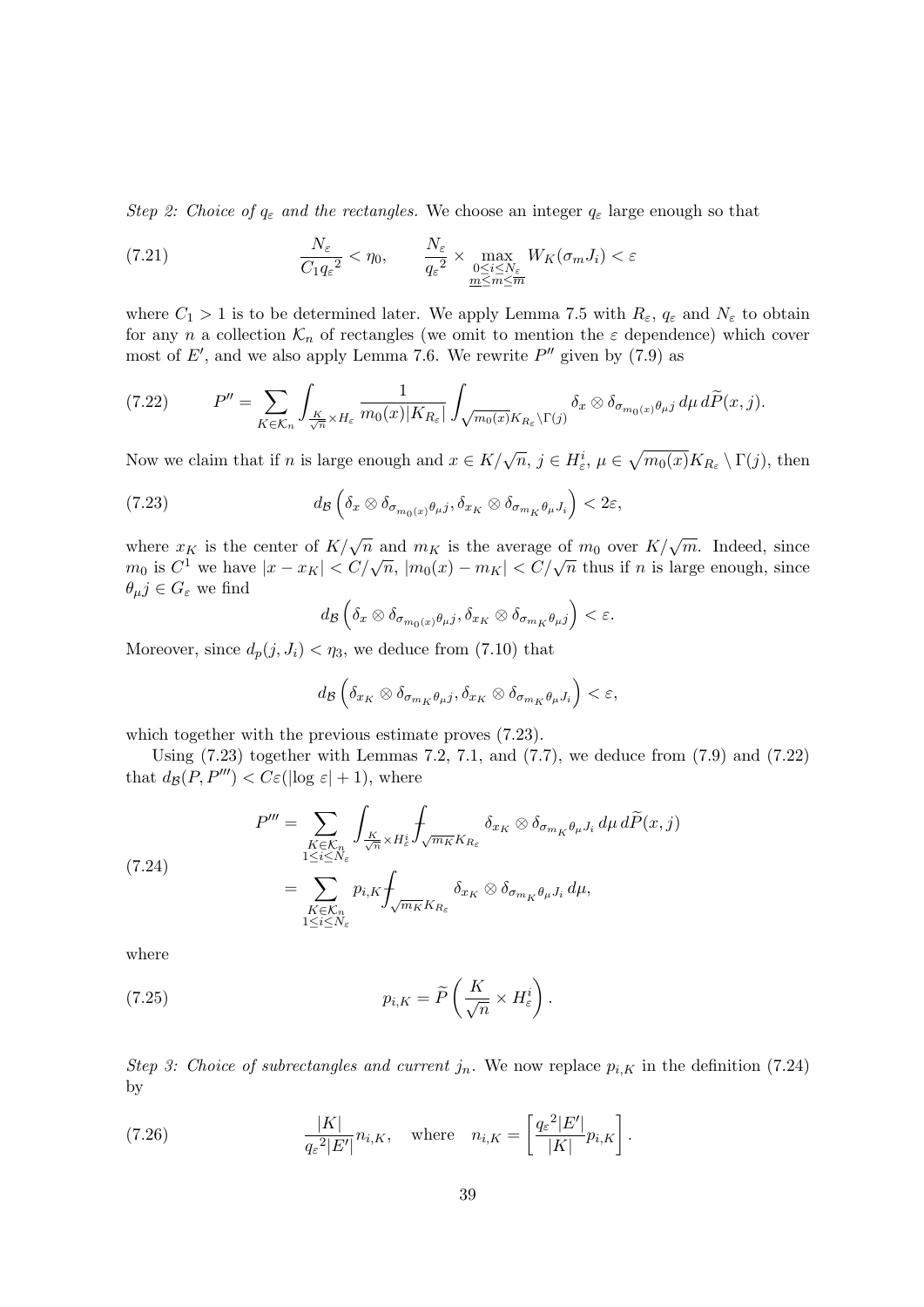Step 2: Choice of  $q_{\varepsilon}$  and the rectangles. We choose an integer  $q_{\varepsilon}$  large enough so that

(7.21) 
$$
\frac{N_{\varepsilon}}{C_1 q_{\varepsilon}^2} < \eta_0, \qquad \frac{N_{\varepsilon}}{q_{\varepsilon}^2} \times \max_{\substack{0 \le i \le N_{\varepsilon} \\ \underline{m} \le m \le \overline{m}}} W_K(\sigma_m J_i) < \varepsilon
$$

where  $C_1 > 1$  is to be determined later. We apply Lemma 7.5 with  $R_{\varepsilon}$ ,  $q_{\varepsilon}$  and  $N_{\varepsilon}$  to obtain for any n a collection  $\mathcal{K}_n$  of rectangles (we omit to mention the  $\varepsilon$  dependence) which cover most of  $E'$ , and we also apply Lemma 7.6. We rewrite  $P''$  given by (7.9) as

$$
(7.22) \tP'' = \sum_{K \in \mathcal{K}_n} \int_{\frac{K}{\sqrt{n}} \times H_{\varepsilon}} \frac{1}{m_0(x)|K_{R_{\varepsilon}}|} \int_{\sqrt{m_0(x)}K_{R_{\varepsilon}} \backslash \Gamma(j)} \delta_x \otimes \delta_{\sigma_{m_0(x)}\theta_{\mu}j} d\mu d\widetilde{P}(x,j).
$$

Now we claim that if n is large enough and  $x \in K/\sqrt{n}$ ,  $j \in H_{\varepsilon}^{i}$ ,  $\mu \in \sqrt{m_{0}(x)}K_{R_{\varepsilon}} \setminus \Gamma(j)$ , then

(7.23) 
$$
d_{\mathcal{B}}\left(\delta_{x}\otimes\delta_{\sigma_{m_{0}(x)}\theta_{\mu}j},\delta_{x_{K}}\otimes\delta_{\sigma_{m_{K}}\theta_{\mu}J_{i}}\right)<2\varepsilon,
$$

where  $x_K$  is the center of  $K/\sqrt{n}$  and  $m_K$  is the average of  $m_0$  over  $K/\sqrt{m}$ . Indeed, since where  $x_K$  is the center of  $K/\sqrt{n}$  and  $m_K$  is the average of  $m_0$  over  $K/\sqrt{n}$ . Indeed, since  $m_0$  is  $C^1$  we have  $|x - x_K| < C/\sqrt{n}$ ,  $|m_0(x) - m_K| < C/\sqrt{n}$  thus if n is large enough, since  $\theta_{\mu} j \in G_{\varepsilon}$  we find

$$
d_{\mathcal{B}}\left(\delta_x \otimes \delta_{\sigma_{m_0(x)}\theta_\mu j}, \delta_{x_K} \otimes \delta_{\sigma_{m_K}\theta_\mu j}\right) < \varepsilon.
$$

Moreover, since  $d_p(j, J_i) < \eta_3$ , we deduce from (7.10) that

$$
d_{\mathcal{B}}\left(\delta_{x_K}\otimes \delta_{\sigma_{m_K}\theta_\mu j},\delta_{x_K}\otimes \delta_{\sigma_{m_K}\theta_\mu J_i}\right)<\varepsilon,
$$

which together with the previous estimate proves  $(7.23)$ .

Using  $(7.23)$  together with Lemmas 7.2, 7.1, and  $(7.7)$ , we deduce from  $(7.9)$  and  $(7.22)$ that  $d_{\mathcal{B}}(P, P^{\prime\prime\prime}) < C \varepsilon(|\log \varepsilon| + 1)$ , where

(7.24)  
\n
$$
P''' = \sum_{\substack{K \in \mathcal{K}_n \\ 1 \le i \le N_\varepsilon}} \int_{\frac{K}{\sqrt{n}} \times H_\varepsilon^i} \int_{\sqrt{m_K} K_{R_\varepsilon}} \delta_{x_K} \otimes \delta_{\sigma_{m_K} \theta_\mu J_i} d\mu d\widetilde{P}(x, j)
$$
\n
$$
= \sum_{\substack{K \in \mathcal{K}_n \\ 1 \le i \le N_\varepsilon}} p_{i,K} \int_{\sqrt{m_K} K_{R_\varepsilon}} \delta_{x_K} \otimes \delta_{\sigma_{m_K} \theta_\mu J_i} d\mu,
$$

where

(7.25) 
$$
p_{i,K} = \widetilde{P}\left(\frac{K}{\sqrt{n}} \times H_{\varepsilon}^{i}\right).
$$

Step 3: Choice of subrectangles and current  $j_n$ . We now replace  $p_{i,K}$  in the definition (7.24) by

(7.26) 
$$
\frac{|K|}{q_{\varepsilon}^2|E'|} n_{i,K}, \quad \text{where} \quad n_{i,K} = \left[\frac{q_{\varepsilon}^2|E'|}{|K|} p_{i,K}\right].
$$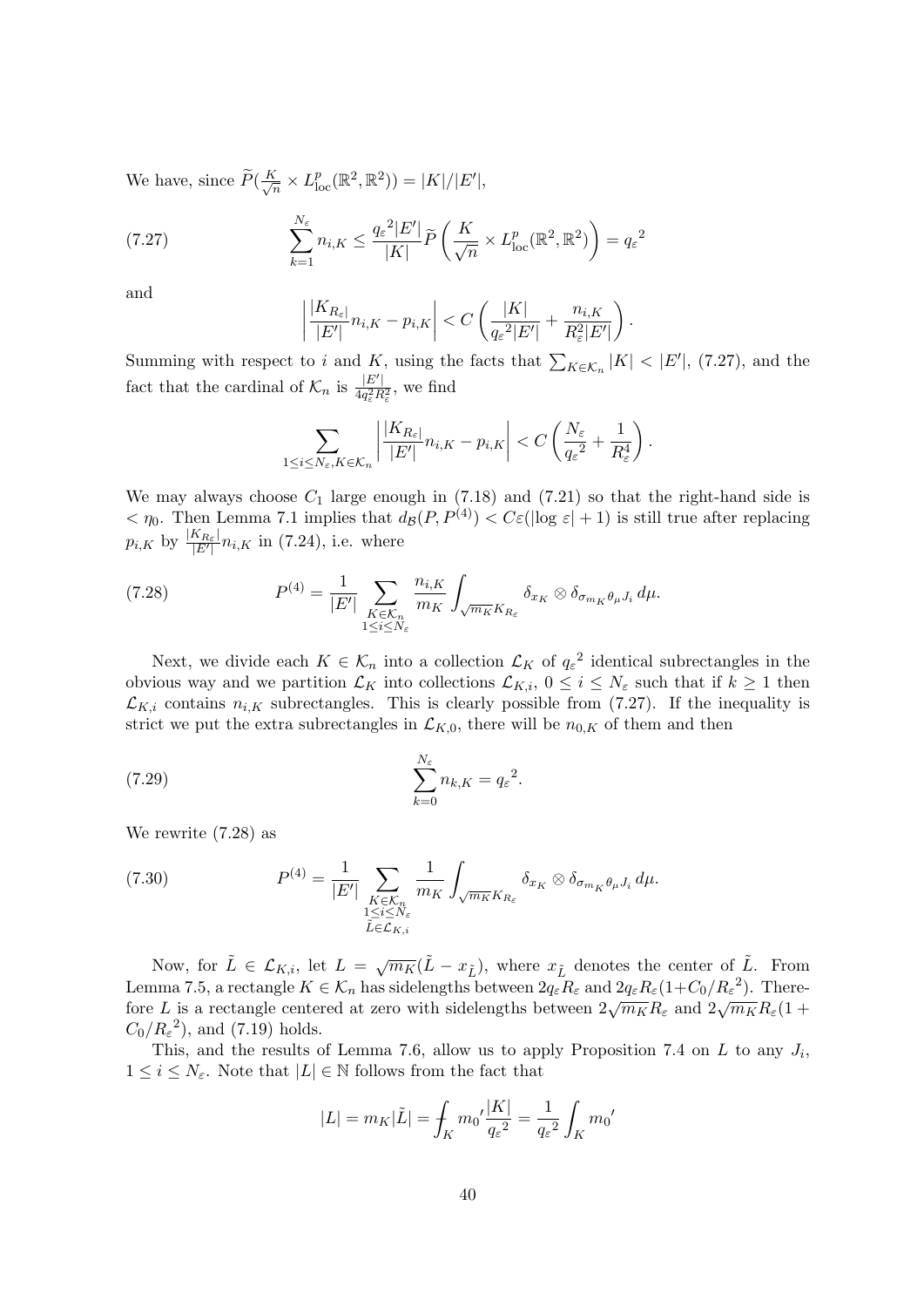We have, since  $\widetilde{P}(\frac{K}{\sqrt{n}})$  $\frac{\zeta}{\overline{n}}\times L_{\text{loc}}^p(\mathbb{R}^2,\mathbb{R}^2))=|K|/|E'|,$ 

(7.27) 
$$
\sum_{k=1}^{N_{\varepsilon}} n_{i,K} \leq \frac{q_{\varepsilon}^{2} |E'|}{|K|} \widetilde{P}\left(\frac{K}{\sqrt{n}} \times L_{\text{loc}}^p(\mathbb{R}^2, \mathbb{R}^2)\right) = q_{\varepsilon}^{2}
$$

and

$$
\left|\frac{|K_{R_{\varepsilon}}|}{|E'|}n_{i,K}-p_{i,K}\right|< C\left(\frac{|K|}{q_{\varepsilon}^2|E'|}+\frac{n_{i,K}}{R_{\varepsilon}^2|E'|}\right).
$$

Summing with respect to i and K, using the facts that  $\sum_{K \in \mathcal{K}_n} |K| < |E'|$ , (7.27), and the fact that the cardinal of  $\mathcal{K}_n$  is  $\frac{|E'|}{4g^2R}$  $rac{|E|}{4q_{\varepsilon}^2 R_{\varepsilon}^2}$ , we find

$$
\sum_{1 \leq i \leq N_{\varepsilon}, K \in \mathcal{K}_n} \left| \frac{|K_{R_{\varepsilon}}|}{|E'|} n_{i,K} - p_{i,K} \right| < C \left( \frac{N_{\varepsilon}}{q_{\varepsilon}^2} + \frac{1}{R_{\varepsilon}^4} \right).
$$

We may always choose  $C_1$  large enough in (7.18) and (7.21) so that the right-hand side is  $<\eta_0$ . Then Lemma 7.1 implies that  $d_B(P, P^{(4)}) < C\varepsilon(|\log \varepsilon| + 1)$  is still true after replacing  $p_{i,K}$  by  $\frac{|K_{R_{\varepsilon}}|}{|E'|}$  $\frac{K_{R_{\varepsilon}}}{|E'|} n_{i,K}$  in (7.24), i.e. where

(7.28) 
$$
P^{(4)} = \frac{1}{|E'|} \sum_{\substack{K \in \mathcal{K}_n \\ 1 \le i \le N_\varepsilon}} \frac{n_{i,K}}{m_K} \int_{\sqrt{m_K} K_{R_\varepsilon}} \delta_{x_K} \otimes \delta_{\sigma_{m_K} \theta_\mu J_i} d\mu.
$$

Next, we divide each  $K \in \mathcal{K}_n$  into a collection  $\mathcal{L}_K$  of  $q_{\varepsilon}^2$  identical subrectangles in the obvious way and we partition  $\mathcal{L}_K$  into collections  $\mathcal{L}_{K,i}$ ,  $0 \leq i \leq N_{\varepsilon}$  such that if  $k \geq 1$  then  $\mathcal{L}_{K,i}$  contains  $n_{i,K}$  subrectangles. This is clearly possible from (7.27). If the inequality is strict we put the extra subrectangles in  $\mathcal{L}_{K,0}$ , there will be  $n_{0,K}$  of them and then

(7.29) 
$$
\sum_{k=0}^{N_{\varepsilon}} n_{k,K} = q_{\varepsilon}^2.
$$

We rewrite (7.28) as

(7.30) 
$$
P^{(4)} = \frac{1}{|E'|} \sum_{\substack{K \in \mathcal{K}_n \\ 1 \le i \le N_\varepsilon \\ \tilde{L} \in \mathcal{L}_{K,i}}} \frac{1}{m_K} \int_{\sqrt{m_K} K_{R_\varepsilon}} \delta_{x_K} \otimes \delta_{\sigma_{m_K} \theta_\mu J_i} d\mu.
$$

Now, for  $\tilde{L} \in \mathcal{L}_{K,i}$ , let  $L = \sqrt{m_K}(\tilde{L} - x_{\tilde{L}})$ , where  $x_{\tilde{L}}$  denotes the center of  $\tilde{L}$ . From Lemma 7.5, a rectangle  $K \in \mathcal{K}_n$  has sidelengths between  $2q_{\varepsilon}R_{\varepsilon}$  and  $2q_{\varepsilon}R_{\varepsilon}(1+C_0/R_{\varepsilon}^2)$ . Therefore L is a rectangle centered at zero with sidelengths between  $2\sqrt{m_K}R_\varepsilon$  and  $2\sqrt{m_K}R_\varepsilon(1 +$  $C_0/R_\varepsilon^2$ , and (7.19) holds.

This, and the results of Lemma 7.6, allow us to apply Proposition 7.4 on  $L$  to any  $J_i$ ,  $1 \leq i \leq N_{\varepsilon}$ . Note that  $|L| \in \mathbb{N}$  follows from the fact that

$$
|L| = m_K |\tilde{L}| = \int_K m_0' \frac{|K|}{q_{\varepsilon}^2} = \frac{1}{q_{\varepsilon}^2} \int_K m_0'
$$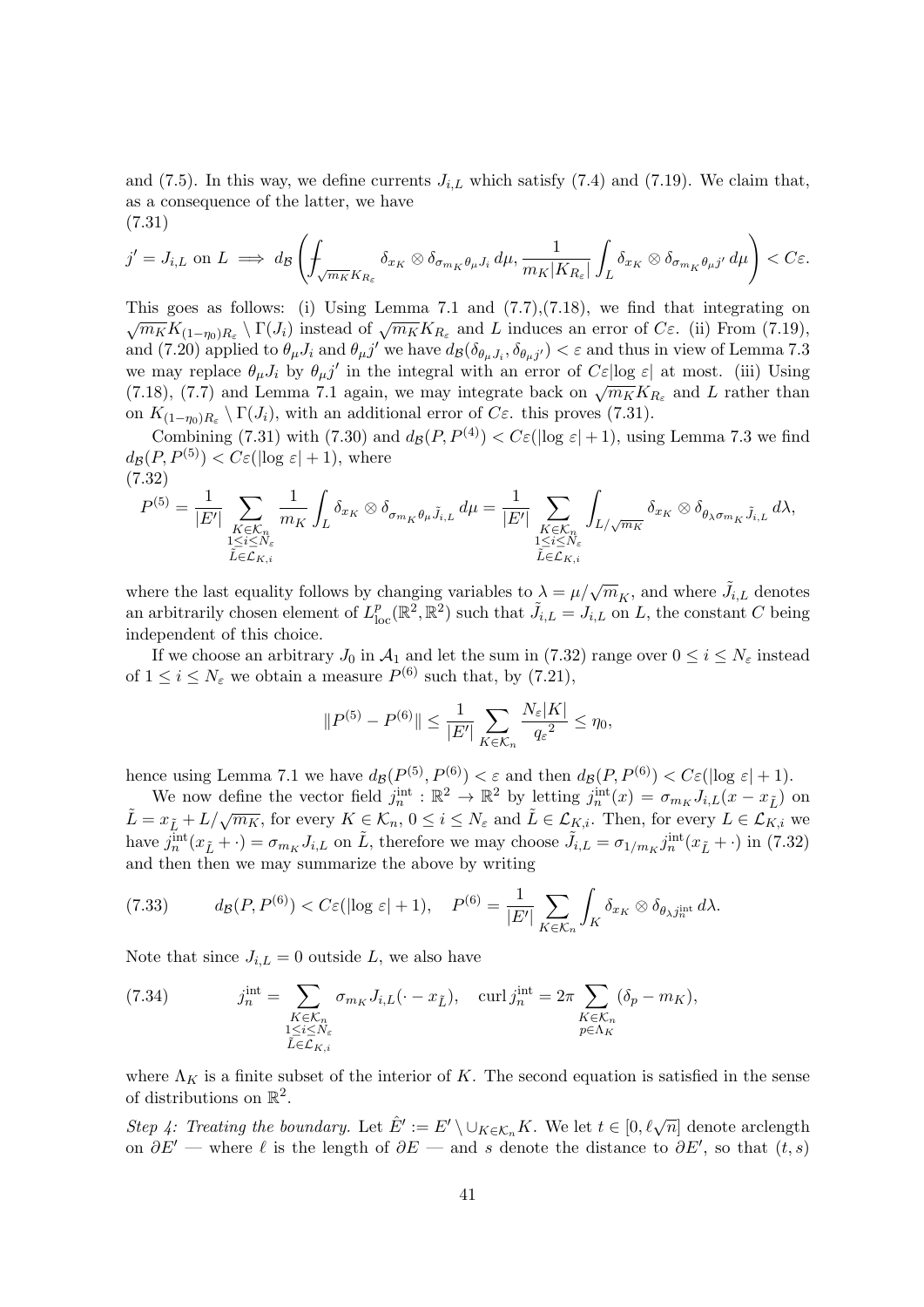and (7.5). In this way, we define currents  $J_{i,L}$  which satisfy (7.4) and (7.19). We claim that, as a consequence of the latter, we have (7.31)

$$
j'=J_{i,L} \text{ on } L \implies d_{\mathcal{B}}\left(\int_{\sqrt{m_{K}}K_{R_{\varepsilon}}}\delta_{x_{K}}\otimes \delta_{\sigma_{m_{K}}\theta_{\mu}J_{i}}d\mu, \frac{1}{m_{K}|K_{R_{\varepsilon}}|}\int_{L}\delta_{x_{K}}\otimes \delta_{\sigma_{m_{K}}\theta_{\mu}j'}d\mu\right) < C\varepsilon.
$$

This goes as follows: (i) Using Lemma 7.1 and  $(7.7),(7.18)$ , we find that integrating on  $\sqrt{m_K}K_{(1-\eta_0)R_{\varepsilon}}\setminus\Gamma(J_i)$  instead of  $\sqrt{m_K}K_{R_{\varepsilon}}$  and L induces an error of  $C_{\varepsilon}$ . (ii) From (7.19), and (7.20) applied to  $\theta_{\mu}J_i$  and  $\theta_{\mu}j'$  we have  $d_{\mathcal{B}}(\delta_{\theta_{\mu}J_i}, \delta_{\theta_{\mu}j'}) < \varepsilon$  and thus in view of Lemma 7.3 we may replace  $\theta_{\mu}J_i$  by  $\theta_{\mu}j'$  in the integral with an error of  $C\varepsilon$ log  $\varepsilon$  at most. (iii) Using (7.18), (7.7) and Lemma 7.1 again, we may integrate back on  $\sqrt{m_K}K_{R_{\varepsilon}}$  and L rather than on  $K_{(1-\eta_0)R_{\varepsilon}} \setminus \Gamma(J_i)$ , with an additional error of  $C_{\varepsilon}$ . this proves (7.31).

Combining (7.31) with (7.30) and  $d_{\mathcal{B}}(P, P^{(4)}) < C \varepsilon(|\log \varepsilon| + 1)$ , using Lemma 7.3 we find  $d_{\mathcal{B}}(P, P^{(5)}) < C_{\mathcal{E}}(\log \varepsilon | + 1)$ , where (7.32)

$$
P^{(5)} = \frac{1}{|E'|} \sum_{\substack{K \in \mathcal{K}_n \\ 1 \leq i \leq N_{\varepsilon} \\ \tilde{L} \in \mathcal{L}_{K,i}}} \frac{1}{m_K} \int_L \delta_{x_K} \otimes \delta_{\sigma_{m_K} \theta_\mu \tilde{J}_{i,L}} d\mu = \frac{1}{|E'|} \sum_{\substack{K \in \mathcal{K}_n \\ 1 \leq i \leq N_{\varepsilon} \\ \tilde{L} \in \mathcal{L}_{K,i}}} \int_{L/\sqrt{m_K}} \delta_{x_K} \otimes \delta_{\theta_\lambda \sigma_{m_K} \tilde{J}_{i,L}} d\lambda,
$$

where the last equality follows by changing variables to  $\lambda = \mu/\sqrt{m_K}$ , and where  $\tilde{J}_{i,L}$  denotes an arbitrarily chosen element of  $L_{\text{loc}}^p(\mathbb{R}^2, \mathbb{R}^2)$  such that  $\tilde{J}_{i,L} = J_{i,L}$  on L, the constant C being independent of this choice.

If we choose an arbitrary  $J_0$  in  $\mathcal{A}_1$  and let the sum in (7.32) range over  $0 \le i \le N_\varepsilon$  instead of  $1 \leq i \leq N_{\varepsilon}$  we obtain a measure  $P^{(6)}$  such that, by  $(7.21)$ ,

$$
||P^{(5)} - P^{(6)}|| \le \frac{1}{|E'|} \sum_{K \in \mathcal{K}_n} \frac{N_{\varepsilon}|K|}{q_{\varepsilon}^2} \le \eta_0,
$$

hence using Lemma 7.1 we have  $d_{\mathcal{B}}(P^{(5)}, P^{(6)}) < \varepsilon$  and then  $d_{\mathcal{B}}(P, P^{(6)}) < C\varepsilon(\log \varepsilon + 1)$ .

We now define the vector field  $j_n^{\text{int}} : \mathbb{R}^2 \to \mathbb{R}^2$  by letting  $j_n^{\text{int}}(x) = \sigma_{m_K} J_{i,L}(x - x_{\tilde{L}})$  on  $\tilde{L} = x_{\tilde{L}} + L/\sqrt{m_K}$ , for every  $K \in \mathcal{K}_n$ ,  $0 \leq i \leq N_{\varepsilon}$  and  $\tilde{L} \in \mathcal{L}_{K,i}$ . Then, for every  $L \in \mathcal{L}_{K,i}$  we have  $j_n^{\text{int}}(x_{\tilde{L}} + \cdot) = \sigma_{m_K} J_{i,L}$  on  $\tilde{L}$ , therefore we may choose  $\tilde{J}_{i,L} = \sigma_{1/m_K} j_n^{\text{int}}(x_{\tilde{L}} + \cdot)$  in (7.32) and then then we may summarize the above by writing

$$
(7.33) \t d_{\mathcal{B}}(P, P^{(6)}) < C \varepsilon (|\log \varepsilon| + 1), \quad P^{(6)} = \frac{1}{|E'|} \sum_{K \in \mathcal{K}_n} \int_K \delta_{x_K} \otimes \delta_{\theta_{\lambda} j_n^{\text{int}}} d\lambda.
$$

Note that since  $J_{i,L} = 0$  outside L, we also have

(7.34) 
$$
j_n^{\text{int}} = \sum_{\substack{K \in \mathcal{K}_n \\ 1 \le i \le N_\varepsilon \\ \tilde{L} \in \mathcal{L}_{K,i}}} \sigma_{m_K} J_{i,L}(\cdot - x_{\tilde{L}}), \quad \text{curl } j_n^{\text{int}} = 2\pi \sum_{\substack{K \in \mathcal{K}_n \\ p \in \Lambda_K}} (\delta_p - m_K),
$$

where  $\Lambda_K$  is a finite subset of the interior of K. The second equation is satisfied in the sense of distributions on  $\mathbb{R}^2$ .

Step 4: Treating the boundary. Let  $\hat{E}':= E' \setminus \cup_{K \in \mathcal{K}_n} K$ . We let  $t \in [0, \ell \sqrt{n}]$  denote arclength on  $\partial E'$  — where  $\ell$  is the length of  $\partial E$  — and s denote the distance to  $\partial E'$ , so that  $(t, s)$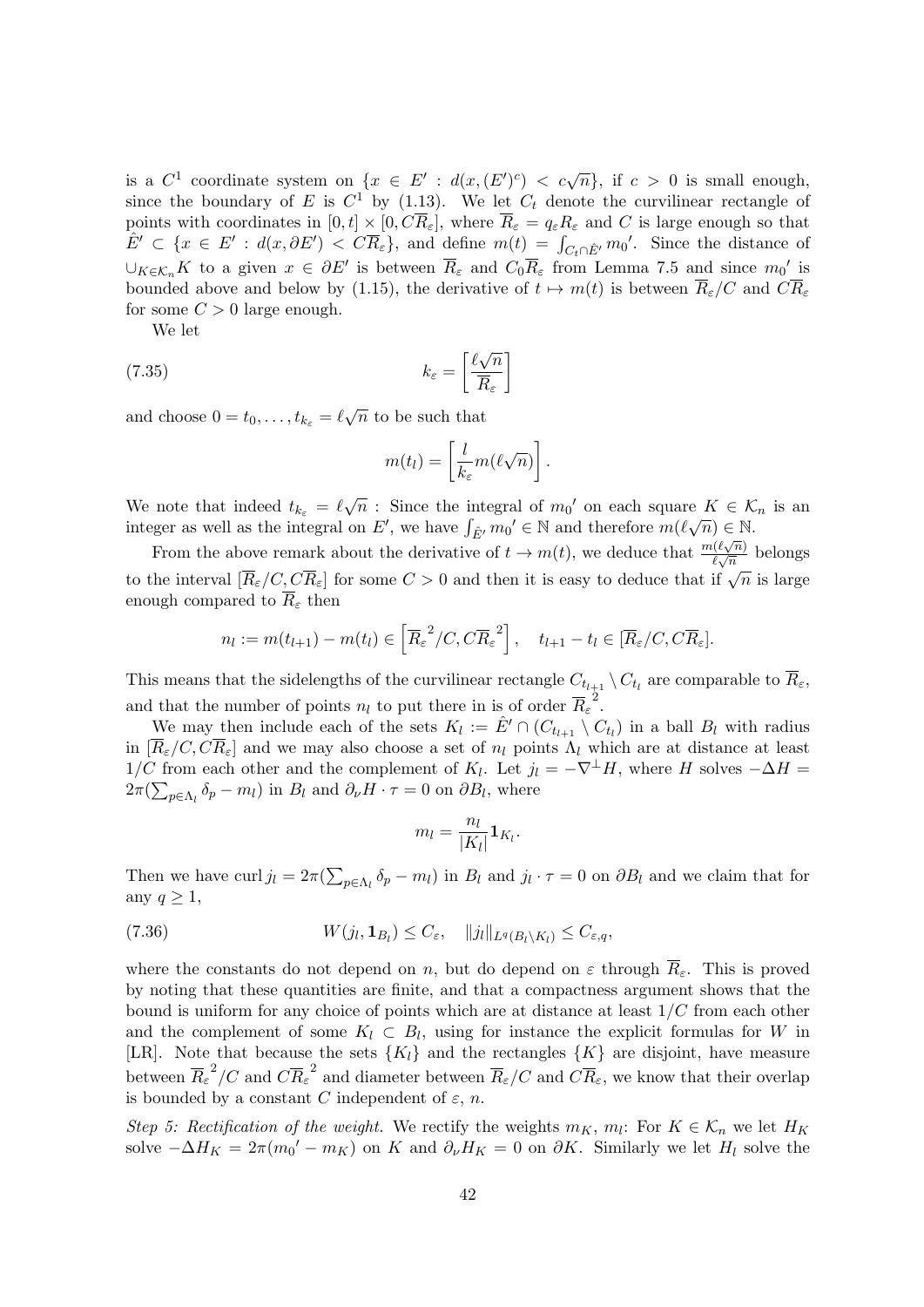is a  $C^1$  coordinate system on  $\{x \in E' : d(x, (E')^c) < c\sqrt{n}\}\$ , if  $c > 0$  is small enough, since the boundary of E is  $C^1$  by (1.13). We let  $C_t$  denote the curvilinear rectangle of points with coordinates in  $[0, t] \times [0, C\overline{R}_{\epsilon}]$ , where  $\overline{R}_{\epsilon} = q_{\epsilon}R_{\epsilon}$  and C is large enough so that  $\hat{E}' \subset \{x \in E': d(x, \partial E') \prec C \overline{R}_{\varepsilon} \},\$ and define  $m(t) = \int_{C_t \cap \hat{E}'} m_0'.$  Since the distance of  $\cup_{K\in\mathcal{K}_n} K$  to a given  $x \in \partial E'$  is between  $\overline{R}_{\varepsilon}$  and  $C_0\overline{R}_{\varepsilon}$  from Lemma 7.5 and since  $m_0'$  is bounded above and below by (1.15), the derivative of  $t \mapsto m(t)$  is between  $\overline{R}_{\varepsilon}/C$  and  $C\overline{R}_{\varepsilon}$ for some  $C > 0$  large enough.

We let

(7.35) 
$$
k_{\varepsilon} = \left[\frac{\ell\sqrt{n}}{\overline{R}_{\varepsilon}}\right]
$$

and choose  $0 = t_0, \ldots, t_{k_{\varepsilon}} = \ell \sqrt{n}$  to be such that

$$
m(t_l) = \left[\frac{l}{k_{\varepsilon}}m(\ell\sqrt{n})\right].
$$

We note that indeed  $t_{k_{\varepsilon}} = \ell \sqrt{n}$ : Since the integral of  $m_0'$  on each square  $K \in \mathcal{K}_n$  is an integer as well as the integral on E', we have  $\int_{\hat{E}'} m_0' \in \mathbb{N}$  and therefore  $m(\ell \sqrt{n}) \in \mathbb{N}$ .

From the above remark about the derivative of  $t \to m(t)$ , we deduce that  $\frac{m(\ell\sqrt{n})}{\ell\sqrt{n}}$  $\frac{\ell(\ell\sqrt{n})}{\ell\sqrt{n}}$  belongs to the interval  $[\overline{R}_{\varepsilon}/C, C\overline{R}_{\varepsilon}]$  for some  $C > 0$  and then it is easy to deduce that if  $\sqrt{n}$  is large enough compared to  $\overline{R}_{\varepsilon}$  then

$$
n_l := m(t_{l+1}) - m(t_l) \in \left[ \overline{R}_{\varepsilon}^2 / C, C \overline{R}_{\varepsilon}^2 \right], \quad t_{l+1} - t_l \in [\overline{R}_{\varepsilon}/C, C \overline{R}_{\varepsilon}].
$$

This means that the sidelengths of the curvilinear rectangle  $C_{t_{l+1}} \setminus C_{t_l}$  are comparable to  $R_{\varepsilon}$ , and that the number of points  $n_l$  to put there in is of order  $\overline{R}_{\varepsilon}^2$ .

We may then include each of the sets  $K_l := \hat{E}' \cap (C_{t_{l+1}} \setminus C_{t_l})$  in a ball  $B_l$  with radius in  $[\overline{R}_{\varepsilon}/C, C\overline{R}_{\varepsilon}]$  and we may also choose a set of  $n_l$  points  $\Lambda_l$  which are at distance at least 1/C from each other and the complement of  $K_l$ . Let  $j_l = -\nabla^{\perp} H$ , where H solves  $-\Delta H =$  $2\pi(\sum_{p\in\Lambda_l} \delta_p - m_l)$  in  $B_l$  and  $\partial_{\nu} H \cdot \tau = 0$  on  $\partial B_l$ , where

$$
m_l = \frac{n_l}{|K_l|} \mathbf{1}_{K_l}.
$$

Then we have curl  $j_l = 2\pi \left(\sum_{p \in \Lambda_l} \delta_p - m_l\right)$  in  $B_l$  and  $j_l \cdot \tau = 0$  on  $\partial B_l$  and we claim that for any  $q \geq 1$ ,

(7.36) 
$$
W(j_l, \mathbf{1}_{B_l}) \leq C_{\varepsilon}, \quad ||j_l||_{L^q(B_l \setminus K_l)} \leq C_{\varepsilon, q},
$$

where the constants do not depend on n, but do depend on  $\varepsilon$  through  $\overline{R}_{\varepsilon}$ . This is proved by noting that these quantities are finite, and that a compactness argument shows that the bound is uniform for any choice of points which are at distance at least  $1/C$  from each other and the complement of some  $K_l \subset B_l$ , using for instance the explicit formulas for W in [LR]. Note that because the sets  ${K_l}$  and the rectangles  ${K}$  are disjoint, have measure between  $\overline{R}_{\varepsilon}^2/C$  and  $C\overline{R}_{\varepsilon}^2$  and diameter between  $\overline{R}_{\varepsilon}/C$  and  $C\overline{R}_{\varepsilon}$ , we know that their overlap is bounded by a constant C independent of  $\varepsilon$ , n.

Step 5: Rectification of the weight. We rectify the weights  $m_K$ ,  $m_l$ : For  $K \in \mathcal{K}_n$  we let  $H_K$ solve  $-\Delta H_K = 2\pi (m_0' - m_K)$  on K and  $\partial_{\nu} H_K = 0$  on  $\partial K$ . Similarly we let  $H_l$  solve the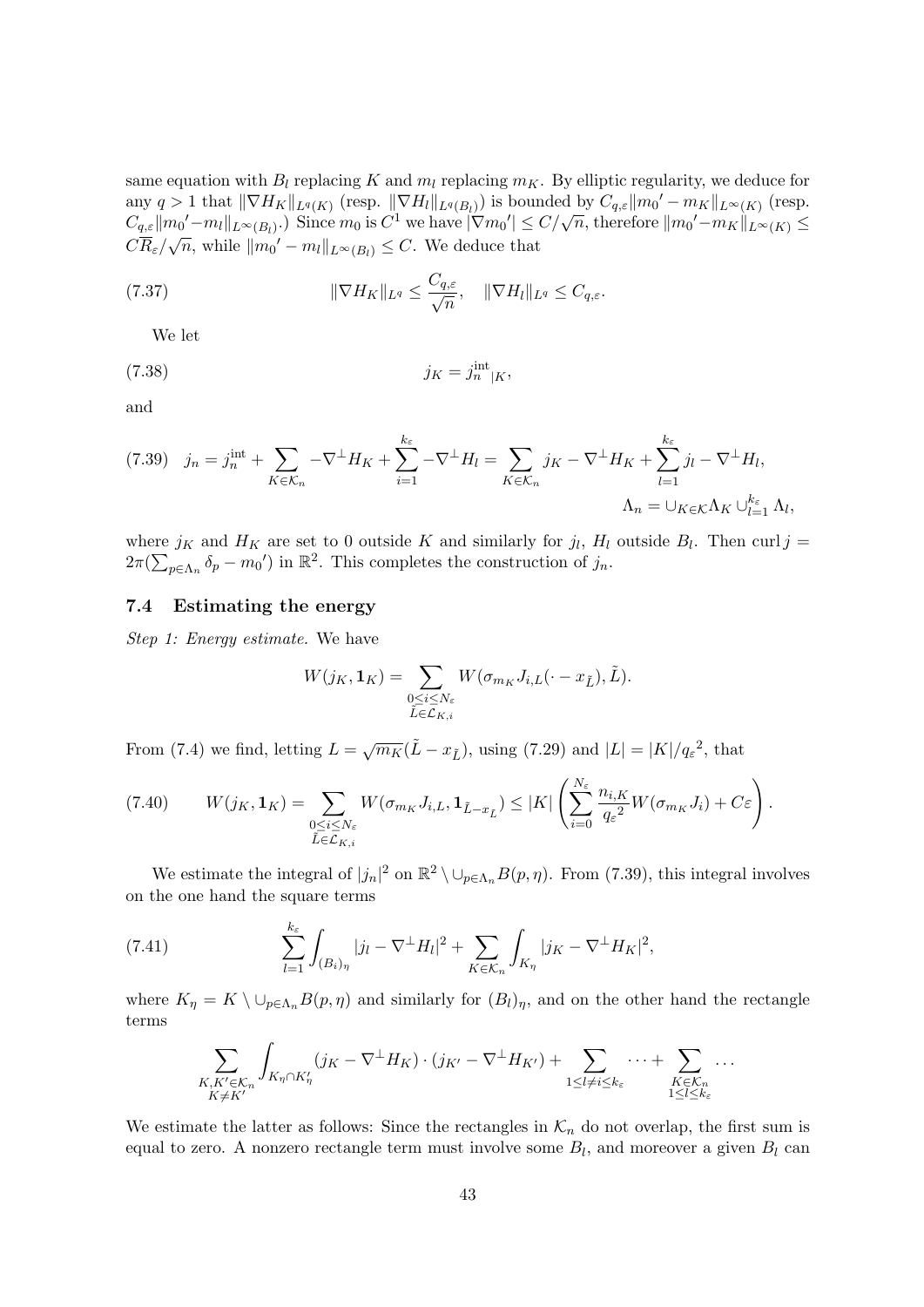same equation with  $B_l$  replacing K and  $m_l$  replacing  $m_K$ . By elliptic regularity, we deduce for any  $q > 1$  that  $\|\nabla H_K\|_{L^q(K)}$  (resp.  $\|\nabla H_l\|_{L^q(B_l)}$ ) is bounded by  $C_{q,\varepsilon} \|m_0' - m_K\|_{L^{\infty}(K)}$  (resp. any  $q > 1$  that  $||\nabla H_K||_{L^q(K)}$  (resp.  $||\nabla H_l||_{L^q(B_l)}$ ) is bounded by  $C_{q,\varepsilon}||m_0 - m_K||_{L^\infty(K)}$  (resp.<br>  $C_{q,\varepsilon}||m_0' - m_l||_{L^\infty(B_l)}$ .) Since  $m_0$  is  $C^1$  we have  $|\nabla m_0'| \leq C/\sqrt{n}$ , therefore  $||m_0' - m_K||_{L^\infty(K)} \leq C$  $C\overline{R}_{\varepsilon}/\sqrt{n}$ , while  $||m_0' - m_l||_{L^{\infty}(B_l)} \leq C$ . We deduce that

(7.37) 
$$
\|\nabla H_K\|_{L^q} \leq \frac{C_{q,\varepsilon}}{\sqrt{n}}, \quad \|\nabla H_l\|_{L^q} \leq C_{q,\varepsilon}.
$$

We let

$$
(7.38)\t\t\t jK = jintn|K,
$$

and

$$
(7.39) \quad j_n = j_n^{\text{int}} + \sum_{K \in \mathcal{K}_n} -\nabla^{\perp} H_K + \sum_{i=1}^{k_{\varepsilon}} -\nabla^{\perp} H_l = \sum_{K \in \mathcal{K}_n} j_K - \nabla^{\perp} H_K + \sum_{l=1}^{k_{\varepsilon}} j_l - \nabla^{\perp} H_l,
$$

$$
\Lambda_n = \bigcup_{K \in \mathcal{K}} \Lambda_K \bigcup_{l=1}^{k_{\varepsilon}} \Lambda_l,
$$

where  $j_K$  and  $H_K$  are set to 0 outside K and similarly for  $j_l$ ,  $H_l$  outside  $B_l$ . Then curl  $j =$  $2\pi(\sum_{p\in\Lambda_n} \delta_p - m_0)$  in  $\mathbb{R}^2$ . This completes the construction of  $j_n$ .

#### 7.4 Estimating the energy

Step 1: Energy estimate. We have

$$
W(j_K, \mathbf{1}_K) = \sum_{\substack{0 \le i \le N_\varepsilon \\ \tilde{L} \in \mathcal{L}_{K,i}}} W(\sigma_{m_K} J_{i,L}(\cdot - x_{\tilde{L}}), \tilde{L}).
$$

From (7.4) we find, letting  $L = \sqrt{m_K}(\tilde{L} - x_{\tilde{L}})$ , using (7.29) and  $|L| = |K|/q_{\varepsilon}^2$ , that

$$
(7.40) \t W(jK, 1K) = \sum_{\substack{0 \le i \le N_{\varepsilon} \\ \tilde{L} \in \mathcal{L}_{K,i}}} W(\sigma_{m_K} J_{i,L}, 1_{\tilde{L} - x_{\tilde{L}}}) \le |K| \left( \sum_{i=0}^{N_{\varepsilon}} \frac{n_{i,K}}{q_{\varepsilon}^2} W(\sigma_{m_K} J_i) + C \varepsilon \right).
$$

We estimate the integral of  $|j_n|^2$  on  $\mathbb{R}^2 \setminus \cup_{p \in \Lambda_n} B(p, \eta)$ . From (7.39), this integral involves on the one hand the square terms

(7.41) 
$$
\sum_{l=1}^{k_{\varepsilon}} \int_{(B_{i})_{\eta}} |j_{l} - \nabla^{\perp} H_{l}|^{2} + \sum_{K \in \mathcal{K}_{n}} \int_{K_{\eta}} |j_{K} - \nabla^{\perp} H_{K}|^{2},
$$

where  $K_{\eta} = K \setminus \cup_{p \in \Lambda_n} B(p, \eta)$  and similarly for  $(B_l)_{\eta}$ , and on the other hand the rectangle terms

$$
\sum_{\substack{K,K'\in\mathcal{K}_n\\K\neq K'}}\int_{K_{\eta}\cap K'_{\eta}}(j_K-\nabla^{\perp}H_K)\cdot(j_{K'}-\nabla^{\perp}H_{K'})+\sum_{1\leq l\neq i\leq k_{\varepsilon}}\cdots+\sum_{\substack{K\in\mathcal{K}_n\\1\leq l\leq k_{\varepsilon}}}.
$$

We estimate the latter as follows: Since the rectangles in  $\mathcal{K}_n$  do not overlap, the first sum is equal to zero. A nonzero rectangle term must involve some  $B_l$ , and moreover a given  $B_l$  can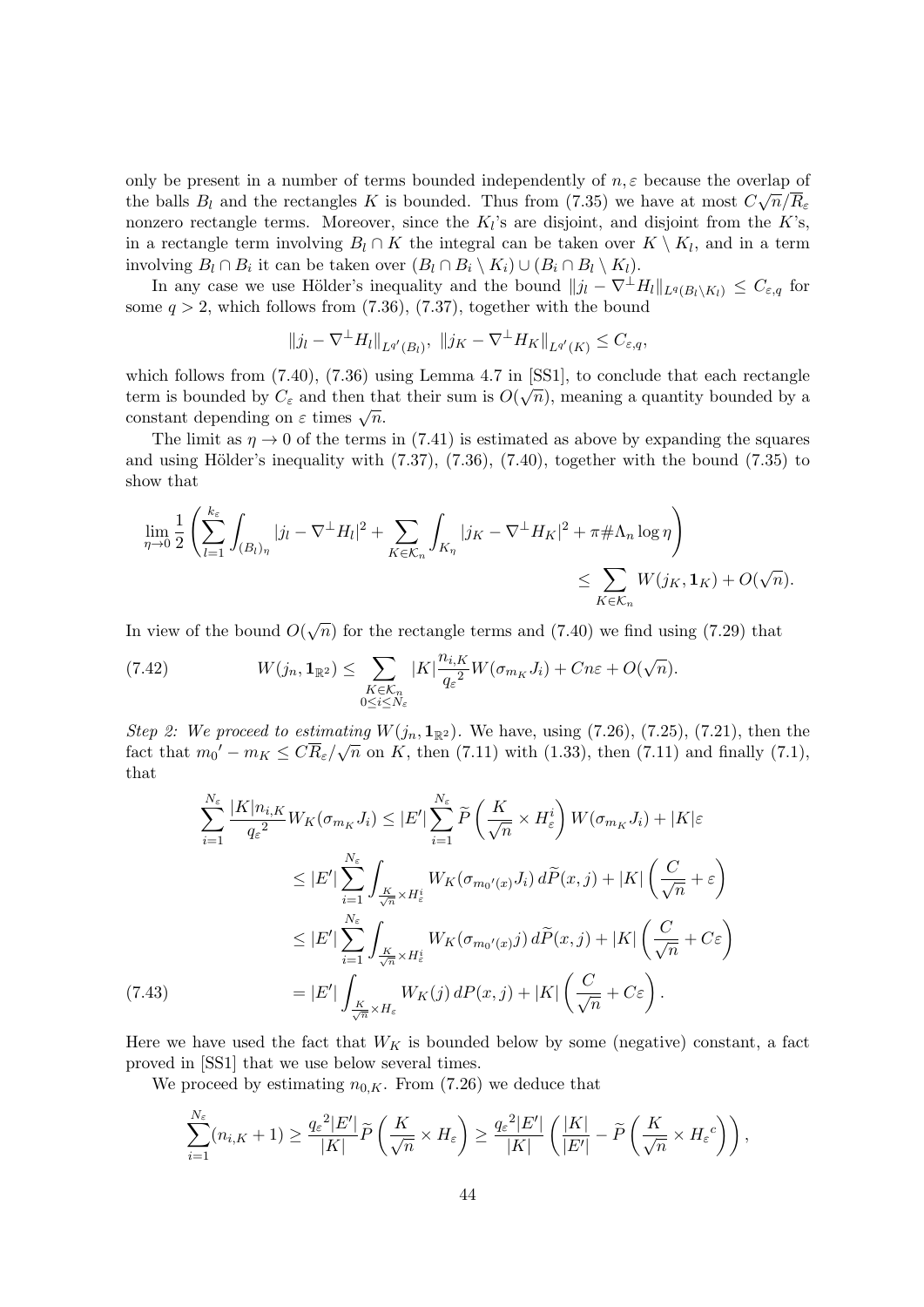only be present in a number of terms bounded independently of  $n, \varepsilon$  because the overlap of the balls  $B_l$  and the rectangles K is bounded. Thus from (7.35) we have at most  $C\sqrt{n}/R_{\varepsilon}$ nonzero rectangle terms. Moreover, since the  $K_l$ 's are disjoint, and disjoint from the K's, in a rectangle term involving  $B_l \cap K$  the integral can be taken over  $K \setminus K_l$ , and in a term involving  $B_l \cap B_i$  it can be taken over  $(B_l \cap B_i \setminus K_i) \cup (B_i \cap B_l \setminus K_l)$ .

In any case we use Hölder's inequality and the bound  $||j_l - \nabla^{\perp} H_l||_{L^q(B_l\setminus K_l)} \leq C_{\varepsilon,q}$  for some  $q > 2$ , which follows from (7.36), (7.37), together with the bound

$$
||j_l - \nabla^{\perp} H_l||_{L^{q'}(B_l)}, ||j_K - \nabla^{\perp} H_K||_{L^{q'}(K)} \leq C_{\varepsilon,q},
$$

which follows from  $(7.40)$ ,  $(7.36)$  using Lemma 4.7 in [SS1], to conclude that each rectangle term is bounded by  $C_{\varepsilon}$  and then that their sum is  $O(\sqrt{n})$ , meaning a quantity bounded by a constant depending on  $\varepsilon$  times  $\sqrt{n}$ .

The limit as  $\eta \rightarrow 0$  of the terms in (7.41) is estimated as above by expanding the squares and using Hölder's inequality with  $(7.37)$ ,  $(7.36)$ ,  $(7.40)$ , together with the bound  $(7.35)$  to show that

$$
\lim_{\eta \to 0} \frac{1}{2} \left( \sum_{l=1}^{k_{\varepsilon}} \int_{(B_l)_{\eta}} |j_l - \nabla^{\perp} H_l|^2 + \sum_{K \in \mathcal{K}_n} \int_{K_{\eta}} |j_K - \nabla^{\perp} H_K|^2 + \pi \# \Lambda_n \log \eta \right) \le \sum_{K \in \mathcal{K}_n} W(j_K, \mathbf{1}_K) + O(\sqrt{n}).
$$

In view of the bound  $O(\sqrt{n})$  for the rectangle terms and (7.40) we find using (7.29) that

(7.42) 
$$
W(j_n, \mathbf{1}_{\mathbb{R}^2}) \leq \sum_{\substack{K \in \mathcal{K}_n \\ 0 \leq i \leq N_\varepsilon}} |K| \frac{n_{i,K}}{q_\varepsilon^2} W(\sigma_{m_K} J_i) + Cn\varepsilon + O(\sqrt{n}).
$$

*Step 2: We proceed to estimating*  $W(j_n, 1_{\mathbb{R}^2})$ . We have, using (7.26), (7.25), (7.21), then the fact that  $m_0' - m_K \leq C \overline{R}_{\varepsilon}/\sqrt{n}$  on K, then (7.11) with (1.33), then (7.11) and finally (7.1), that

$$
\sum_{i=1}^{N_{\varepsilon}} \frac{|K|n_{i,K}}{q_{\varepsilon}^{2}} W_{K}(\sigma_{m_{K}} J_{i}) \leq |E'| \sum_{i=1}^{N_{\varepsilon}} \widetilde{P} \left( \frac{K}{\sqrt{n}} \times H_{\varepsilon}^{i} \right) W(\sigma_{m_{K}} J_{i}) + |K| \varepsilon
$$
  
\n
$$
\leq |E'| \sum_{i=1}^{N_{\varepsilon}} \int_{\frac{K}{\sqrt{n}} \times H_{\varepsilon}^{i}} W_{K}(\sigma_{m_{0}'(x)} J_{i}) d\widetilde{P}(x, j) + |K| \left( \frac{C}{\sqrt{n}} + \varepsilon \right)
$$
  
\n
$$
\leq |E'| \sum_{i=1}^{N_{\varepsilon}} \int_{\frac{K}{\sqrt{n}} \times H_{\varepsilon}^{i}} W_{K}(\sigma_{m_{0}'(x)} j) d\widetilde{P}(x, j) + |K| \left( \frac{C}{\sqrt{n}} + C\varepsilon \right)
$$
  
\n(7.43)  
\n
$$
= |E'| \int_{\frac{K}{\sqrt{n}} \times H_{\varepsilon}} W_{K}(j) dP(x, j) + |K| \left( \frac{C}{\sqrt{n}} + C\varepsilon \right).
$$

Here we have used the fact that  $W_K$  is bounded below by some (negative) constant, a fact proved in [SS1] that we use below several times.

We proceed by estimating  $n_{0,K}$ . From (7.26) we deduce that

$$
\sum_{i=1}^{N_{\varepsilon}} (n_{i,K} + 1) \ge \frac{q_{\varepsilon}^{2} |E'|}{|K|} \widetilde{P}\left(\frac{K}{\sqrt{n}} \times H_{\varepsilon}\right) \ge \frac{q_{\varepsilon}^{2} |E'|}{|K|} \left(\frac{|K|}{|E'|} - \widetilde{P}\left(\frac{K}{\sqrt{n}} \times H_{\varepsilon}^{c}\right)\right),
$$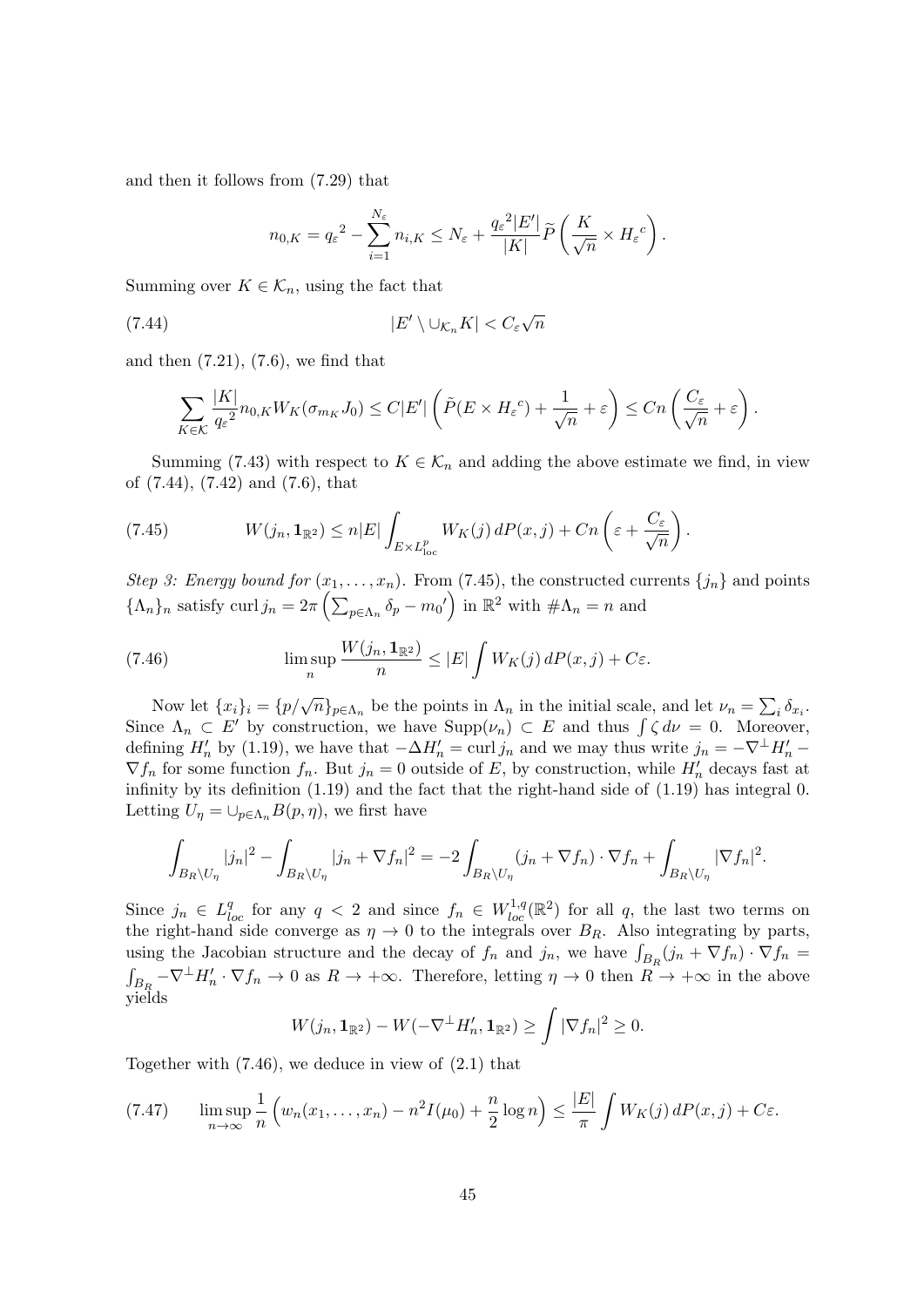and then it follows from (7.29) that

$$
n_{0,K} = q_{\varepsilon}^{2} - \sum_{i=1}^{N_{\varepsilon}} n_{i,K} \leq N_{\varepsilon} + \frac{q_{\varepsilon}^{2} |E'|}{|K|} \widetilde{P}\left(\frac{K}{\sqrt{n}} \times H_{\varepsilon}^{c}\right).
$$

Summing over  $K \in \mathcal{K}_n$ , using the fact that

(7.44) 
$$
|E' \setminus \cup_{\mathcal{K}_n} K| < C_{\varepsilon} \sqrt{n}
$$

and then  $(7.21)$ ,  $(7.6)$ , we find that

$$
\sum_{K\in\mathcal{K}}\frac{|K|}{q_{\varepsilon}^{2}}n_{0,K}W_{K}(\sigma_{m_{K}}J_{0})\leq C|E'|\left(\tilde{P}(E\times H_{\varepsilon}^{c})+\frac{1}{\sqrt{n}}+\varepsilon\right)\leq Cn\left(\frac{C_{\varepsilon}}{\sqrt{n}}+\varepsilon\right).
$$

Summing (7.43) with respect to  $K \in \mathcal{K}_n$  and adding the above estimate we find, in view of (7.44), (7.42) and (7.6), that

(7.45) 
$$
W(j_n, \mathbf{1}_{\mathbb{R}^2}) \leq n|E| \int_{E \times L_{\text{loc}}^p} W_K(j) dP(x, j) + Cn \left( \varepsilon + \frac{C_{\varepsilon}}{\sqrt{n}} \right).
$$

Step 3: Energy bound for  $(x_1, \ldots, x_n)$ . From (7.45), the constructed currents  $\{j_n\}$  and points  $\{\Lambda_n\}_n$  satisfy curl  $j_n = 2\pi \left( \sum_{p \in \Lambda_n} \delta_p - m_0' \right)$  in  $\mathbb{R}^2$  with  $\#\Lambda_n = n$  and

(7.46) 
$$
\limsup_{n} \frac{W(j_n, \mathbf{1}_{\mathbb{R}^2})}{n} \leq |E| \int W_K(j) dP(x, j) + C\varepsilon.
$$

Now let  $\{x_i\}_i = \{p/\sqrt{n}\}_{p \in \Lambda_n}$  be the points in  $\Lambda_n$  in the initial scale, and let  $\nu_n = \sum_i \delta_{x_i}$ . Since  $\Lambda_n \subset E'$  by construction, we have  $\text{Supp}(\nu_n) \subset E$  and thus  $\int \zeta d\nu = 0$ . Moreover, defining  $H'_n$  by (1.19), we have that  $-\Delta H'_n = \text{curl } j_n$  and we may thus write  $j_n = -\nabla^{\perp} H'_n$  $\nabla f_n$  for some function  $f_n$ . But  $j_n = 0$  outside of E, by construction, while  $H'_n$  decays fast at infinity by its definition (1.19) and the fact that the right-hand side of (1.19) has integral 0. Letting  $U_{\eta} = \bigcup_{p \in \Lambda_n} B(p, \eta)$ , we first have

$$
\int_{B_R\setminus U_\eta} |j_n|^2 - \int_{B_R\setminus U_\eta} |j_n + \nabla f_n|^2 = -2 \int_{B_R\setminus U_\eta} (j_n + \nabla f_n) \cdot \nabla f_n + \int_{B_R\setminus U_\eta} |\nabla f_n|^2.
$$

Since  $j_n \in L^q_{loc}$  for any  $q < 2$  and since  $f_n \in W^{1,q}_{loc}(\mathbb{R}^2)$  for all q, the last two terms on the right-hand side converge as  $\eta \to 0$  to the integrals over  $B_R$ . Also integrating by parts, using the Jacobian structure and the decay of  $f_n$  and  $j_n$ , we have  $\int_{B_R}(j_n + \nabla f_n) \cdot \nabla f_n =$  $\int_{B_R} -\nabla^{\perp} H'_n \cdot \nabla f_n \to 0$  as  $R \to +\infty$ . Therefore, letting  $\eta \to 0$  then  $R \to +\infty$  in the above yields

$$
W(j_n, \mathbf{1}_{\mathbb{R}^2}) - W(-\nabla^{\perp} H'_n, \mathbf{1}_{\mathbb{R}^2}) \ge \int |\nabla f_n|^2 \ge 0.
$$

Together with (7.46), we deduce in view of (2.1) that

$$
(7.47) \qquad \limsup_{n \to \infty} \frac{1}{n} \left( w_n(x_1, \dots, x_n) - n^2 I(\mu_0) + \frac{n}{2} \log n \right) \le \frac{|E|}{\pi} \int W_K(j) \, dP(x, j) + C\varepsilon.
$$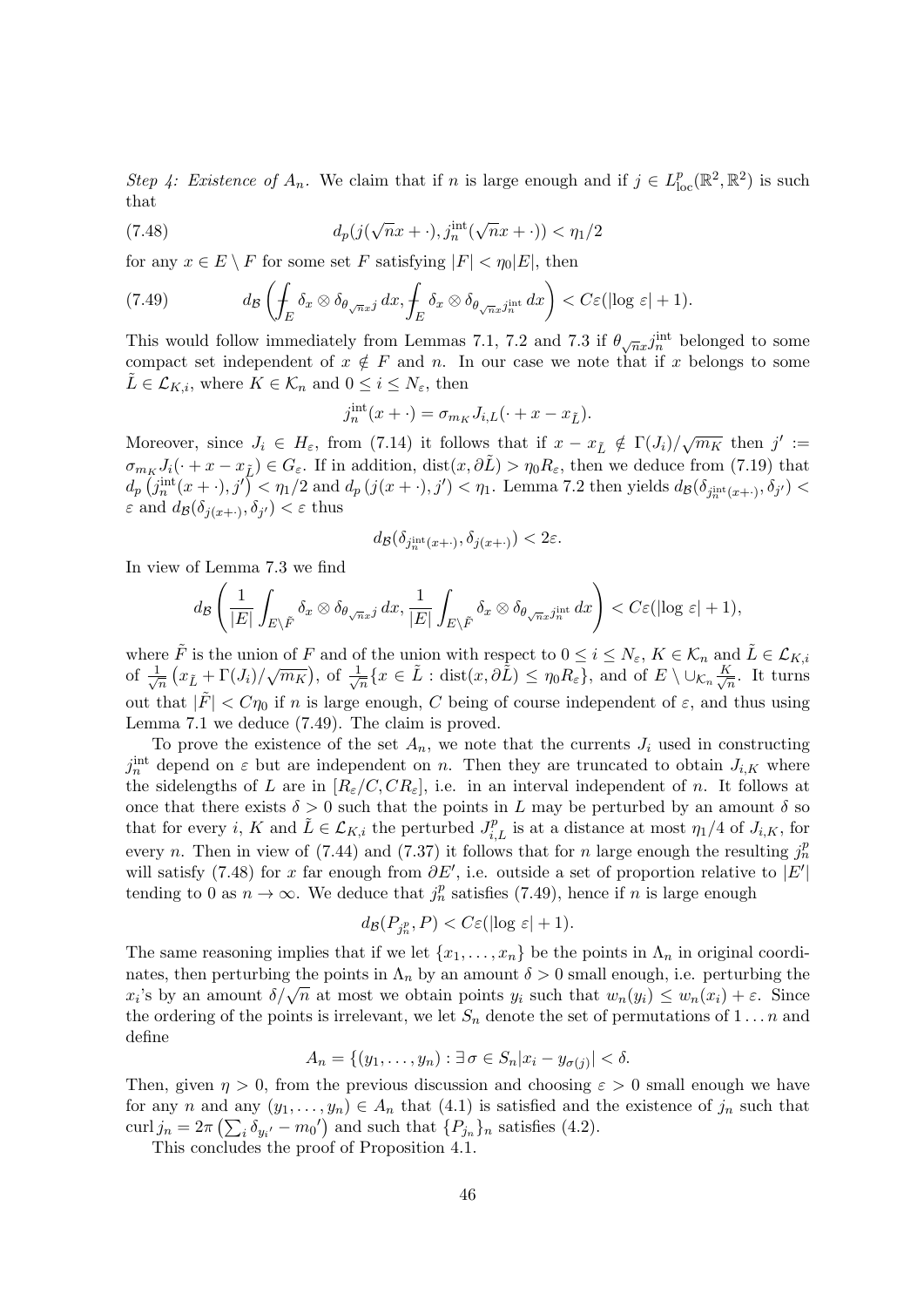Step 4: Existence of  $A_n$ . We claim that if n is large enough and if  $j \in L^p_{loc}(\mathbb{R}^2, \mathbb{R}^2)$  is such that

(7.48) 
$$
d_p(j(\sqrt{n}x + \cdot), j_n^{\text{int}}(\sqrt{n}x + \cdot)) < \eta_1/2
$$

for any  $x \in E \setminus F$  for some set F satisfying  $|F| < \eta_0 |E|$ , then

(7.49) 
$$
d_{\mathcal{B}}\left(\int_{E} \delta_{x} \otimes \delta_{\theta_{\sqrt{n}x}j} dx, \int_{E} \delta_{x} \otimes \delta_{\theta_{\sqrt{n}x}j_{n}^{\text{int}}} dx\right) < C\varepsilon(|\log \varepsilon|+1).
$$

This would follow immediately from Lemmas 7.1, 7.2 and 7.3 if  $\theta_{\sqrt{n}x}j_n^{\text{int}}$  belonged to some compact set independent of  $x \notin F$  and n. In our case we note that if x belongs to some  $\tilde{L} \in \mathcal{L}_{K,i}$ , where  $K \in \mathcal{K}_n$  and  $0 \leq i \leq N_{\varepsilon}$ , then

$$
j_n^{\text{int}}(x+\cdot) = \sigma_{m_K} J_{i,L}(\cdot + x - x_{\tilde{L}}).
$$

Moreover, since  $J_i \in H_\varepsilon$ , from (7.14) it follows that if  $x - x_{\tilde{L}} \notin \Gamma(J_i)/\sqrt{m_K}$  then  $j' :=$  $\sigma_{m_K} J_i(\cdot + x - x_{\tilde{L}}) \in G_{\varepsilon}$ . If in addition, dist $(x, \partial \tilde{L}) > \eta_0 R_{\varepsilon}$ , then we deduce from (7.19) that  $d_p(j_n^{\text{int}}(x + \cdot), j') < \eta_1/2$  and  $d_p(j(x + \cdot), j') < \eta_1$ . Lemma 7.2 then yields  $d_p(\delta_{j_n^{\text{int}}(x + \cdot)}, \delta_{j'}) <$  $\varepsilon$  and  $d_{\mathcal{B}}(\delta_{j(x+\cdot)}, \delta_{j'}) < \varepsilon$  thus

$$
d_{\mathcal{B}}(\delta_{j^{\text{int}}_n(x+\cdot)}, \delta_{j(x+\cdot)}) < 2\varepsilon.
$$

In view of Lemma 7.3 we find

$$
d_{\mathcal{B}}\left(\frac{1}{|E|}\int_{E\setminus\tilde{F}}\delta_x\otimes\delta_{\theta\sqrt{n}x^j}dx,\frac{1}{|E|}\int_{E\setminus\tilde{F}}\delta_x\otimes\delta_{\theta\sqrt{n}x^j_n}dx\right)
$$

where  $\tilde{F}$  is the union of F and of the union with respect to  $0 \leq i \leq N_{\varepsilon}$ ,  $K \in \mathcal{K}_n$  and  $\tilde{L} \in \mathcal{L}_{K,i}$ of  $\frac{1}{\sqrt{2}}$  $\frac{1}{\sqrt{n}}\left(x_{\tilde{L}}+\Gamma(J_i)/\sqrt{m_K}\right)$ , of  $\frac{1}{\sqrt{n}}$  $\frac{1}{\sqrt{n}}\{x\in \tilde{L} : \text{dist}(x,\partial \tilde{L}) \leq \eta_0 R_\varepsilon\}, \text{ and of } E\setminus \cup_{\mathcal{K}_n} \frac{K}{\sqrt{n}}$  $\frac{1}{n}$ . It turns out that  $|\tilde{F}| < C\eta_0$  if n is large enough, C being of course independent of  $\varepsilon$ , and thus using Lemma 7.1 we deduce (7.49). The claim is proved.

To prove the existence of the set  $A_n$ , we note that the currents  $J_i$  used in constructing  $j_n^{\text{int}}$  depend on  $\varepsilon$  but are independent on n. Then they are truncated to obtain  $J_{i,K}$  where the sidelengths of L are in  $[R_{\varepsilon}/C, CR_{\varepsilon}],$  i.e. in an interval independent of n. It follows at once that there exists  $\delta > 0$  such that the points in L may be perturbed by an amount  $\delta$  so that for every i, K and  $\tilde{L} \in \mathcal{L}_{K,i}$  the perturbed  $J_{i,L}^p$  is at a distance at most  $\eta_1/4$  of  $J_{i,K}$ , for every *n*. Then in view of (7.44) and (7.37) it follows that for *n* large enough the resulting  $j_n^p$ will satisfy (7.48) for x far enough from  $\partial E'$ , i.e. outside a set of proportion relative to  $|E'|$ tending to 0 as  $n \to \infty$ . We deduce that  $j_n^p$  satisfies (7.49), hence if n is large enough

$$
d_{\mathcal{B}}(P_{j_n^p}, P) < C \varepsilon (\log \varepsilon + 1).
$$

The same reasoning implies that if we let  $\{x_1, \ldots, x_n\}$  be the points in  $\Lambda_n$  in original coordinates, then perturbing the points in  $\Lambda_n$  by an amount  $\delta > 0$  small enough, i.e. perturbing the hates, then perturbing the points in  $\Lambda_n$  by an amount  $\delta > 0$  small enough, i.e. perturbing the  $x_i$ 's by an amount  $\delta/\sqrt{n}$  at most we obtain points  $y_i$  such that  $w_n(y_i) \leq w_n(x_i) + \varepsilon$ . Since the ordering of the points is irrelevant, we let  $S_n$  denote the set of permutations of  $1 \dots n$  and define

$$
A_n = \{(y_1, \ldots, y_n) : \exists \sigma \in S_n | x_i - y_{\sigma(j)} | < \delta.
$$

Then, given  $\eta > 0$ , from the previous discussion and choosing  $\varepsilon > 0$  small enough we have for any n and any  $(y_1, \ldots, y_n) \in A_n$  that  $(4.1)$  is satisfied and the existence of  $j_n$  such that curl  $j_n = 2\pi \left( \sum_i \delta_{y_i'} - m_0' \right)$  and such that  $\{P_{j_n}\}_n$  satisfies (4.2).

This concludes the proof of Proposition 4.1.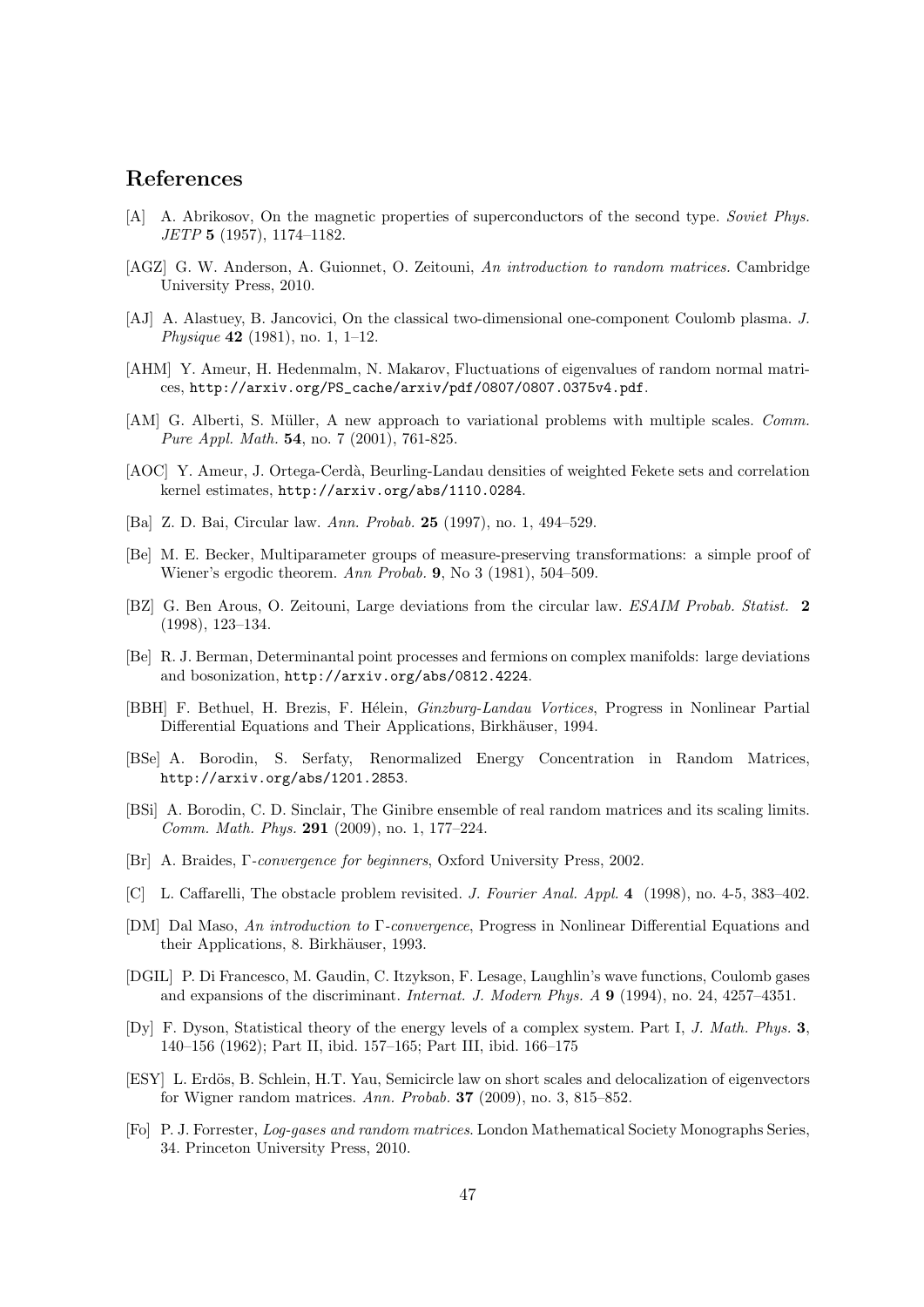### References

- [A] A. Abrikosov, On the magnetic properties of superconductors of the second type. Soviet Phys. JETP 5 (1957), 1174–1182.
- [AGZ] G. W. Anderson, A. Guionnet, O. Zeitouni, An introduction to random matrices. Cambridge University Press, 2010.
- [AJ] A. Alastuey, B. Jancovici, On the classical two-dimensional one-component Coulomb plasma. J. Physique 42 (1981), no. 1, 1–12.
- [AHM] Y. Ameur, H. Hedenmalm, N. Makarov, Fluctuations of eigenvalues of random normal matrices, http://arxiv.org/PS\_cache/arxiv/pdf/0807/0807.0375v4.pdf.
- [AM] G. Alberti, S. Müller, A new approach to variational problems with multiple scales. Comm. Pure Appl. Math. **54**, no. 7 (2001), 761-825.
- [AOC] Y. Ameur, J. Ortega-Cerdà, Beurling-Landau densities of weighted Fekete sets and correlation kernel estimates, http://arxiv.org/abs/1110.0284.
- [Ba] Z. D. Bai, Circular law. Ann. Probab. 25 (1997), no. 1, 494–529.
- [Be] M. E. Becker, Multiparameter groups of measure-preserving transformations: a simple proof of Wiener's ergodic theorem. Ann Probab. 9, No 3 (1981), 504–509.
- [BZ] G. Ben Arous, O. Zeitouni, Large deviations from the circular law. ESAIM Probab. Statist. 2 (1998), 123–134.
- [Be] R. J. Berman, Determinantal point processes and fermions on complex manifolds: large deviations and bosonization, http://arxiv.org/abs/0812.4224.
- [BBH] F. Bethuel, H. Brezis, F. Hélein, *Ginzburg-Landau Vortices*, Progress in Nonlinear Partial Differential Equations and Their Applications, Birkhäuser, 1994.
- [BSe] A. Borodin, S. Serfaty, Renormalized Energy Concentration in Random Matrices, http://arxiv.org/abs/1201.2853.
- [BSi] A. Borodin, C. D. Sinclair, The Ginibre ensemble of real random matrices and its scaling limits. Comm. Math. Phys. 291 (2009), no. 1, 177–224.
- [Br] A. Braides, Γ-convergence for beginners, Oxford University Press, 2002.
- [C] L. Caffarelli, The obstacle problem revisited. J. Fourier Anal. Appl. 4 (1998), no. 4-5, 383–402.
- [DM] Dal Maso, An introduction to Γ-convergence, Progress in Nonlinear Differential Equations and their Applications, 8. Birkhäuser, 1993.
- [DGIL] P. Di Francesco, M. Gaudin, C. Itzykson, F. Lesage, Laughlin's wave functions, Coulomb gases and expansions of the discriminant. Internat. J. Modern Phys. A 9 (1994), no. 24, 4257–4351.
- [Dy] F. Dyson, Statistical theory of the energy levels of a complex system. Part I, J. Math. Phys. 3, 140–156 (1962); Part II, ibid. 157–165; Part III, ibid. 166–175
- [ESY] L. Erdös, B. Schlein, H.T. Yau, Semicircle law on short scales and delocalization of eigenvectors for Wigner random matrices. Ann. Probab.  $37$  (2009), no. 3, 815–852.
- [Fo] P. J. Forrester, Log-gases and random matrices. London Mathematical Society Monographs Series, 34. Princeton University Press, 2010.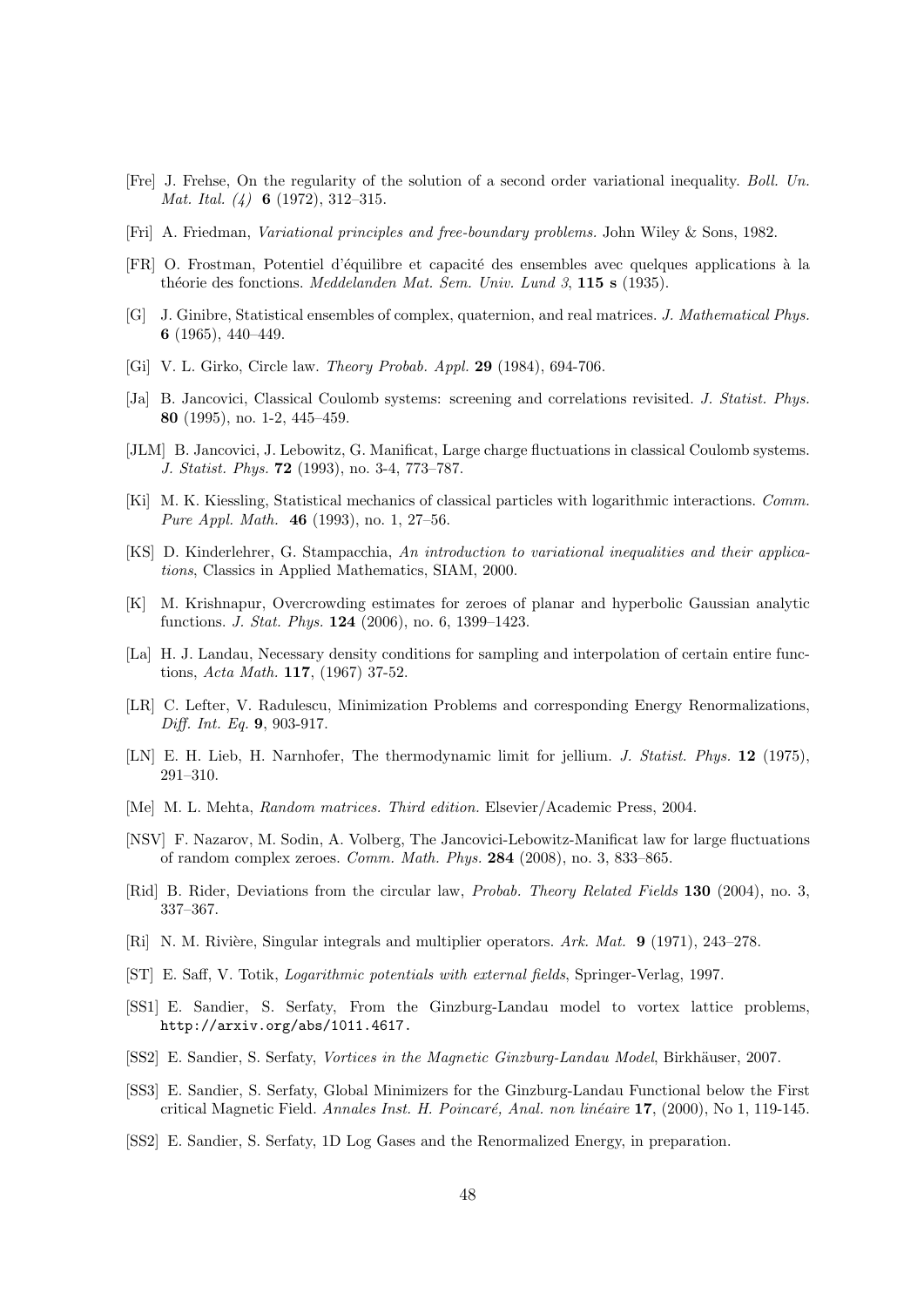- [Fre] J. Frehse, On the regularity of the solution of a second order variational inequality. Boll. Un. Mat. Ital. (4) 6 (1972), 312–315.
- [Fri] A. Friedman, Variational principles and free-boundary problems. John Wiley & Sons, 1982.
- [FR] O. Frostman, Potentiel d'´equilibre et capacit´e des ensembles avec quelques applications `a la théorie des fonctions. *Meddelanden Mat. Sem. Univ. Lund 3*, **115 s** (1935).
- [G] J. Ginibre, Statistical ensembles of complex, quaternion, and real matrices. J. Mathematical Phys. 6 (1965), 440–449.
- [Gi] V. L. Girko, Circle law. *Theory Probab. Appl.* **29** (1984), 694-706.
- [Ja] B. Jancovici, Classical Coulomb systems: screening and correlations revisited. J. Statist. Phys. 80 (1995), no. 1-2, 445–459.
- [JLM] B. Jancovici, J. Lebowitz, G. Manificat, Large charge fluctuations in classical Coulomb systems. J. Statist. Phys. 72 (1993), no. 3-4, 773–787.
- [Ki] M. K. Kiessling, Statistical mechanics of classical particles with logarithmic interactions. Comm. Pure Appl. Math. 46 (1993), no. 1, 27–56.
- [KS] D. Kinderlehrer, G. Stampacchia, An introduction to variational inequalities and their applications, Classics in Applied Mathematics, SIAM, 2000.
- [K] M. Krishnapur, Overcrowding estimates for zeroes of planar and hyperbolic Gaussian analytic functions. J. Stat. Phys. 124 (2006), no. 6, 1399–1423.
- [La] H. J. Landau, Necessary density conditions for sampling and interpolation of certain entire functions, Acta Math. 117, (1967) 37-52.
- [LR] C. Lefter, V. Radulescu, Minimization Problems and corresponding Energy Renormalizations, Diff. Int. Eq. 9, 903-917.
- [LN] E. H. Lieb, H. Narnhofer, The thermodynamic limit for jellium. J. Statist. Phys. 12 (1975), 291–310.
- [Me] M. L. Mehta, Random matrices. Third edition. Elsevier/Academic Press, 2004.
- [NSV] F. Nazarov, M. Sodin, A. Volberg, The Jancovici-Lebowitz-Manificat law for large fluctuations of random complex zeroes. Comm. Math. Phys. 284 (2008), no. 3, 833–865.
- [Rid] B. Rider, Deviations from the circular law, Probab. Theory Related Fields 130 (2004), no. 3, 337–367.
- [Ri] N. M. Rivière, Singular integrals and multiplier operators. Ark. Mat. 9 (1971), 243–278.
- [ST] E. Saff, V. Totik, Logarithmic potentials with external fields, Springer-Verlag, 1997.
- [SS1] E. Sandier, S. Serfaty, From the Ginzburg-Landau model to vortex lattice problems, http://arxiv.org/abs/1011.4617.
- [SS2] E. Sandier, S. Serfaty, Vortices in the Magnetic Ginzburg-Landau Model, Birkhäuser, 2007.
- [SS3] E. Sandier, S. Serfaty, Global Minimizers for the Ginzburg-Landau Functional below the First critical Magnetic Field. Annales Inst. H. Poincaré, Anal. non linéaire 17, (2000), No 1, 119-145.
- [SS2] E. Sandier, S. Serfaty, 1D Log Gases and the Renormalized Energy, in preparation.